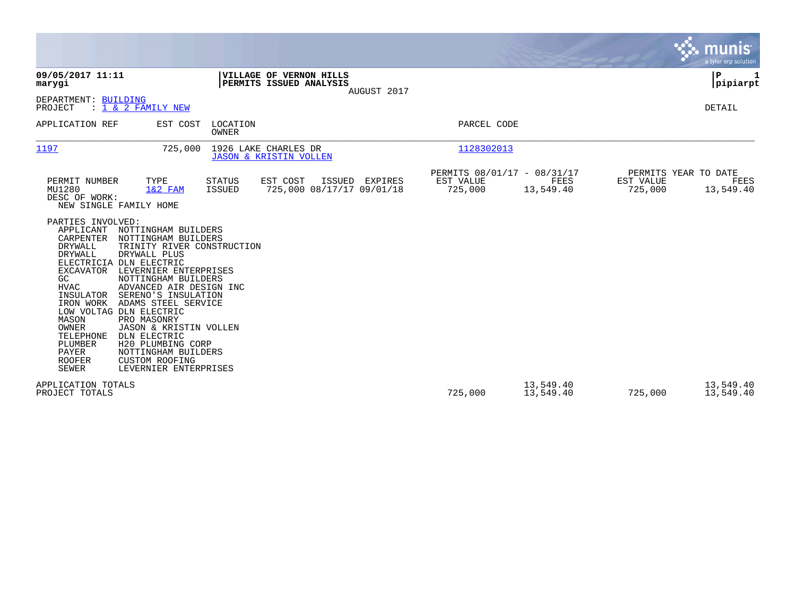|                                                                                                                                                                                                                                                                                                                                                                                                                                                                                                                                   |                                                                  | <b>munis</b><br>a tyler erp solution                                     |              |
|-----------------------------------------------------------------------------------------------------------------------------------------------------------------------------------------------------------------------------------------------------------------------------------------------------------------------------------------------------------------------------------------------------------------------------------------------------------------------------------------------------------------------------------|------------------------------------------------------------------|--------------------------------------------------------------------------|--------------|
| 09/05/2017 11:11<br>VILLAGE OF VERNON HILLS<br>PERMITS ISSUED ANALYSIS<br>marygi<br>AUGUST 2017                                                                                                                                                                                                                                                                                                                                                                                                                                   |                                                                  | Þ<br> pipiarpt                                                           | $\mathbf{1}$ |
| DEPARTMENT: BUILDING<br>PROJECT<br>: 1 & 2 FAMILY NEW                                                                                                                                                                                                                                                                                                                                                                                                                                                                             |                                                                  | DETAIL                                                                   |              |
| EST COST<br>LOCATION<br>APPLICATION REF<br>OWNER                                                                                                                                                                                                                                                                                                                                                                                                                                                                                  | PARCEL CODE                                                      |                                                                          |              |
| 1197<br>1926 LAKE CHARLES DR<br>725,000<br><b>JASON &amp; KRISTIN VOLLEN</b>                                                                                                                                                                                                                                                                                                                                                                                                                                                      | 1128302013                                                       |                                                                          |              |
| PERMIT NUMBER<br>TYPE<br>EST COST<br>ISSUED EXPIRES<br>STATUS<br>MU1280<br><b>ISSUED</b><br>725,000 08/17/17 09/01/18<br>$1&2$ FAM<br>DESC OF WORK:<br>NEW SINGLE FAMILY HOME<br>PARTIES INVOLVED:<br>APPLICANT<br>NOTTINGHAM BUILDERS<br>CARPENTER<br>NOTTINGHAM BUILDERS<br>DRYWALL<br>TRINITY RIVER CONSTRUCTION<br><b>DRYWALL</b><br>DRYWALL PLUS<br>ELECTRICIA DLN ELECTRIC<br>EXCAVATOR<br>LEVERNIER ENTERPRISES<br>GC<br>NOTTINGHAM BUILDERS<br><b>HVAC</b><br>ADVANCED AIR DESIGN INC<br>INSULATOR<br>SERENO'S INSULATION | PERMITS 08/01/17 - 08/31/17<br>EST VALUE<br>725,000<br>13,549.40 | PERMITS YEAR TO DATE<br><b>FEES</b><br>EST VALUE<br>725,000<br>13,549.40 | FEES         |
| ADAMS STEEL SERVICE<br>IRON WORK<br>LOW VOLTAG DLN ELECTRIC<br>MASON<br>PRO MASONRY<br>OWNER<br>JASON & KRISTIN VOLLEN<br>TELEPHONE<br>DLN ELECTRIC<br><b>PLUMBER</b><br>H20 PLUMBING CORP<br>PAYER<br>NOTTINGHAM BUILDERS<br><b>ROOFER</b><br><b>CUSTOM ROOFING</b><br><b>SEWER</b><br>LEVERNIER ENTERPRISES<br>APPLICATION TOTALS<br>PROJECT TOTALS                                                                                                                                                                             | 13,549.40<br>725,000<br>13,549.40                                | 13,549.40<br>725,000<br>13,549.40                                        |              |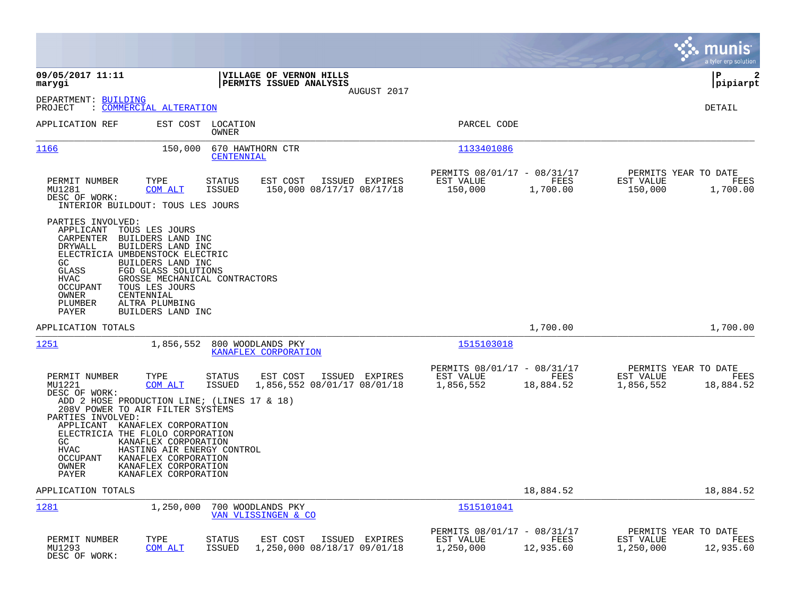|                                                                                                                                                                                                                                                                                  |                                                                                                                                                                                                |                                                           |                                                                                   | munis<br>a tyler erp solution                                       |
|----------------------------------------------------------------------------------------------------------------------------------------------------------------------------------------------------------------------------------------------------------------------------------|------------------------------------------------------------------------------------------------------------------------------------------------------------------------------------------------|-----------------------------------------------------------|-----------------------------------------------------------------------------------|---------------------------------------------------------------------|
| 09/05/2017 11:11<br>marygi                                                                                                                                                                                                                                                       |                                                                                                                                                                                                | VILLAGE OF VERNON HILLS<br>PERMITS ISSUED ANALYSIS        |                                                                                   | P<br>2<br>pipiarpt                                                  |
| DEPARTMENT: BUILDING<br>PROJECT                                                                                                                                                                                                                                                  | <u>COMMERCIAL ALTERATION</u>                                                                                                                                                                   | AUGUST 2017                                               |                                                                                   | <b>DETAIL</b>                                                       |
| APPLICATION REF                                                                                                                                                                                                                                                                  | EST COST LOCATION<br><b>OWNER</b>                                                                                                                                                              |                                                           | PARCEL CODE                                                                       |                                                                     |
| 1166                                                                                                                                                                                                                                                                             | 150,000<br>CENTENNIAL                                                                                                                                                                          | 670 HAWTHORN CTR                                          | 1133401086                                                                        |                                                                     |
| PERMIT NUMBER<br>MU1281<br>DESC OF WORK:<br>INTERIOR BUILDOUT: TOUS LES JOURS                                                                                                                                                                                                    | TYPE<br><b>STATUS</b><br>COM ALT<br><b>ISSUED</b>                                                                                                                                              | EST COST<br>ISSUED EXPIRES<br>150,000 08/17/17 08/17/18   | PERMITS 08/01/17 - 08/31/17<br>EST VALUE<br>FEES<br>150,000<br>1,700.00           | PERMITS YEAR TO DATE<br>EST VALUE<br>FEES<br>150,000<br>1,700.00    |
| PARTIES INVOLVED:<br>APPLICANT<br>CARPENTER<br>DRYWALL<br>ELECTRICIA UMBDENSTOCK ELECTRIC<br>GC<br><b>GLASS</b><br>HVAC<br><b>OCCUPANT</b><br>OWNER<br>CENTENNIAL<br>PLUMBER<br>PAYER                                                                                            | TOUS LES JOURS<br>BUILDERS LAND INC<br>BUILDERS LAND INC<br>BUILDERS LAND INC<br>FGD GLASS SOLUTIONS<br>GROSSE MECHANICAL CONTRACTORS<br>TOUS LES JOURS<br>ALTRA PLUMBING<br>BUILDERS LAND INC |                                                           |                                                                                   |                                                                     |
| APPLICATION TOTALS                                                                                                                                                                                                                                                               |                                                                                                                                                                                                |                                                           | 1,700.00                                                                          | 1,700.00                                                            |
| 1251                                                                                                                                                                                                                                                                             | 1,856,552                                                                                                                                                                                      | 800 WOODLANDS PKY<br>KANAFLEX CORPORATION                 | 1515103018                                                                        |                                                                     |
| PERMIT NUMBER<br>MU1221<br>DESC OF WORK:<br>ADD 2 HOSE PRODUCTION LINE; (LINES 17 & 18)<br>208V POWER TO AIR FILTER SYSTEMS<br>PARTIES INVOLVED:<br>APPLICANT KANAFLEX CORPORATION<br>ELECTRICIA THE FLOLO CORPORATION<br>GC<br><b>HVAC</b><br><b>OCCUPANT</b><br>OWNER<br>PAYER | TYPE<br><b>STATUS</b><br>COM ALT<br>ISSUED<br>KANAFLEX CORPORATION<br>HASTING AIR ENERGY CONTROL<br>KANAFLEX CORPORATION<br>KANAFLEX CORPORATION<br>KANAFLEX CORPORATION                       | EST COST<br>ISSUED EXPIRES<br>1,856,552 08/01/17 08/01/18 | PERMITS 08/01/17 - 08/31/17<br>EST VALUE<br>FEES<br>1,856,552<br>18,884.52        | PERMITS YEAR TO DATE<br>EST VALUE<br>FEES<br>1,856,552<br>18,884.52 |
| APPLICATION TOTALS                                                                                                                                                                                                                                                               |                                                                                                                                                                                                |                                                           | 18,884.52                                                                         | 18,884.52                                                           |
| 1281                                                                                                                                                                                                                                                                             | 1,250,000                                                                                                                                                                                      | 700 WOODLANDS PKY<br>VAN VLISSINGEN & CO                  | 1515101041                                                                        |                                                                     |
| PERMIT NUMBER<br>MU1293<br>DESC OF WORK:                                                                                                                                                                                                                                         | TYPE<br>STATUS<br>COM ALT<br><b>ISSUED</b>                                                                                                                                                     | ISSUED EXPIRES<br>EST COST<br>1,250,000 08/18/17 09/01/18 | PERMITS 08/01/17 - 08/31/17<br>EST VALUE<br><b>FEES</b><br>1,250,000<br>12,935.60 | PERMITS YEAR TO DATE<br>EST VALUE<br>FEES<br>1,250,000<br>12,935.60 |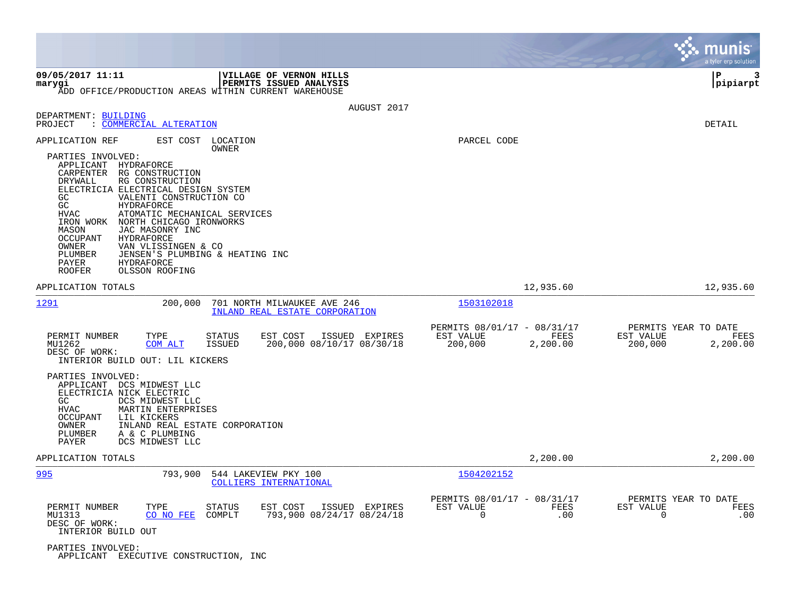|                                                                                                                                                                                                                                                                                                                                                                                                                                                                                                                                                     |                                                                         | <b>R.S. MUNIS</b><br>a tyler erp solution                        |
|-----------------------------------------------------------------------------------------------------------------------------------------------------------------------------------------------------------------------------------------------------------------------------------------------------------------------------------------------------------------------------------------------------------------------------------------------------------------------------------------------------------------------------------------------------|-------------------------------------------------------------------------|------------------------------------------------------------------|
| 09/05/2017 11:11<br>VILLAGE OF VERNON HILLS<br>PERMITS ISSUED ANALYSIS<br>marygi<br>ADD OFFICE/PRODUCTION AREAS WITHIN CURRENT WAREHOUSE                                                                                                                                                                                                                                                                                                                                                                                                            |                                                                         | l P<br>3<br> pipiarpt                                            |
| AUGUST 2017                                                                                                                                                                                                                                                                                                                                                                                                                                                                                                                                         |                                                                         |                                                                  |
| DEPARTMENT: BUILDING<br>PROJECT<br>: COMMERCIAL ALTERATION                                                                                                                                                                                                                                                                                                                                                                                                                                                                                          |                                                                         | DETAIL                                                           |
| APPLICATION REF<br>EST COST LOCATION<br><b>OWNER</b><br>PARTIES INVOLVED:<br>APPLICANT<br>HYDRAFORCE<br>CARPENTER<br>RG CONSTRUCTION<br>DRYWALL<br>RG CONSTRUCTION<br>ELECTRICIA ELECTRICAL DESIGN SYSTEM<br>GC<br>VALENTI CONSTRUCTION CO<br>GC<br>HYDRAFORCE<br>HVAC<br>ATOMATIC MECHANICAL SERVICES<br>IRON WORK<br>NORTH CHICAGO IRONWORKS<br>MASON<br>JAC MASONRY INC<br>OCCUPANT<br>HYDRAFORCE<br>OWNER<br>VAN VLISSINGEN & CO<br>PLUMBER<br>JENSEN'S PLUMBING & HEATING INC<br>PAYER<br><b>HYDRAFORCE</b><br>OLSSON ROOFING<br><b>ROOFER</b> | PARCEL CODE                                                             |                                                                  |
| APPLICATION TOTALS                                                                                                                                                                                                                                                                                                                                                                                                                                                                                                                                  | 12,935.60                                                               | 12,935.60                                                        |
| 1291<br>200,000<br>701 NORTH MILWAUKEE AVE 246<br>INLAND REAL ESTATE CORPORATION                                                                                                                                                                                                                                                                                                                                                                                                                                                                    | 1503102018                                                              |                                                                  |
| TYPE<br>PERMIT NUMBER<br><b>STATUS</b><br>EST COST<br>ISSUED EXPIRES<br><b>ISSUED</b><br>200,000 08/10/17 08/30/18<br>MU1262<br>COM ALT<br>DESC OF WORK:<br>INTERIOR BUILD OUT: LIL KICKERS                                                                                                                                                                                                                                                                                                                                                         | PERMITS 08/01/17 - 08/31/17<br>EST VALUE<br>FEES<br>200,000<br>2,200.00 | PERMITS YEAR TO DATE<br>EST VALUE<br>FEES<br>200,000<br>2,200.00 |
| PARTIES INVOLVED:<br>APPLICANT DCS MIDWEST LLC<br>ELECTRICIA NICK ELECTRIC<br>GC<br>DCS MIDWEST LLC<br><b>HVAC</b><br>MARTIN ENTERPRISES<br>OCCUPANT<br>LIL KICKERS<br>OWNER<br>INLAND REAL ESTATE CORPORATION<br>PLUMBER<br>A & C PLUMBING<br>PAYER<br>DCS MIDWEST LLC                                                                                                                                                                                                                                                                             |                                                                         |                                                                  |
| APPLICATION TOTALS                                                                                                                                                                                                                                                                                                                                                                                                                                                                                                                                  | 2,200.00                                                                | 2,200.00                                                         |
| 995<br>544 LAKEVIEW PKY 100<br>793,900<br>COLLIERS INTERNATIONAL                                                                                                                                                                                                                                                                                                                                                                                                                                                                                    | 1504202152                                                              |                                                                  |
| PERMIT NUMBER<br>TYPE<br><b>STATUS</b><br>EST COST<br>ISSUED EXPIRES<br>793,900 08/24/17 08/24/18<br>MU1313<br>CO NO FEE<br>COMPLT<br>DESC OF WORK:<br>INTERIOR BUILD OUT                                                                                                                                                                                                                                                                                                                                                                           | PERMITS 08/01/17 - 08/31/17<br>FEES<br>EST VALUE<br>0<br>.00            | PERMITS YEAR TO DATE<br>EST VALUE<br>FEES<br>0<br>.00            |
| PARTIES INVOLVED:<br>APPLICANT EXECUTIVE CONSTRUCTION, INC                                                                                                                                                                                                                                                                                                                                                                                                                                                                                          |                                                                         |                                                                  |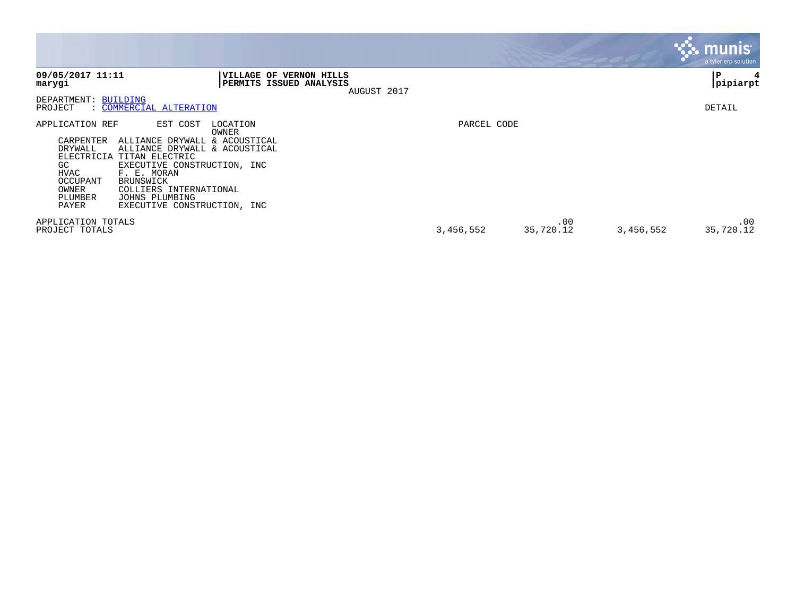|                                                                                                                                                                                                                                                                                                                                                                                 |             |                  |           | <b>munis</b><br>a tyler erp solution |
|---------------------------------------------------------------------------------------------------------------------------------------------------------------------------------------------------------------------------------------------------------------------------------------------------------------------------------------------------------------------------------|-------------|------------------|-----------|--------------------------------------|
| 09/05/2017 11:11<br>VILLAGE OF VERNON HILLS<br>PERMITS ISSUED ANALYSIS<br>marygi<br>AUGUST 2017                                                                                                                                                                                                                                                                                 |             |                  |           | P<br>4<br> pipiarpt                  |
| DEPARTMENT: BUILDING<br>: COMMERCIAL ALTERATION<br>PROJECT                                                                                                                                                                                                                                                                                                                      |             |                  |           | DETAIL                               |
| EST COST<br>LOCATION<br>APPLICATION REF<br>OWNER<br>CARPENTER<br>ALLIANCE DRYWALL & ACOUSTICAL<br>DRYWALL<br>ALLIANCE DRYWALL & ACOUSTICAL<br>TITAN ELECTRIC<br><b>ELECTRICIA</b><br>EXECUTIVE CONSTRUCTION, INC<br>GC.<br>F. E. MORAN<br>HVAC<br>OCCUPANT<br>BRUNSWICK<br>OWNER<br>COLLIERS INTERNATIONAL<br>JOHNS PLUMBING<br>PLUMBER<br>PAYER<br>EXECUTIVE CONSTRUCTION, INC | PARCEL CODE |                  |           |                                      |
| APPLICATION TOTALS<br>PROJECT TOTALS                                                                                                                                                                                                                                                                                                                                            | 3,456,552   | .00<br>35,720.12 | 3,456,552 | .00<br>35,720.12                     |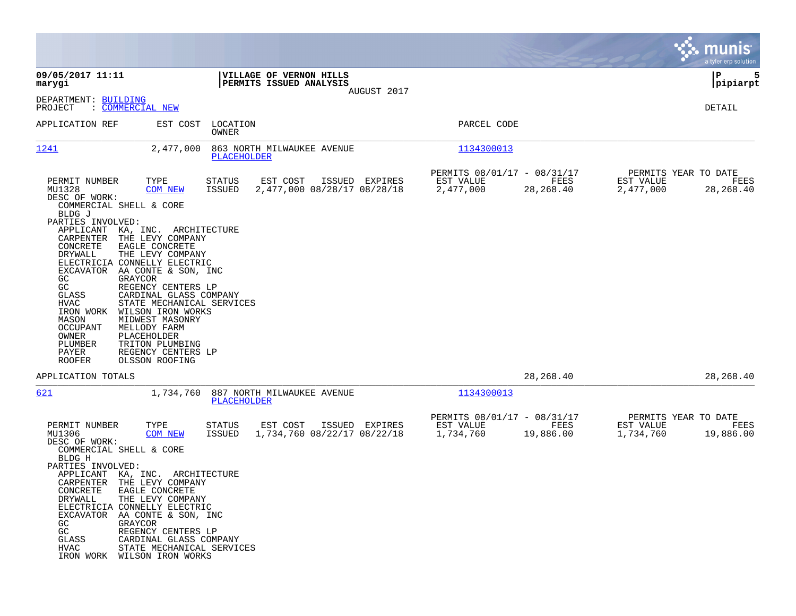|                                                                                                                                                                                                                                                                                                                                                                                                                                                                                                                                                                                                                                                                             |                                                                                             |                                                                            | munis<br>a tyler erp solution                                       |
|-----------------------------------------------------------------------------------------------------------------------------------------------------------------------------------------------------------------------------------------------------------------------------------------------------------------------------------------------------------------------------------------------------------------------------------------------------------------------------------------------------------------------------------------------------------------------------------------------------------------------------------------------------------------------------|---------------------------------------------------------------------------------------------|----------------------------------------------------------------------------|---------------------------------------------------------------------|
| 09/05/2017 11:11<br>marygi                                                                                                                                                                                                                                                                                                                                                                                                                                                                                                                                                                                                                                                  | VILLAGE OF VERNON HILLS<br>PERMITS ISSUED ANALYSIS<br>AUGUST 2017                           |                                                                            | l P<br>5<br> pipiarpt                                               |
| DEPARTMENT: BUILDING<br>: COMMERCIAL NEW<br>PROJECT                                                                                                                                                                                                                                                                                                                                                                                                                                                                                                                                                                                                                         |                                                                                             |                                                                            | DETAIL                                                              |
| APPLICATION REF<br>EST COST                                                                                                                                                                                                                                                                                                                                                                                                                                                                                                                                                                                                                                                 | LOCATION<br>OWNER                                                                           | PARCEL CODE                                                                |                                                                     |
| 1241<br>2,477,000                                                                                                                                                                                                                                                                                                                                                                                                                                                                                                                                                                                                                                                           | 863 NORTH MILWAUKEE AVENUE<br>PLACEHOLDER                                                   | 1134300013                                                                 |                                                                     |
| TYPE<br>PERMIT NUMBER<br>MU1328<br><b>COM NEW</b><br>DESC OF WORK:<br>COMMERCIAL SHELL & CORE<br>BLDG J<br>PARTIES INVOLVED:<br>APPLICANT<br>KA, INC. ARCHITECTURE<br>THE LEVY COMPANY<br>CARPENTER<br>CONCRETE<br>EAGLE CONCRETE<br>DRYWALL<br>THE LEVY COMPANY<br>ELECTRICIA CONNELLY ELECTRIC<br>EXCAVATOR<br>AA CONTE & SON, INC<br>GC<br>GRAYCOR<br>GC<br>REGENCY CENTERS LP<br>GLASS<br>CARDINAL GLASS COMPANY<br>STATE MECHANICAL SERVICES<br>HVAC<br>WILSON IRON WORKS<br>IRON WORK<br>MASON<br>MIDWEST MASONRY<br>OCCUPANT<br>MELLODY FARM<br>PLACEHOLDER<br>OWNER<br>PLUMBER<br>TRITON PLUMBING<br>PAYER<br>REGENCY CENTERS LP<br>OLSSON ROOFING<br><b>ROOFER</b> | <b>STATUS</b><br>EST COST<br>ISSUED EXPIRES<br>2,477,000 08/28/17 08/28/18<br><b>ISSUED</b> | PERMITS 08/01/17 - 08/31/17<br>EST VALUE<br>FEES<br>2,477,000<br>28,268.40 | PERMITS YEAR TO DATE<br>EST VALUE<br>FEES<br>2,477,000<br>28,268.40 |
| APPLICATION TOTALS                                                                                                                                                                                                                                                                                                                                                                                                                                                                                                                                                                                                                                                          |                                                                                             | 28,268.40                                                                  | 28,268.40                                                           |
| 621<br>1,734,760                                                                                                                                                                                                                                                                                                                                                                                                                                                                                                                                                                                                                                                            | 887 NORTH MILWAUKEE AVENUE<br>PLACEHOLDER                                                   | 1134300013                                                                 |                                                                     |
| PERMIT NUMBER<br>TYPE<br>MU1306<br><b>COM NEW</b><br>DESC OF WORK:<br>COMMERCIAL SHELL & CORE<br>BLDG H<br>PARTIES INVOLVED:<br>APPLICANT<br>KA, INC. ARCHITECTURE<br>CARPENTER<br>THE LEVY COMPANY<br>CONCRETE<br>EAGLE CONCRETE<br>THE LEVY COMPANY<br>DRYWALL<br>ELECTRICIA CONNELLY ELECTRIC<br>EXCAVATOR<br>AA CONTE & SON, INC<br>GC<br>GRAYCOR<br>GC<br>REGENCY CENTERS LP<br>GLASS<br>CARDINAL GLASS COMPANY<br>STATE MECHANICAL SERVICES<br>HVAC<br>IRON WORK WILSON IRON WORKS                                                                                                                                                                                    | EST COST<br>STATUS<br>ISSUED EXPIRES<br>1,734,760 08/22/17 08/22/18<br>ISSUED               | PERMITS 08/01/17 - 08/31/17<br>EST VALUE<br>FEES<br>1,734,760<br>19,886.00 | PERMITS YEAR TO DATE<br>EST VALUE<br>FEES<br>1,734,760<br>19,886.00 |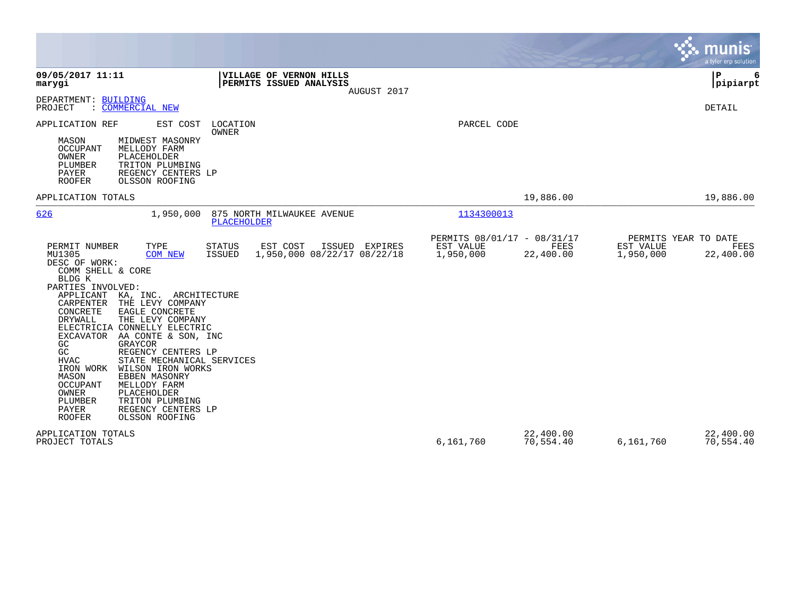|                                                                                                                                                                                                                                                                                                                                                                                                                                                                                                                                                                                                                               |                                                                                      |                                                       |                        |                        | munis<br>a tyler erp solution             |
|-------------------------------------------------------------------------------------------------------------------------------------------------------------------------------------------------------------------------------------------------------------------------------------------------------------------------------------------------------------------------------------------------------------------------------------------------------------------------------------------------------------------------------------------------------------------------------------------------------------------------------|--------------------------------------------------------------------------------------|-------------------------------------------------------|------------------------|------------------------|-------------------------------------------|
| 09/05/2017 11:11<br>marygi                                                                                                                                                                                                                                                                                                                                                                                                                                                                                                                                                                                                    | VILLAGE OF VERNON HILLS<br>PERMITS ISSUED ANALYSIS<br>AUGUST 2017                    |                                                       |                        |                        | $\mathbf{P}$<br>6<br> pipiarpt            |
| DEPARTMENT: BUILDING<br>: COMMERCIAL NEW<br>PROJECT                                                                                                                                                                                                                                                                                                                                                                                                                                                                                                                                                                           |                                                                                      |                                                       |                        |                        | DETAIL                                    |
| EST COST<br>APPLICATION REF<br>MASON<br>MIDWEST MASONRY<br>OCCUPANT<br>MELLODY FARM<br>OWNER<br>PLACEHOLDER<br>PLUMBER<br>TRITON PLUMBING<br><b>PAYER</b><br>REGENCY CENTERS LP<br><b>ROOFER</b><br>OLSSON ROOFING                                                                                                                                                                                                                                                                                                                                                                                                            | LOCATION<br><b>OWNER</b>                                                             | PARCEL CODE                                           |                        |                        |                                           |
| APPLICATION TOTALS                                                                                                                                                                                                                                                                                                                                                                                                                                                                                                                                                                                                            |                                                                                      |                                                       | 19,886.00              |                        | 19,886.00                                 |
| 626<br>1,950,000                                                                                                                                                                                                                                                                                                                                                                                                                                                                                                                                                                                                              | 875 NORTH MILWAUKEE AVENUE<br><b>PLACEHOLDER</b>                                     | 1134300013                                            |                        |                        |                                           |
| TYPE<br>PERMIT NUMBER<br>MU1305<br><b>COM NEW</b><br>DESC OF WORK:<br>COMM SHELL & CORE<br>BLDG K<br>PARTIES INVOLVED:<br>APPLICANT<br>KA, INC. ARCHITECTURE<br>CARPENTER<br>THE LEVY COMPANY<br>CONCRETE<br>EAGLE CONCRETE<br>DRYWALL<br>THE LEVY COMPANY<br>ELECTRICIA CONNELLY ELECTRIC<br>EXCAVATOR AA CONTE & SON, INC<br>GC<br>GRAYCOR<br>GC<br>REGENCY CENTERS LP<br>HVAC<br>STATE MECHANICAL SERVICES<br>IRON WORK<br>WILSON IRON WORKS<br>EBBEN MASONRY<br>MASON<br>OCCUPANT<br>MELLODY FARM<br>OWNER<br>PLACEHOLDER<br>PLUMBER<br>TRITON PLUMBING<br>PAYER<br>REGENCY CENTERS LP<br><b>ROOFER</b><br>OLSSON ROOFING | <b>STATUS</b><br>ISSUED EXPIRES<br>EST COST<br>1,950,000 08/22/17 08/22/18<br>ISSUED | PERMITS 08/01/17 - 08/31/17<br>EST VALUE<br>1,950,000 | FEES<br>22,400.00      | EST VALUE<br>1,950,000 | PERMITS YEAR TO DATE<br>FEES<br>22,400.00 |
| APPLICATION TOTALS<br>PROJECT TOTALS                                                                                                                                                                                                                                                                                                                                                                                                                                                                                                                                                                                          |                                                                                      | 6,161,760                                             | 22,400.00<br>70,554.40 | 6,161,760              | 22,400.00<br>70,554.40                    |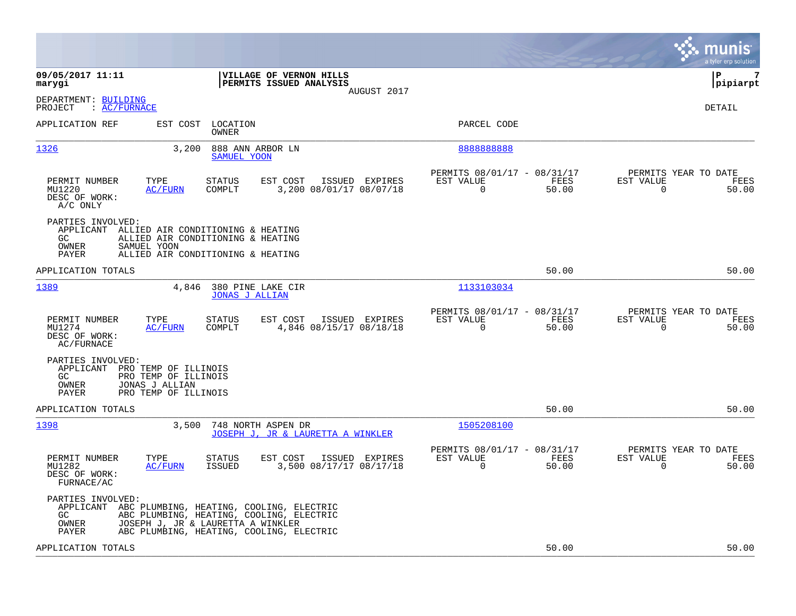|                                                                                                                                                                                                                               |                                                                          | munis<br>a tyler erp solution                                     |
|-------------------------------------------------------------------------------------------------------------------------------------------------------------------------------------------------------------------------------|--------------------------------------------------------------------------|-------------------------------------------------------------------|
| 09/05/2017 11:11<br>VILLAGE OF VERNON HILLS<br>PERMITS ISSUED ANALYSIS<br>marygi<br>AUGUST 2017                                                                                                                               |                                                                          | lР<br>7<br> pipiarpt                                              |
| DEPARTMENT: BUILDING<br>: AC/FURNACE<br>PROJECT                                                                                                                                                                               |                                                                          | DETAIL                                                            |
| APPLICATION REF<br>EST COST<br>LOCATION<br>OWNER                                                                                                                                                                              | PARCEL CODE                                                              |                                                                   |
| 1326<br>888 ANN ARBOR LN<br>3,200<br>SAMUEL YOON                                                                                                                                                                              | 888888888                                                                |                                                                   |
| EST COST<br>PERMIT NUMBER<br>TYPE<br>STATUS<br>ISSUED EXPIRES<br>MU1220<br><b>AC/FURN</b><br>COMPLT<br>3,200 08/01/17 08/07/18<br>DESC OF WORK:<br>A/C ONLY                                                                   | PERMITS 08/01/17 - 08/31/17<br>EST VALUE<br>FEES<br>$\mathbf 0$<br>50.00 | PERMITS YEAR TO DATE<br>EST VALUE<br>FEES<br>$\mathbf 0$<br>50.00 |
| PARTIES INVOLVED:<br>APPLICANT<br>ALLIED AIR CONDITIONING & HEATING<br>GC.<br>ALLIED AIR CONDITIONING & HEATING<br>OWNER<br>SAMUEL YOON<br>PAYER<br>ALLIED AIR CONDITIONING & HEATING                                         |                                                                          |                                                                   |
| APPLICATION TOTALS                                                                                                                                                                                                            | 50.00                                                                    | 50.00                                                             |
| 1389<br>4,846<br>380 PINE LAKE CIR<br><b>JONAS J ALLIAN</b>                                                                                                                                                                   | 1133103034                                                               |                                                                   |
| EST COST<br>PERMIT NUMBER<br>TYPE<br><b>STATUS</b><br>ISSUED EXPIRES<br>COMPLT<br>4,846 08/15/17 08/18/18<br>MU1274<br><b>AC/FURN</b><br>DESC OF WORK:<br>AC/FURNACE                                                          | PERMITS 08/01/17 - 08/31/17<br>EST VALUE<br>FEES<br>$\mathbf 0$<br>50.00 | PERMITS YEAR TO DATE<br>EST VALUE<br>FEES<br>$\mathbf 0$<br>50.00 |
| PARTIES INVOLVED:<br>APPLICANT PRO TEMP OF ILLINOIS<br>GC<br>PRO TEMP OF ILLINOIS<br>OWNER<br>JONAS J ALLIAN<br>PAYER<br>PRO TEMP OF ILLINOIS                                                                                 |                                                                          |                                                                   |
| APPLICATION TOTALS                                                                                                                                                                                                            | 50.00                                                                    | 50.00                                                             |
| 1398<br>3,500<br>748 NORTH ASPEN DR<br>JOSEPH J, JR & LAURETTA A WINKLER                                                                                                                                                      | 1505208100                                                               |                                                                   |
| TYPE<br>EST COST<br>ISSUED EXPIRES<br>PERMIT NUMBER<br>STATUS<br>3,500 08/17/17 08/17/18<br>MU1282<br><b>AC/FURN</b><br>ISSUED<br>DESC OF WORK:<br>FURNACE/AC                                                                 | PERMITS 08/01/17 - 08/31/17<br>EST VALUE<br>FEES<br>0<br>50.00           | PERMITS YEAR TO DATE<br>EST VALUE<br>FEES<br>0<br>50.00           |
| PARTIES INVOLVED:<br>APPLICANT ABC PLUMBING, HEATING, COOLING, ELECTRIC<br>ABC PLUMBING, HEATING, COOLING, ELECTRIC<br>GC.<br>JOSEPH J, JR & LAURETTA A WINKLER<br>OWNER<br>ABC PLUMBING, HEATING, COOLING, ELECTRIC<br>PAYER |                                                                          |                                                                   |
| APPLICATION TOTALS                                                                                                                                                                                                            | 50.00                                                                    | 50.00                                                             |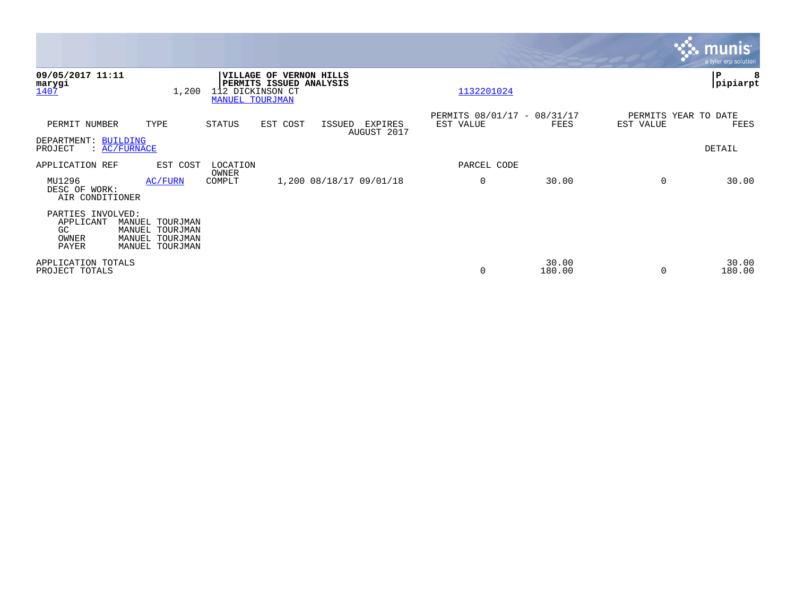|                                                                                                                                                 |                                                                                         | <b>munis</b><br>a tyler erp solution   |
|-------------------------------------------------------------------------------------------------------------------------------------------------|-----------------------------------------------------------------------------------------|----------------------------------------|
| 09/05/2017 11:11<br>VILLAGE OF VERNON HILLS<br>PERMITS ISSUED ANALYSIS<br>marygi<br>1407<br>1,200<br>112 DICKINSON CT<br><b>MANUEL TOURJMAN</b> | 1132201024                                                                              | P<br>8<br> pipiarpt                    |
| STATUS<br>EST COST<br>PERMIT NUMBER<br>TYPE<br>ISSUED<br>DEPARTMENT: BUILDING<br>PROJECT<br>: AC/FURNACE                                        | PERMITS 08/01/17 - 08/31/17<br>EST VALUE<br>EST VALUE<br>FEES<br>EXPIRES<br>AUGUST 2017 | PERMITS YEAR TO DATE<br>FEES<br>DETAIL |
| APPLICATION REF<br>EST COST<br>LOCATION<br>OWNER<br>1,200 08/18/17 09/01/18<br>MU1296<br>COMPLT<br>AC/FURN<br>DESC OF WORK:<br>AIR CONDITIONER  | PARCEL CODE<br>0<br>30.00<br>$\Omega$                                                   | 30.00                                  |
| PARTIES INVOLVED:<br>MANUEL TOURJMAN<br>APPLICANT<br>GC<br>MANUEL TOURJMAN<br>OWNER<br>MANUEL TOURJMAN<br>PAYER<br>MANUEL TOURJMAN              |                                                                                         |                                        |
| APPLICATION TOTALS<br>PROJECT TOTALS                                                                                                            | 30.00<br>180.00<br>0<br>$\Omega$                                                        | 30.00<br>180.00                        |

**The State**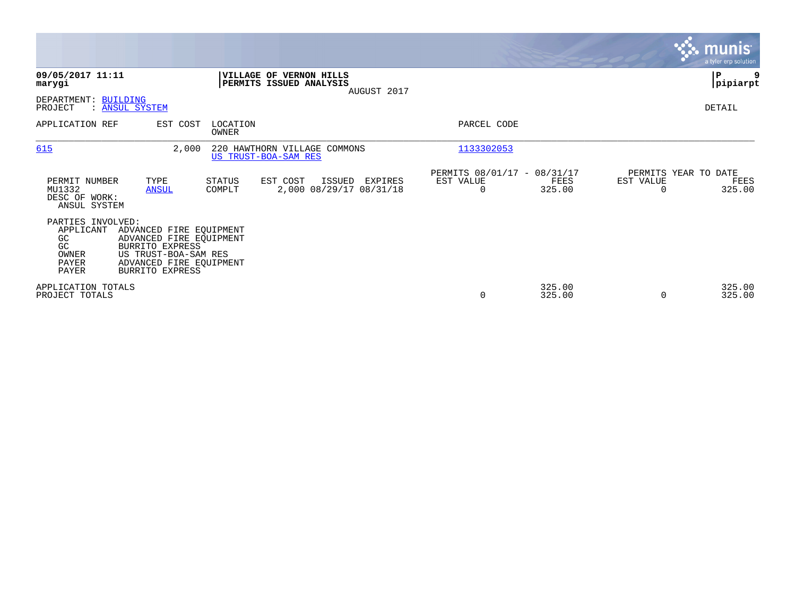|                                                                       |                                                                                                                                                    |                   |                                                                   |                                                      |                  |                                   | <b>munis</b><br>a tyler erp solution |
|-----------------------------------------------------------------------|----------------------------------------------------------------------------------------------------------------------------------------------------|-------------------|-------------------------------------------------------------------|------------------------------------------------------|------------------|-----------------------------------|--------------------------------------|
| 09/05/2017 11:11<br>marygi                                            |                                                                                                                                                    |                   | VILLAGE OF VERNON HILLS<br>PERMITS ISSUED ANALYSIS<br>AUGUST 2017 |                                                      |                  |                                   | P<br> pipiarpt                       |
| DEPARTMENT: BUILDING<br>PROJECT                                       | : ANSUL SYSTEM                                                                                                                                     |                   |                                                                   |                                                      |                  |                                   | <b>DETAIL</b>                        |
| APPLICATION REF                                                       | EST COST                                                                                                                                           | LOCATION<br>OWNER |                                                                   | PARCEL CODE                                          |                  |                                   |                                      |
| 615                                                                   | 2,000                                                                                                                                              |                   | 220 HAWTHORN VILLAGE COMMONS<br>US TRUST-BOA-SAM RES              | 1133302053                                           |                  |                                   |                                      |
| PERMIT NUMBER<br>MU1332<br>DESC OF WORK:<br>ANSUL SYSTEM              | TYPE<br><b>ANSUL</b>                                                                                                                               | STATUS<br>COMPLT  | EST COST<br>ISSUED<br>EXPIRES<br>2,000 08/29/17 08/31/18          | PERMITS 08/01/17 - 08/31/17<br>EST VALUE<br>$\Omega$ | FEES<br>325.00   | PERMITS YEAR TO DATE<br>EST VALUE | FEES<br>325.00                       |
| PARTIES INVOLVED:<br>APPLICANT<br>GC<br>GC<br>OWNER<br>PAYER<br>PAYER | ADVANCED FIRE EQUIPMENT<br>ADVANCED FIRE EQUIPMENT<br>BURRITO EXPRESS<br>US TRUST-BOA-SAM RES<br>ADVANCED FIRE EQUIPMENT<br><b>BURRITO EXPRESS</b> |                   |                                                                   |                                                      |                  |                                   |                                      |
| APPLICATION TOTALS<br>PROJECT TOTALS                                  |                                                                                                                                                    |                   |                                                                   | $\mathbf 0$                                          | 325.00<br>325.00 | 0                                 | 325.00<br>325.00                     |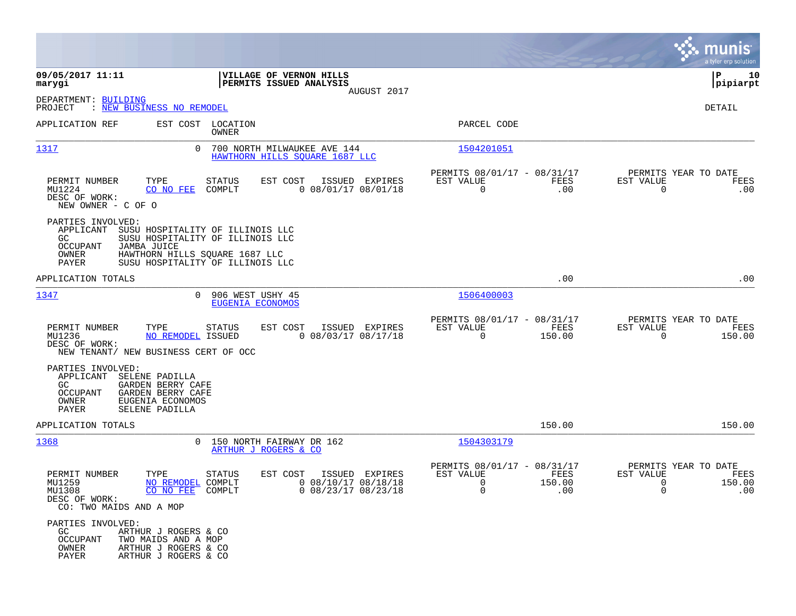|                                                                                                                                                                       |                                                                                                                                            |                                                                                           | munis<br>a tyler erp solution                                        |
|-----------------------------------------------------------------------------------------------------------------------------------------------------------------------|--------------------------------------------------------------------------------------------------------------------------------------------|-------------------------------------------------------------------------------------------|----------------------------------------------------------------------|
| 09/05/2017 11:11<br>marygi                                                                                                                                            | VILLAGE OF VERNON HILLS<br>PERMITS ISSUED ANALYSIS<br>AUGUST 2017                                                                          |                                                                                           | 10<br>IΡ<br> pipiarpt                                                |
| DEPARTMENT: BUILDING<br>PROJECT<br>: NEW BUSINESS NO REMODEL                                                                                                          |                                                                                                                                            |                                                                                           | DETAIL                                                               |
| APPLICATION REF                                                                                                                                                       | EST COST LOCATION<br>OWNER                                                                                                                 | PARCEL CODE                                                                               |                                                                      |
| 1317                                                                                                                                                                  | 700 NORTH MILWAUKEE AVE 144<br>$\Omega$<br>HAWTHORN HILLS SQUARE 1687 LLC                                                                  | 1504201051                                                                                |                                                                      |
| PERMIT NUMBER<br>TYPE<br>MU1224<br>CO NO FEE<br>DESC OF WORK:<br>NEW OWNER - C OF O                                                                                   | STATUS<br>EST COST<br>ISSUED EXPIRES<br>COMPLT<br>$0$ 08/01/17 08/01/18                                                                    | PERMITS 08/01/17 - 08/31/17<br>FEES<br>EST VALUE<br>$\mathbf 0$<br>.00                    | PERMITS YEAR TO DATE<br>EST VALUE<br>FEES<br>$\mathbf 0$<br>.00      |
| PARTIES INVOLVED:<br>APPLICANT<br>GC.<br><b>OCCUPANT</b><br>JAMBA JUICE<br>OWNER<br>PAYER                                                                             | SUSU HOSPITALITY OF ILLINOIS LLC<br>SUSU HOSPITALITY OF ILLINOIS LLC<br>HAWTHORN HILLS SQUARE 1687 LLC<br>SUSU HOSPITALITY OF ILLINOIS LLC |                                                                                           |                                                                      |
| APPLICATION TOTALS                                                                                                                                                    |                                                                                                                                            | .00                                                                                       | .00                                                                  |
| 1347                                                                                                                                                                  | 906 WEST USHY 45<br>$\Omega$<br>EUGENIA ECONOMOS                                                                                           | 1506400003                                                                                |                                                                      |
| PERMIT NUMBER<br>TYPE<br>MU1236<br><b>NO REMODEL ISSUED</b><br>DESC OF WORK:<br>NEW TENANT/ NEW BUSINESS CERT OF OCC                                                  | ISSUED EXPIRES<br>STATUS<br>EST COST<br>$0$ 08/03/17 08/17/18                                                                              | PERMITS 08/01/17 - 08/31/17<br>EST VALUE<br>FEES<br>$\Omega$<br>150.00                    | PERMITS YEAR TO DATE<br>EST VALUE<br>FEES<br>$\Omega$<br>150.00      |
| PARTIES INVOLVED:<br>APPLICANT<br>SELENE PADILLA<br>GARDEN BERRY CAFE<br>GC.<br>OCCUPANT<br>GARDEN BERRY CAFE<br>OWNER<br>EUGENIA ECONOMOS<br>PAYER<br>SELENE PADILLA |                                                                                                                                            |                                                                                           |                                                                      |
| APPLICATION TOTALS                                                                                                                                                    |                                                                                                                                            | 150.00                                                                                    | 150.00                                                               |
| 1368                                                                                                                                                                  | 0 150 NORTH FAIRWAY DR 162<br>ARTHUR J ROGERS & CO                                                                                         | 1504303179                                                                                |                                                                      |
| PERMIT NUMBER<br>TYPE<br>NO REMODEL COMPLT<br>MU1259<br>MU1308<br>CO NO FEE COMPLT<br>DESC OF WORK:<br>CO: TWO MAIDS AND A MOP                                        | STATUS<br>EST COST<br>ISSUED EXPIRES<br>$0$ 08/10/17 08/18/18<br>$0$ 08/23/17 08/23/18                                                     | PERMITS 08/01/17 - 08/31/17<br>EST VALUE<br><b>FEES</b><br>150.00<br>$\Omega$<br>.00<br>0 | PERMITS YEAR TO DATE<br>EST VALUE<br>FEES<br>150.00<br>0<br>.00<br>0 |
| PARTIES INVOLVED:<br>ARTHUR J ROGERS & CO<br>GC<br><b>OCCUPANT</b><br>TWO MAIDS AND A MOP<br>OWNER<br>ARTHUR J ROGERS & CO<br>PAYER<br>ARTHUR J ROGERS & CO           |                                                                                                                                            |                                                                                           |                                                                      |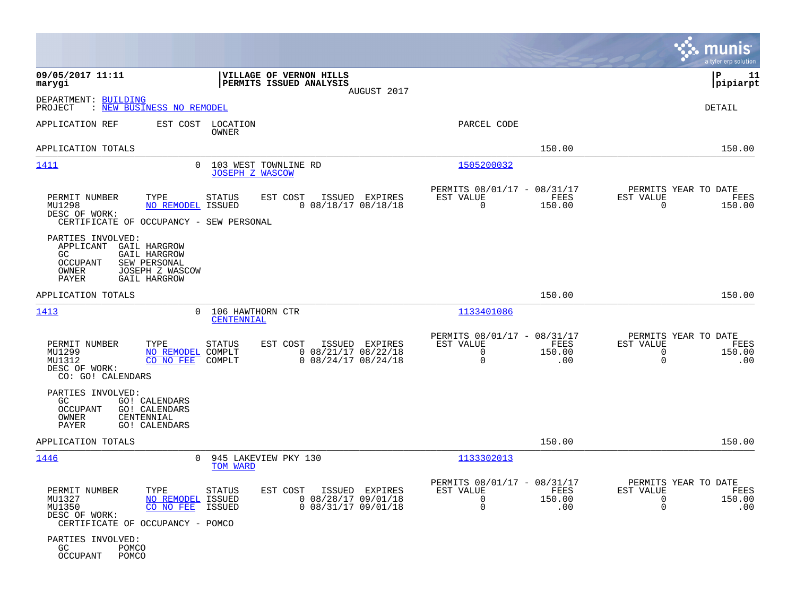|                                                                                                                                                                      |                                                                                                         |                                                         |                       |                                                       | munis<br>a tyler erp solution |
|----------------------------------------------------------------------------------------------------------------------------------------------------------------------|---------------------------------------------------------------------------------------------------------|---------------------------------------------------------|-----------------------|-------------------------------------------------------|-------------------------------|
| 09/05/2017 11:11<br>marygi                                                                                                                                           | VILLAGE OF VERNON HILLS<br>PERMITS ISSUED ANALYSIS<br>AUGUST 2017                                       |                                                         |                       |                                                       | P<br>11<br> pipiarpt          |
| DEPARTMENT: BUILDING<br>: NEW BUSINESS NO REMODEL<br>PROJECT                                                                                                         |                                                                                                         |                                                         |                       |                                                       | DETAIL                        |
| APPLICATION REF                                                                                                                                                      | EST COST LOCATION<br>OWNER                                                                              | PARCEL CODE                                             |                       |                                                       |                               |
| APPLICATION TOTALS                                                                                                                                                   |                                                                                                         |                                                         | 150.00                |                                                       | 150.00                        |
| 1411                                                                                                                                                                 | 0 103 WEST TOWNLINE RD<br><b>JOSEPH Z WASCOW</b>                                                        | 1505200032                                              |                       |                                                       |                               |
| PERMIT NUMBER<br>TYPE<br>MU1298<br><b>NO REMODEL ISSUED</b><br>DESC OF WORK:<br>CERTIFICATE OF OCCUPANCY - SEW PERSONAL                                              | EST COST<br>ISSUED EXPIRES<br>STATUS<br>$0$ 08/18/17 08/18/18                                           | PERMITS 08/01/17 - 08/31/17<br>EST VALUE<br>$\mathbf 0$ | FEES<br>150.00        | PERMITS YEAR TO DATE<br>EST VALUE<br>$\Omega$         | FEES<br>150.00                |
| PARTIES INVOLVED:<br>APPLICANT<br><b>GAIL HARGROW</b><br>GC.<br><b>GAIL HARGROW</b><br>SEW PERSONAL<br>OCCUPANT<br>OWNER<br>JOSEPH Z WASCOW<br>PAYER<br>GAIL HARGROW |                                                                                                         |                                                         |                       |                                                       |                               |
| APPLICATION TOTALS                                                                                                                                                   |                                                                                                         |                                                         | 150.00                |                                                       | 150.00                        |
| 1413                                                                                                                                                                 | 106 HAWTHORN CTR<br>CENTENNIAL                                                                          | 1133401086                                              |                       |                                                       |                               |
| PERMIT NUMBER<br>TYPE<br>MU1299<br>NO REMODEL COMPLT<br>MU1312<br>CO NO FEE<br>DESC OF WORK:<br>CO: GO! CALENDARS                                                    | <b>STATUS</b><br>EST COST<br>ISSUED EXPIRES<br>$0$ 08/21/17 08/22/18<br>$0$ 08/24/17 08/24/18<br>COMPLT | PERMITS 08/01/17 - 08/31/17<br>EST VALUE<br>0<br>0      | FEES<br>150.00<br>.00 | PERMITS YEAR TO DATE<br>EST VALUE<br>0<br>$\mathbf 0$ | FEES<br>150.00<br>.00         |
| PARTIES INVOLVED:<br>GC.<br><b>GO! CALENDARS</b><br>OCCUPANT<br><b>GO! CALENDARS</b><br>OWNER<br>CENTENNIAL<br>PAYER<br><b>GO! CALENDARS</b>                         |                                                                                                         |                                                         |                       |                                                       |                               |
| APPLICATION TOTALS                                                                                                                                                   |                                                                                                         |                                                         | 150.00                |                                                       | 150.00                        |
| <u> 1446</u><br>$\Omega$                                                                                                                                             | 945 LAKEVIEW PKY 130<br>TOM WARD                                                                        | 1133302013                                              |                       |                                                       |                               |
| PERMIT NUMBER<br>TYPE<br>MU1327<br><b>NO REMODEL ISSUED</b><br>MU1350<br>CO NO FEE<br>DESC OF WORK:<br>CERTIFICATE OF OCCUPANCY - POMCO                              | EST COST<br>STATUS<br>ISSUED EXPIRES<br>$0$ 08/28/17 09/01/18<br>0.08/31/17.09/01/18<br>ISSUED          | PERMITS 08/01/17 - 08/31/17<br>EST VALUE<br>0<br>0      | FEES<br>150.00<br>.00 | PERMITS YEAR TO DATE<br>EST VALUE<br>0<br>$\Omega$    | FEES<br>150.00<br>.00         |
| PARTIES INVOLVED:<br>GC.<br>POMCO<br>OCCUPANT<br>POMCO                                                                                                               |                                                                                                         |                                                         |                       |                                                       |                               |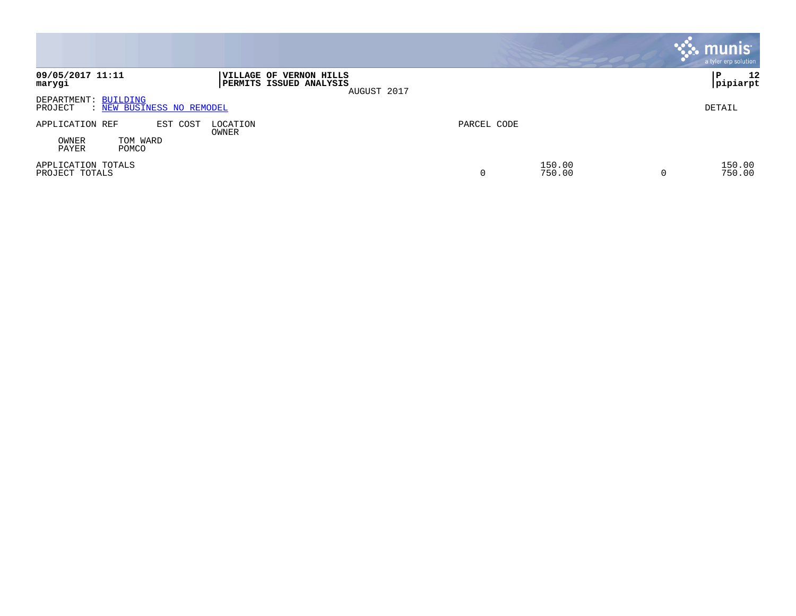|                                                              |                                                                   |             |                  | <b>munis</b><br>a tyler erp solution |
|--------------------------------------------------------------|-------------------------------------------------------------------|-------------|------------------|--------------------------------------|
| 09/05/2017 11:11<br>marygi                                   | VILLAGE OF VERNON HILLS<br>PERMITS ISSUED ANALYSIS<br>AUGUST 2017 |             |                  | 12<br>P<br> pipiarpt                 |
| DEPARTMENT: BUILDING<br>: NEW BUSINESS NO REMODEL<br>PROJECT |                                                                   |             |                  | DETAIL                               |
| APPLICATION REF<br>EST COST                                  | LOCATION<br>OWNER                                                 | PARCEL CODE |                  |                                      |
| OWNER<br>TOM WARD<br>PAYER<br>POMCO                          |                                                                   |             |                  |                                      |
| APPLICATION TOTALS<br>PROJECT TOTALS                         |                                                                   | 0           | 150.00<br>750.00 | 150.00<br>750.00<br>$\overline{0}$   |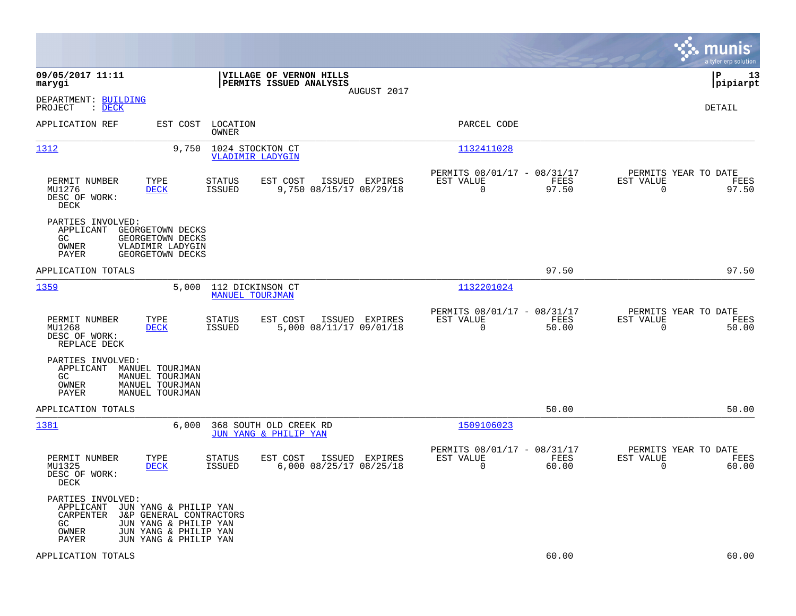|                                                                                                                        |                                                                                                                             |                                            |                                                    |        |                                           |                                                         |                      |                       | munis<br>a tyler erp solution         |
|------------------------------------------------------------------------------------------------------------------------|-----------------------------------------------------------------------------------------------------------------------------|--------------------------------------------|----------------------------------------------------|--------|-------------------------------------------|---------------------------------------------------------|----------------------|-----------------------|---------------------------------------|
| 09/05/2017 11:11<br>marygi                                                                                             |                                                                                                                             |                                            | VILLAGE OF VERNON HILLS<br>PERMITS ISSUED ANALYSIS |        | AUGUST 2017                               |                                                         |                      |                       | ΙP<br>13<br>pipiarpt                  |
| DEPARTMENT: BUILDING<br>PROJECT<br>$\therefore$ DECK                                                                   |                                                                                                                             |                                            |                                                    |        |                                           |                                                         |                      |                       | <b>DETAIL</b>                         |
| APPLICATION REF                                                                                                        | EST COST                                                                                                                    | LOCATION<br>OWNER                          |                                                    |        |                                           | PARCEL CODE                                             |                      |                       |                                       |
| 1312                                                                                                                   | 9,750                                                                                                                       | 1024 STOCKTON CT<br>VLADIMIR LADYGIN       |                                                    |        |                                           | 1132411028                                              |                      |                       |                                       |
| TYPE<br>PERMIT NUMBER<br>MU1276<br><b>DECK</b><br>DESC OF WORK:<br>DECK                                                |                                                                                                                             | <b>STATUS</b><br><b>ISSUED</b>             | EST COST                                           |        | ISSUED EXPIRES<br>9,750 08/15/17 08/29/18 | PERMITS 08/01/17 - 08/31/17<br>EST VALUE<br>$\mathbf 0$ | FEES<br>97.50        | EST VALUE<br>0        | PERMITS YEAR TO DATE<br>FEES<br>97.50 |
| PARTIES INVOLVED:<br>APPLICANT<br>GC.<br>OWNER<br>PAYER                                                                | GEORGETOWN DECKS<br>GEORGETOWN DECKS<br>VLADIMIR LADYGIN<br>GEORGETOWN DECKS                                                |                                            |                                                    |        |                                           |                                                         |                      |                       |                                       |
| APPLICATION TOTALS                                                                                                     |                                                                                                                             |                                            |                                                    |        |                                           |                                                         | 97.50                |                       | 97.50                                 |
| 1359                                                                                                                   | 5,000                                                                                                                       | 112 DICKINSON CT<br><b>MANUEL TOURJMAN</b> |                                                    |        |                                           | 1132201024                                              |                      |                       |                                       |
| PERMIT NUMBER<br>TYPE<br>MU1268<br><b>DECK</b><br>DESC OF WORK:<br>REPLACE DECK                                        |                                                                                                                             | <b>STATUS</b><br><b>ISSUED</b>             | EST COST                                           |        | ISSUED EXPIRES<br>5,000 08/11/17 09/01/18 | PERMITS 08/01/17 - 08/31/17<br>EST VALUE<br>$\Omega$    | FEES<br>50.00        | EST VALUE<br>$\Omega$ | PERMITS YEAR TO DATE<br>FEES<br>50.00 |
| PARTIES INVOLVED:<br>APPLICANT<br>MANUEL TOURJMAN<br>GC<br>MANUEL TOURJMAN<br><b>OWNER</b><br>MANUEL TOURJMAN<br>PAYER | MANUEL TOURJMAN                                                                                                             |                                            |                                                    |        |                                           |                                                         |                      |                       |                                       |
| APPLICATION TOTALS                                                                                                     |                                                                                                                             |                                            |                                                    |        |                                           |                                                         | 50.00                |                       | 50.00                                 |
| 1381                                                                                                                   | 6,000                                                                                                                       |                                            | 368 SOUTH OLD CREEK RD<br>JUN YANG & PHILIP YAN    |        |                                           | 1509106023                                              |                      |                       |                                       |
| PERMIT NUMBER<br>TYPE<br>MU1325<br><b>DECK</b><br>DESC OF WORK:<br>DECK                                                |                                                                                                                             | <b>STATUS</b><br><b>ISSUED</b>             | EST COST                                           | ISSUED | EXPIRES<br>6,000 08/25/17 08/25/18        | PERMITS 08/01/17 - 08/31/17<br>EST VALUE<br>0           | <b>FEES</b><br>60.00 | EST VALUE<br>0        | PERMITS YEAR TO DATE<br>FEES<br>60.00 |
| PARTIES INVOLVED:<br>APPLICANT<br>CARPENTER<br>GC<br>OWNER<br>PAYER                                                    | JUN YANG & PHILIP YAN<br>J&P GENERAL CONTRACTORS<br>JUN YANG & PHILIP YAN<br>JUN YANG & PHILIP YAN<br>JUN YANG & PHILIP YAN |                                            |                                                    |        |                                           |                                                         |                      |                       |                                       |
| APPLICATION TOTALS                                                                                                     |                                                                                                                             |                                            |                                                    |        |                                           |                                                         | 60.00                |                       | 60.00                                 |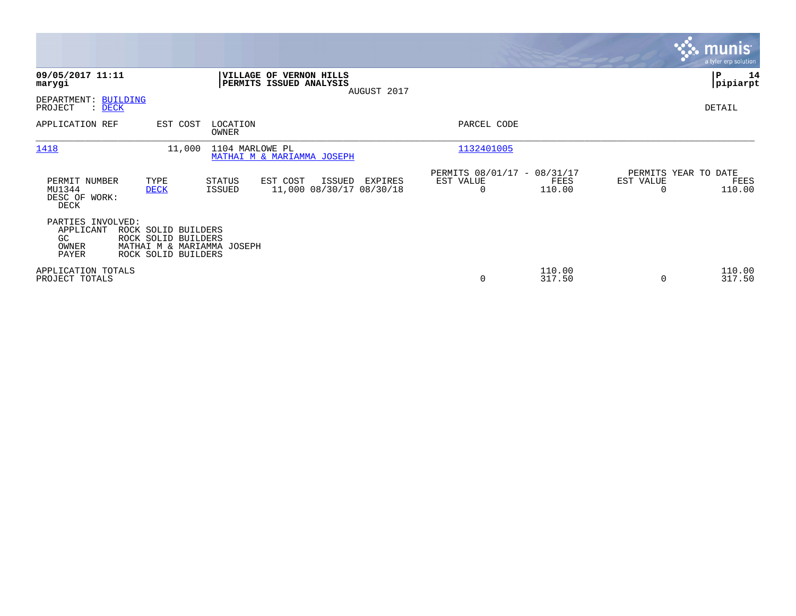|                                                        |                                                                                                 |                   |                                                    |             |                                               |                  |                                   | <b>munis</b><br>a tyler erp solution |
|--------------------------------------------------------|-------------------------------------------------------------------------------------------------|-------------------|----------------------------------------------------|-------------|-----------------------------------------------|------------------|-----------------------------------|--------------------------------------|
| 09/05/2017 11:11<br>marygi                             |                                                                                                 |                   | VILLAGE OF VERNON HILLS<br>PERMITS ISSUED ANALYSIS | AUGUST 2017 |                                               |                  |                                   | 14<br>∣₽<br> pipiarpt                |
| DEPARTMENT: BUILDING<br>PROJECT<br>$\therefore$ DECK   |                                                                                                 |                   |                                                    |             |                                               |                  |                                   | DETAIL                               |
| APPLICATION REF                                        | EST COST                                                                                        | LOCATION<br>OWNER |                                                    |             | PARCEL CODE                                   |                  |                                   |                                      |
| 1418                                                   | 11,000                                                                                          |                   | 1104 MARLOWE PL<br>MATHAI M & MARIAMMA JOSEPH      |             | 1132401005                                    |                  |                                   |                                      |
| PERMIT NUMBER<br>MU1344<br>DESC OF WORK:<br>DECK       | TYPE<br><b>DECK</b>                                                                             | STATUS<br>ISSUED  | EST COST<br>ISSUED<br>11,000 08/30/17 08/30/18     | EXPIRES     | PERMITS 08/01/17 - 08/31/17<br>EST VALUE<br>0 | FEES<br>110.00   | PERMITS YEAR TO DATE<br>EST VALUE | FEES<br>110.00                       |
| PARTIES INVOLVED:<br>APPLICANT<br>GC<br>OWNER<br>PAYER | ROCK SOLID BUILDERS<br>ROCK SOLID BUILDERS<br>MATHAI M & MARIAMMA JOSEPH<br>ROCK SOLID BUILDERS |                   |                                                    |             |                                               |                  |                                   |                                      |
| APPLICATION TOTALS<br>PROJECT TOTALS                   |                                                                                                 |                   |                                                    |             | 0                                             | 110.00<br>317.50 |                                   | 110.00<br>317.50                     |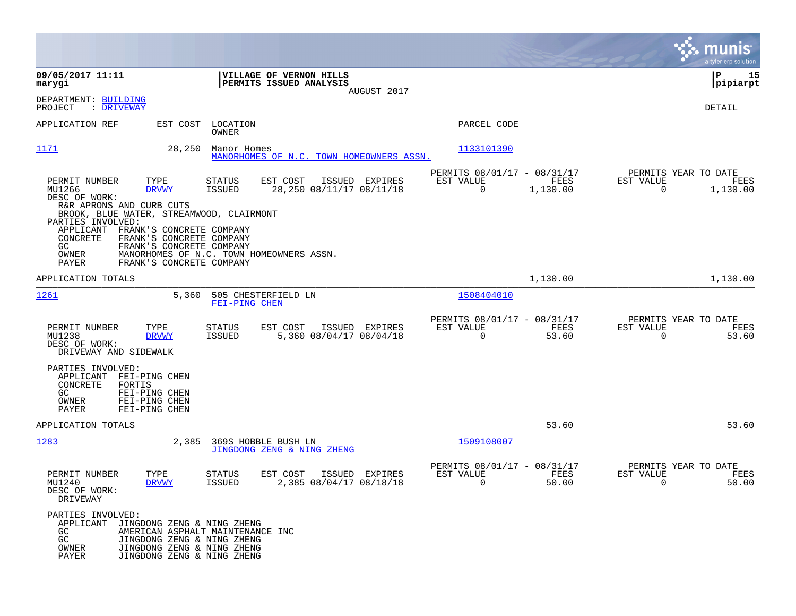|                                                                                                                                                               |                                                                                                                              |                                                                             | munis<br>a tyler erp solution                                        |
|---------------------------------------------------------------------------------------------------------------------------------------------------------------|------------------------------------------------------------------------------------------------------------------------------|-----------------------------------------------------------------------------|----------------------------------------------------------------------|
| 09/05/2017 11:11<br>marygi                                                                                                                                    | VILLAGE OF VERNON HILLS<br>PERMITS ISSUED ANALYSIS                                                                           |                                                                             | 15<br>ΙP<br> pipiarpt                                                |
| DEPARTMENT: BUILDING<br>PROJECT<br>: <u>DRIVEWAY</u>                                                                                                          |                                                                                                                              | AUGUST 2017                                                                 | DETAIL                                                               |
| APPLICATION REF                                                                                                                                               | LOCATION<br>EST COST<br>OWNER                                                                                                | PARCEL CODE                                                                 |                                                                      |
| <u> 1171</u>                                                                                                                                                  | 28,250<br>Manor Homes<br>MANORHOMES OF N.C. TOWN HOMEOWNERS ASSN.                                                            | 1133101390                                                                  |                                                                      |
| PERMIT NUMBER<br>TYPE<br>MU1266<br><b>DRVWY</b><br>DESC OF WORK:<br>R&R APRONS AND CURB CUTS<br>BROOK, BLUE WATER, STREAMWOOD, CLAIRMONT<br>PARTIES INVOLVED: | EST COST<br>STATUS<br>ISSUED EXPIRES<br><b>ISSUED</b><br>28, 250 08/11/17 08/11/18                                           | PERMITS 08/01/17 - 08/31/17<br>EST VALUE<br>FEES<br>$\mathbf 0$<br>1,130.00 | PERMITS YEAR TO DATE<br>EST VALUE<br>FEES<br>$\mathbf 0$<br>1,130.00 |
| APPLICANT FRANK'S CONCRETE COMPANY<br>CONCRETE<br>GC<br>OWNER<br>PAYER                                                                                        | FRANK'S CONCRETE COMPANY<br>FRANK'S CONCRETE COMPANY<br>MANORHOMES OF N.C. TOWN HOMEOWNERS ASSN.<br>FRANK'S CONCRETE COMPANY |                                                                             |                                                                      |
| APPLICATION TOTALS                                                                                                                                            |                                                                                                                              | 1,130.00                                                                    | 1,130.00                                                             |
| 1261                                                                                                                                                          | 5,360<br>505 CHESTERFIELD LN<br>FEI-PING CHEN                                                                                | 1508404010                                                                  |                                                                      |
| PERMIT NUMBER<br>TYPE<br>MU1238<br><b>DRVWY</b><br>DESC OF WORK:<br>DRIVEWAY AND SIDEWALK                                                                     | STATUS<br>EST COST<br>ISSUED EXPIRES<br>5,360 08/04/17 08/04/18<br>ISSUED                                                    | PERMITS 08/01/17 - 08/31/17<br>EST VALUE<br>FEES<br>$\mathbf 0$<br>53.60    | PERMITS YEAR TO DATE<br>EST VALUE<br>FEES<br>$\mathbf 0$<br>53.60    |
| PARTIES INVOLVED:<br>APPLICANT<br>FEI-PING CHEN<br>CONCRETE<br>FORTIS<br>GC<br>FEI-PING CHEN<br>OWNER<br>FEI-PING CHEN<br>PAYER<br>FEI-PING CHEN              |                                                                                                                              |                                                                             |                                                                      |
| APPLICATION TOTALS                                                                                                                                            |                                                                                                                              | 53.60                                                                       | 53.60                                                                |
| 1283                                                                                                                                                          | 2,385<br>369S HOBBLE BUSH LN<br>JINGDONG ZENG & NING ZHENG                                                                   | 1509108007                                                                  |                                                                      |
| PERMIT NUMBER<br>TYPE<br>MU1240<br><b>DRVWY</b><br>DESC OF WORK:<br>DRIVEWAY                                                                                  | STATUS<br>EST COST<br>ISSUED EXPIRES<br>2,385 08/04/17 08/18/18<br><b>ISSUED</b>                                             | PERMITS 08/01/17 - 08/31/17<br>EST VALUE<br>FEES<br>0<br>50.00              | PERMITS YEAR TO DATE<br>EST VALUE<br>FEES<br>50.00<br>0              |
| PARTIES INVOLVED:<br>APPLICANT JINGDONG ZENG & NING ZHENG<br>GC.<br>GC<br>OWNER<br>PAYER                                                                      | AMERICAN ASPHALT MAINTENANCE INC<br>JINGDONG ZENG & NING ZHENG<br>JINGDONG ZENG & NING ZHENG<br>JINGDONG ZENG & NING ZHENG   |                                                                             |                                                                      |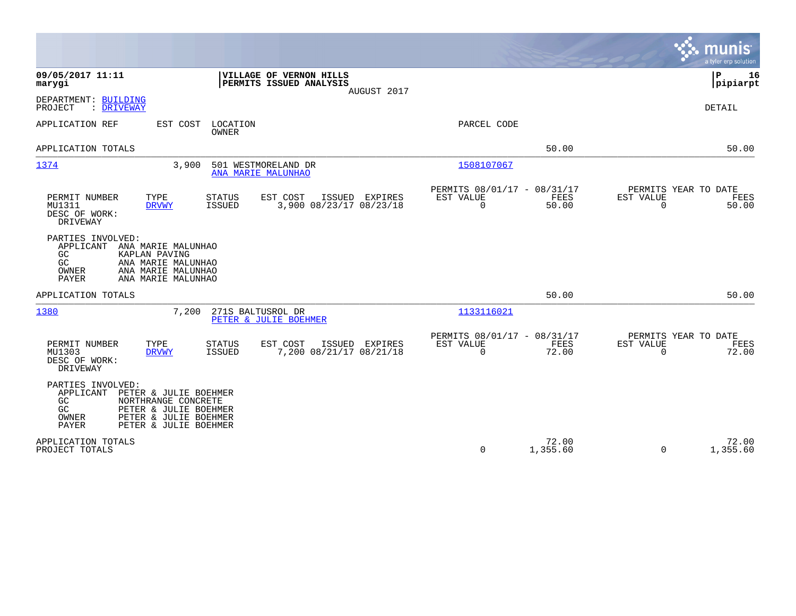|                                                                                                                                                                                                |                                                                   |                                                      |                                   | munis<br>a tyler erp solution                        |
|------------------------------------------------------------------------------------------------------------------------------------------------------------------------------------------------|-------------------------------------------------------------------|------------------------------------------------------|-----------------------------------|------------------------------------------------------|
| 09/05/2017 11:11<br>marygi                                                                                                                                                                     | VILLAGE OF VERNON HILLS<br>PERMITS ISSUED ANALYSIS<br>AUGUST 2017 |                                                      |                                   | P<br>16<br> pipiarpt                                 |
| DEPARTMENT: BUILDING<br>PROJECT<br>: DRIVEWAY                                                                                                                                                  |                                                                   |                                                      |                                   | <b>DETAIL</b>                                        |
| APPLICATION REF<br>EST COST<br>LOCATION<br><b>OWNER</b>                                                                                                                                        |                                                                   | PARCEL CODE                                          |                                   |                                                      |
| APPLICATION TOTALS                                                                                                                                                                             |                                                                   |                                                      | 50.00                             | 50.00                                                |
| 1374<br>3,900                                                                                                                                                                                  | 501 WESTMORELAND DR<br>ANA MARIE MALUNHAO                         | 1508107067                                           |                                   |                                                      |
| PERMIT NUMBER<br>TYPE<br><b>STATUS</b><br>MU1311<br><b>ISSUED</b><br><b>DRVWY</b><br>DESC OF WORK:<br>DRIVEWAY                                                                                 | EST COST<br>ISSUED EXPIRES<br>3,900 08/23/17 08/23/18             | PERMITS 08/01/17 - 08/31/17<br>EST VALUE<br>$\Omega$ | <b>FEES</b><br>EST VALUE<br>50.00 | PERMITS YEAR TO DATE<br>FEES<br>$\mathbf 0$<br>50.00 |
| PARTIES INVOLVED:<br>APPLICANT<br>ANA MARIE MALUNHAO<br>KAPLAN PAVING<br>GC.<br>ANA MARIE MALUNHAO<br>GC<br>ANA MARIE MALUNHAO<br>OWNER<br><b>PAYER</b><br>ANA MARIE MALUNHAO                  |                                                                   |                                                      |                                   |                                                      |
| APPLICATION TOTALS                                                                                                                                                                             |                                                                   |                                                      | 50.00                             | 50.00                                                |
| 1380<br>7,200                                                                                                                                                                                  | 271S BALTUSROL DR<br>PETER & JULIE BOEHMER                        | 1133116021                                           |                                   |                                                      |
| PERMIT NUMBER<br>TYPE<br>STATUS<br>MU1303<br><b>ISSUED</b><br><b>DRVWY</b><br>DESC OF WORK:<br>DRIVEWAY                                                                                        | EST COST<br>ISSUED<br><b>EXPIRES</b><br>7,200 08/21/17 08/21/18   | PERMITS 08/01/17 - 08/31/17<br>EST VALUE<br>$\Omega$ | <b>FEES</b><br>EST VALUE<br>72.00 | PERMITS YEAR TO DATE<br>FEES<br>$\Omega$<br>72.00    |
| PARTIES INVOLVED:<br>APPLICANT<br>PETER & JULIE BOEHMER<br>GC<br>NORTHRANGE CONCRETE<br>GC<br>PETER & JULIE BOEHMER<br>OWNER<br>PETER & JULIE BOEHMER<br><b>PAYER</b><br>PETER & JULIE BOEHMER |                                                                   |                                                      |                                   |                                                      |
| APPLICATION TOTALS<br>PROJECT TOTALS                                                                                                                                                           |                                                                   | $\Omega$                                             | 72.00<br>1,355.60                 | 72.00<br>$\Omega$<br>1,355.60                        |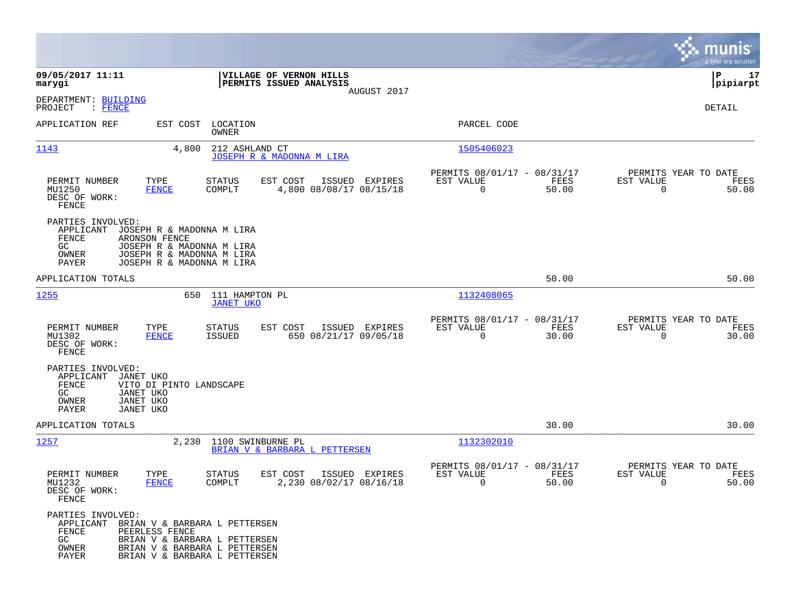|                                                                                                                                                                                                                       |                                                                                     |                                                                                 | munis<br>a tyler erp solution                                        |
|-----------------------------------------------------------------------------------------------------------------------------------------------------------------------------------------------------------------------|-------------------------------------------------------------------------------------|---------------------------------------------------------------------------------|----------------------------------------------------------------------|
| 09/05/2017 11:11<br>marygi                                                                                                                                                                                            | VILLAGE OF VERNON HILLS<br>PERMITS ISSUED ANALYSIS                                  |                                                                                 | P<br>17<br> pipiarpt                                                 |
| DEPARTMENT: BUILDING<br>PROJECT<br>: FENCE                                                                                                                                                                            | AUGUST 2017                                                                         |                                                                                 | DETAIL                                                               |
| APPLICATION REF                                                                                                                                                                                                       | EST COST LOCATION<br>OWNER                                                          | PARCEL CODE                                                                     |                                                                      |
| 1143<br>4,800                                                                                                                                                                                                         | 212 ASHLAND CT<br>JOSEPH R & MADONNA M LIRA                                         | 1505406023                                                                      |                                                                      |
| PERMIT NUMBER<br>TYPE<br>MU1250<br><b>FENCE</b><br>DESC OF WORK:<br>FENCE                                                                                                                                             | <b>STATUS</b><br>EXPIRES<br>EST COST<br>ISSUED<br>COMPLT<br>4,800 08/08/17 08/15/18 | PERMITS 08/01/17 - 08/31/17<br>EST VALUE<br>FEES<br>$\mathbf 0$<br>50.00        | PERMITS YEAR TO DATE<br>EST VALUE<br>FEES<br>$\overline{0}$<br>50.00 |
| PARTIES INVOLVED:<br>APPLICANT<br>JOSEPH R & MADONNA M LIRA<br>FENCE<br>ARONSON FENCE<br>GC.<br>JOSEPH R & MADONNA M LIRA<br>$\sqrt{\text{OWNER}}$<br>JOSEPH R & MADONNA M LIRA<br>PAYER<br>JOSEPH R & MADONNA M LIRA |                                                                                     |                                                                                 |                                                                      |
| APPLICATION TOTALS                                                                                                                                                                                                    |                                                                                     | 50.00                                                                           | 50.00                                                                |
| 1255<br>650                                                                                                                                                                                                           | 111 HAMPTON PL<br><b>JANET UKO</b>                                                  | 1132408065                                                                      |                                                                      |
| PERMIT NUMBER<br>TYPE<br>MU1302<br><b>FENCE</b><br>DESC OF WORK:<br>FENCE                                                                                                                                             | EST COST<br>ISSUED EXPIRES<br>STATUS<br>650 08/21/17 09/05/18<br><b>ISSUED</b>      | PERMITS 08/01/17 - 08/31/17<br>EST VALUE<br><b>FEES</b><br>$\mathbf 0$<br>30.00 | PERMITS YEAR TO DATE<br>EST VALUE<br>FEES<br>$\mathbf 0$<br>30.00    |
| PARTIES INVOLVED:<br>APPLICANT<br>JANET UKO<br>FENCE<br>VITO DI PINTO LANDSCAPE<br>GC<br>JANET UKO<br>JANET UKO<br>OWNER<br>PAYER<br>JANET UKO                                                                        |                                                                                     |                                                                                 |                                                                      |
| APPLICATION TOTALS                                                                                                                                                                                                    |                                                                                     | 30.00                                                                           | 30.00                                                                |
| 1257<br>2,230                                                                                                                                                                                                         | 1100 SWINBURNE PL<br>BRIAN V & BARBARA L PETTERSEN                                  | 1132302010                                                                      |                                                                      |
| PERMIT NUMBER<br>TYPE<br>MU1232<br><b>FENCE</b><br>DESC OF WORK:<br>FENCE                                                                                                                                             | EST COST<br>ISSUED EXPIRES<br>STATUS<br>2,230 08/02/17 08/16/18<br>COMPLT           | PERMITS 08/01/17 - 08/31/17<br>EST VALUE<br>FEES<br>0<br>50.00                  | PERMITS YEAR TO DATE<br>EST VALUE<br>FEES<br>0<br>50.00              |
| PARTIES INVOLVED:<br>APPLICANT<br>BRIAN V & BARBARA L PETTERSEN<br>FENCE<br>PEERLESS FENCE<br>GC<br>BRIAN V & BARBARA L PETTERSEN<br>OWNER<br>BRIAN V & BARBARA L PETTERSEN<br>PAYER<br>BRIAN V & BARBARA L PETTERSEN |                                                                                     |                                                                                 |                                                                      |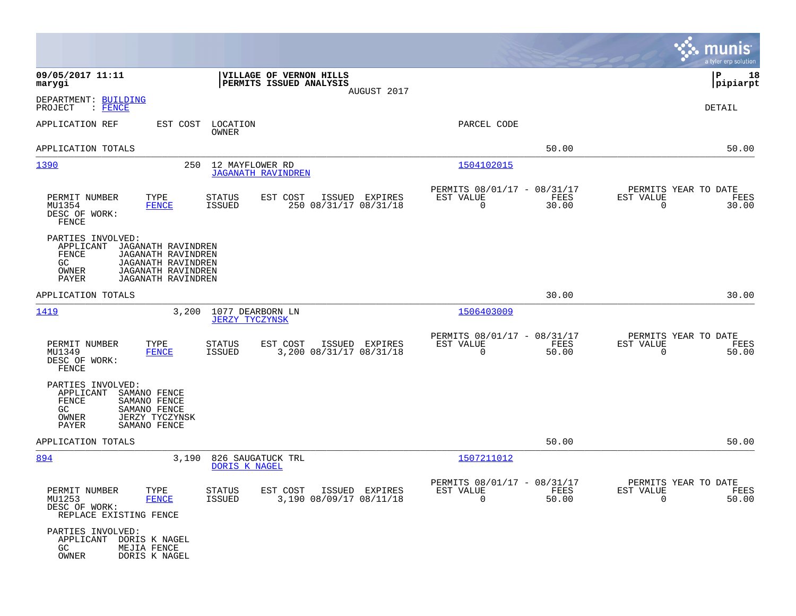|                                                                                                                                                                                                    |                                                                                         |                                                                          | munis<br>a tyler erp solution                                     |
|----------------------------------------------------------------------------------------------------------------------------------------------------------------------------------------------------|-----------------------------------------------------------------------------------------|--------------------------------------------------------------------------|-------------------------------------------------------------------|
| 09/05/2017 11:11<br>marygi                                                                                                                                                                         | VILLAGE OF VERNON HILLS<br>PERMITS ISSUED ANALYSIS<br>AUGUST 2017                       |                                                                          | P<br>18<br> pipiarpt                                              |
| DEPARTMENT: BUILDING<br>PROJECT<br>: FENCE                                                                                                                                                         |                                                                                         |                                                                          | DETAIL                                                            |
| APPLICATION REF<br>EST COST                                                                                                                                                                        | LOCATION<br>OWNER                                                                       | PARCEL CODE                                                              |                                                                   |
| APPLICATION TOTALS                                                                                                                                                                                 |                                                                                         | 50.00                                                                    | 50.00                                                             |
| 1390<br>250                                                                                                                                                                                        | 12 MAYFLOWER RD<br><b>JAGANATH RAVINDREN</b>                                            | 1504102015                                                               |                                                                   |
| PERMIT NUMBER<br>TYPE<br>MU1354<br><b>FENCE</b><br>DESC OF WORK:<br>FENCE                                                                                                                          | <b>STATUS</b><br>EST COST<br>ISSUED EXPIRES<br><b>ISSUED</b><br>250 08/31/17 08/31/18   | PERMITS 08/01/17 - 08/31/17<br>EST VALUE<br>FEES<br>0<br>30.00           | PERMITS YEAR TO DATE<br>EST VALUE<br>FEES<br>$\mathbf 0$<br>30.00 |
| PARTIES INVOLVED:<br>APPLICANT<br>JAGANATH RAVINDREN<br>FENCE<br><b>JAGANATH RAVINDREN</b><br>GC<br>JAGANATH RAVINDREN<br>OWNER<br><b>JAGANATH RAVINDREN</b><br>PAYER<br><b>JAGANATH RAVINDREN</b> |                                                                                         |                                                                          |                                                                   |
| APPLICATION TOTALS                                                                                                                                                                                 |                                                                                         | 30.00                                                                    | 30.00                                                             |
| <u> 1419</u><br>3,200                                                                                                                                                                              | 1077 DEARBORN LN<br><b>JERZY TYCZYNSK</b>                                               | 1506403009                                                               |                                                                   |
| PERMIT NUMBER<br>TYPE<br>MU1349<br><b>FENCE</b><br>DESC OF WORK:<br>FENCE                                                                                                                          | EST COST<br><b>STATUS</b><br>ISSUED EXPIRES<br><b>ISSUED</b><br>3,200 08/31/17 08/31/18 | PERMITS 08/01/17 - 08/31/17<br>FEES<br>EST VALUE<br>$\mathbf 0$<br>50.00 | PERMITS YEAR TO DATE<br>EST VALUE<br>FEES<br>$\mathbf 0$<br>50.00 |
| PARTIES INVOLVED:<br>APPLICANT<br>SAMANO FENCE<br>FENCE<br>SAMANO FENCE<br>GC.<br>SAMANO FENCE<br>JERZY TYCZYNSK<br>OWNER<br>PAYER<br>SAMANO FENCE                                                 |                                                                                         |                                                                          |                                                                   |
| APPLICATION TOTALS                                                                                                                                                                                 |                                                                                         | 50.00                                                                    | 50.00                                                             |
| 894<br>3,190                                                                                                                                                                                       | 826 SAUGATUCK TRL<br>DORIS K NAGEL                                                      | 1507211012                                                               |                                                                   |
| PERMIT NUMBER<br>TYPE<br>MU1253<br><b>FENCE</b><br>DESC OF WORK:<br>REPLACE EXISTING FENCE                                                                                                         | STATUS<br>EST COST ISSUED EXPIRES<br><b>ISSUED</b><br>3,190 08/09/17 08/11/18           | PERMITS 08/01/17 - 08/31/17<br>EST VALUE<br>FEES<br>$\Omega$<br>50.00    | PERMITS YEAR TO DATE<br>EST VALUE<br>FEES<br>$\Omega$<br>50.00    |
| PARTIES INVOLVED:<br>APPLICANT DORIS K NAGEL<br>GC<br>MEJIA FENCE<br>OWNER<br>DORIS K NAGEL                                                                                                        |                                                                                         |                                                                          |                                                                   |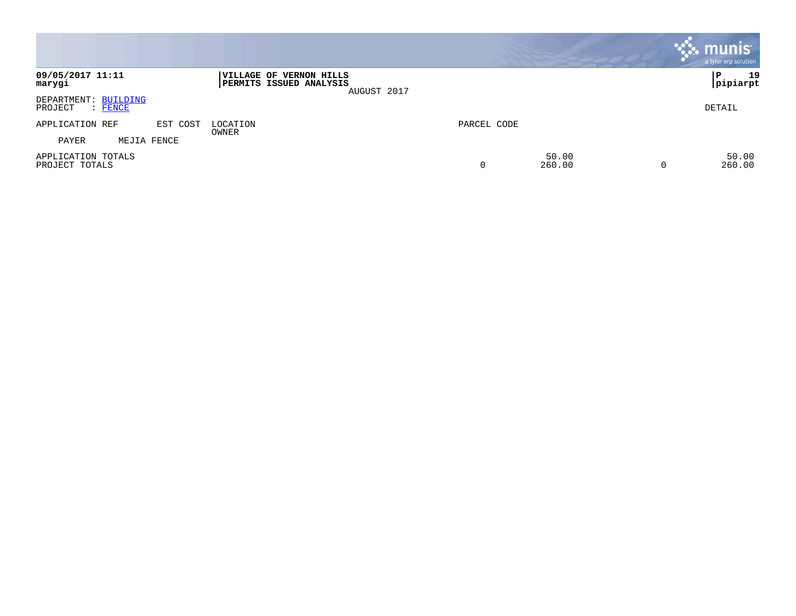|                                              |          |                                                                          |             |                 |   | <b>munis</b><br>a tyler erp solution |
|----------------------------------------------|----------|--------------------------------------------------------------------------|-------------|-----------------|---|--------------------------------------|
| 09/05/2017 11:11<br>marygi                   |          | VILLAGE OF VERNON HILLS<br><b>PERMITS ISSUED ANALYSIS</b><br>AUGUST 2017 |             |                 |   | 19<br>P<br>pipiarpt                  |
| DEPARTMENT: BUILDING<br>PROJECT<br>$:$ FENCE |          |                                                                          |             |                 |   | DETAIL                               |
| APPLICATION REF                              | EST COST | LOCATION<br>OWNER                                                        | PARCEL CODE |                 |   |                                      |
| MEJIA FENCE<br>PAYER                         |          |                                                                          |             |                 |   |                                      |
| APPLICATION TOTALS<br>PROJECT TOTALS         |          |                                                                          | 0           | 50.00<br>260.00 | 0 | 50.00<br>260.00                      |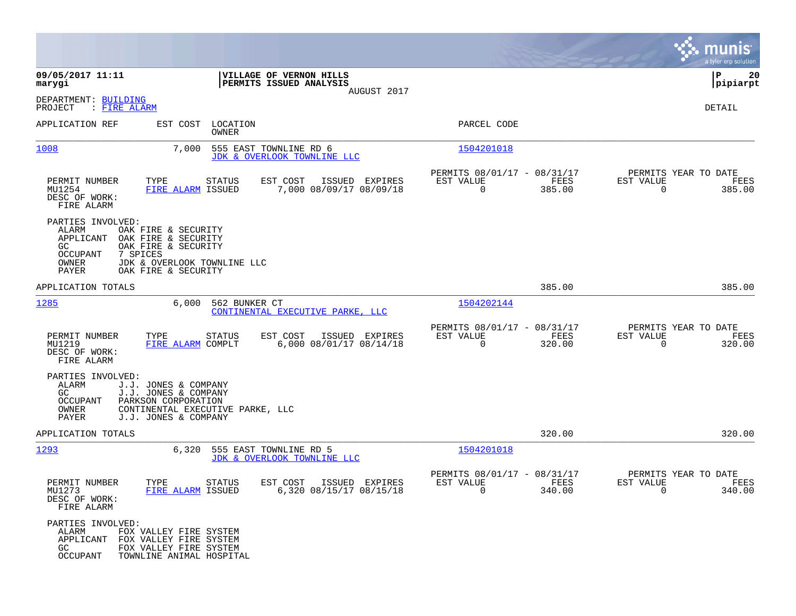|                                                                                                 |                                                                                                                                 |                                               |                                               | munis<br>a tyler erp solution                                         |
|-------------------------------------------------------------------------------------------------|---------------------------------------------------------------------------------------------------------------------------------|-----------------------------------------------|-----------------------------------------------|-----------------------------------------------------------------------|
| 09/05/2017 11:11<br>marygi                                                                      | VILLAGE OF VERNON HILLS<br>PERMITS ISSUED ANALYSIS                                                                              |                                               |                                               | l P<br>20<br> pipiarpt                                                |
| DEPARTMENT: BUILDING<br>: FIRE ALARM<br>PROJECT                                                 |                                                                                                                                 | AUGUST 2017                                   |                                               | DETAIL                                                                |
| APPLICATION REF                                                                                 | EST COST LOCATION<br>OWNER                                                                                                      | PARCEL CODE                                   |                                               |                                                                       |
| 1008                                                                                            | 7,000<br>555 EAST TOWNLINE RD 6<br>JDK & OVERLOOK TOWNLINE LLC                                                                  | 1504201018                                    |                                               |                                                                       |
| PERMIT NUMBER<br>TYPE<br>MU1254<br>DESC OF WORK:<br>FIRE ALARM                                  | EST COST<br>STATUS<br>7,000 08/09/17 08/09/18<br>FIRE ALARM ISSUED                                                              | ISSUED EXPIRES<br>EST VALUE<br>$\overline{0}$ | PERMITS 08/01/17 - 08/31/17<br>FEES<br>385.00 | PERMITS YEAR TO DATE<br>EST VALUE<br>FEES<br>$\Omega$<br>385.00       |
| PARTIES INVOLVED:<br>ALARM<br>APPLICANT<br>GC.<br><b>OCCUPANT</b><br>7 SPICES<br>OWNER<br>PAYER | OAK FIRE & SECURITY<br>OAK FIRE & SECURITY<br>OAK FIRE & SECURITY<br>JDK & OVERLOOK TOWNLINE LLC<br>OAK FIRE & SECURITY         |                                               |                                               |                                                                       |
| APPLICATION TOTALS                                                                              |                                                                                                                                 |                                               | 385.00                                        | 385.00                                                                |
| 1285                                                                                            | 6,000<br>562 BUNKER CT<br>CONTINENTAL EXECUTIVE PARKE, LLC                                                                      | 1504202144                                    |                                               |                                                                       |
| PERMIT NUMBER<br>TYPE<br>MU1219<br>DESC OF WORK:<br>FIRE ALARM                                  | STATUS<br>EST COST<br>FIRE ALARM COMPLT<br>6,000 08/01/17 08/14/18                                                              | ISSUED EXPIRES<br>EST VALUE<br>$\Omega$       | PERMITS 08/01/17 - 08/31/17<br>FEES<br>320.00 | PERMITS YEAR TO DATE<br>EST VALUE<br>FEES<br>$\Omega$<br>320.00       |
| PARTIES INVOLVED:<br>ALARM<br>GC<br>OCCUPANT<br>OWNER<br>PAYER                                  | J.J. JONES & COMPANY<br>J.J. JONES & COMPANY<br>PARKSON CORPORATION<br>CONTINENTAL EXECUTIVE PARKE, LLC<br>J.J. JONES & COMPANY |                                               |                                               |                                                                       |
| APPLICATION TOTALS                                                                              |                                                                                                                                 |                                               | 320.00                                        | 320.00                                                                |
| 1293                                                                                            | 555 EAST TOWNLINE RD 5<br>6,320<br>JDK & OVERLOOK TOWNLINE LLC                                                                  | 1504201018                                    |                                               |                                                                       |
| PERMIT NUMBER<br>TYPE<br>MU1273<br>DESC OF WORK:<br>FIRE ALARM                                  | <b>STATUS</b><br>EST COST<br>6,320 08/15/17 08/15/18<br>FIRE ALARM ISSUED                                                       | ISSUED EXPIRES<br>EST VALUE<br>$\sim$ 0       | PERMITS 08/01/17 - 08/31/17<br>FEES<br>340.00 | PERMITS YEAR TO DATE<br>EST VALUE<br>FEES<br>340.00<br>$\overline{0}$ |
| PARTIES INVOLVED:<br>ALARM<br>APPLICANT FOX VALLEY FIRE SYSTEM<br>GC<br>OCCUPANT                | FOX VALLEY FIRE SYSTEM<br>FOX VALLEY FIRE SYSTEM<br>TOWNLINE ANIMAL HOSPITAL                                                    |                                               |                                               |                                                                       |

 $\mathcal{L}^{\text{max}}$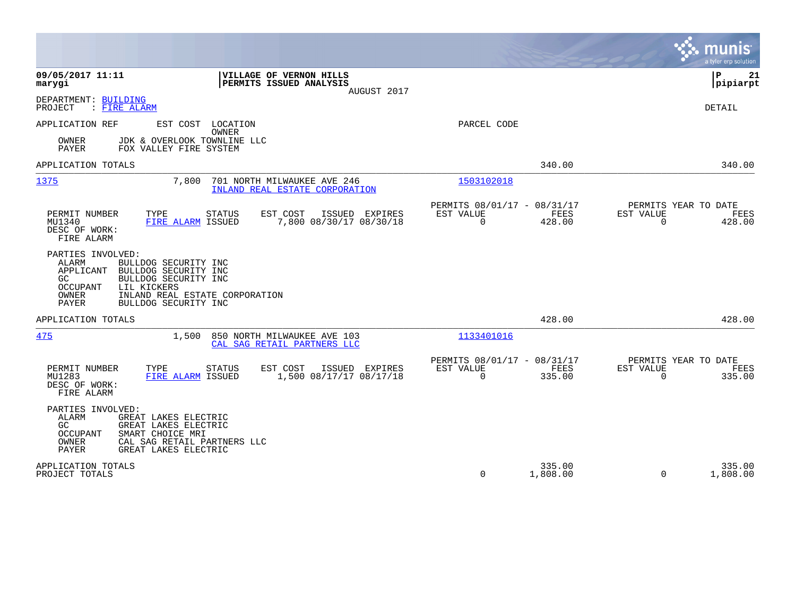|                                                                                                                                                                                                                               |                                                                           | munis<br>a tyler erp solution                                   |
|-------------------------------------------------------------------------------------------------------------------------------------------------------------------------------------------------------------------------------|---------------------------------------------------------------------------|-----------------------------------------------------------------|
| 09/05/2017 11:11<br>VILLAGE OF VERNON HILLS<br>marygi<br>PERMITS ISSUED ANALYSIS<br>AUGUST 2017                                                                                                                               |                                                                           | 21<br>ΙP<br> pipiarpt                                           |
| DEPARTMENT: BUILDING<br>PROJECT<br>: FIRE ALARM                                                                                                                                                                               |                                                                           | DETAIL                                                          |
| EST COST LOCATION<br>APPLICATION REF<br>OWNER<br>JDK & OVERLOOK TOWNLINE LLC<br>OWNER<br><b>PAYER</b><br>FOX VALLEY FIRE SYSTEM                                                                                               | PARCEL CODE                                                               |                                                                 |
| APPLICATION TOTALS                                                                                                                                                                                                            | 340.00                                                                    | 340.00                                                          |
| 1375<br>7,800<br>701 NORTH MILWAUKEE AVE 246<br>INLAND REAL ESTATE CORPORATION                                                                                                                                                | 1503102018                                                                |                                                                 |
| EST COST<br>PERMIT NUMBER<br>TYPE<br><b>STATUS</b><br>ISSUED EXPIRES<br>MU1340<br>FIRE ALARM ISSUED<br>7,800 08/30/17 08/30/18<br>DESC OF WORK:<br>FIRE ALARM                                                                 | PERMITS 08/01/17 - 08/31/17<br>EST VALUE<br>FEES<br>$\mathbf 0$<br>428.00 | PERMITS YEAR TO DATE<br>EST VALUE<br>FEES<br>$\Omega$<br>428.00 |
| PARTIES INVOLVED:<br>ALARM<br>BULLDOG SECURITY INC<br>APPLICANT<br>BULLDOG SECURITY INC<br>BULLDOG SECURITY INC<br>GC.<br>OCCUPANT<br>LIL KICKERS<br>OWNER<br>INLAND REAL ESTATE CORPORATION<br>PAYER<br>BULLDOG SECURITY INC |                                                                           |                                                                 |
| APPLICATION TOTALS                                                                                                                                                                                                            | 428.00                                                                    | 428.00                                                          |
| 475<br>1,500<br>850 NORTH MILWAUKEE AVE 103<br>CAL SAG RETAIL PARTNERS LLC                                                                                                                                                    | 1133401016                                                                |                                                                 |
| PERMIT NUMBER<br>TYPE<br><b>STATUS</b><br>EST COST<br>ISSUED EXPIRES<br>MU1283<br>FIRE ALARM ISSUED<br>1,500 08/17/17 08/17/18<br>DESC OF WORK:<br>FIRE ALARM                                                                 | PERMITS 08/01/17 - 08/31/17<br>EST VALUE<br>FEES<br>$\mathbf 0$<br>335.00 | PERMITS YEAR TO DATE<br>EST VALUE<br>FEES<br>$\Omega$<br>335.00 |
| PARTIES INVOLVED:<br><b>ALARM</b><br>GREAT LAKES ELECTRIC<br>GC<br>GREAT LAKES ELECTRIC<br>OCCUPANT<br>SMART CHOICE MRI<br>OWNER<br>CAL SAG RETAIL PARTNERS LLC<br><b>PAYER</b><br>GREAT LAKES ELECTRIC                       |                                                                           |                                                                 |
| APPLICATION TOTALS<br>PROJECT TOTALS                                                                                                                                                                                          | 335.00<br>0<br>1,808.00                                                   | 335.00<br>1,808.00<br>$\Omega$                                  |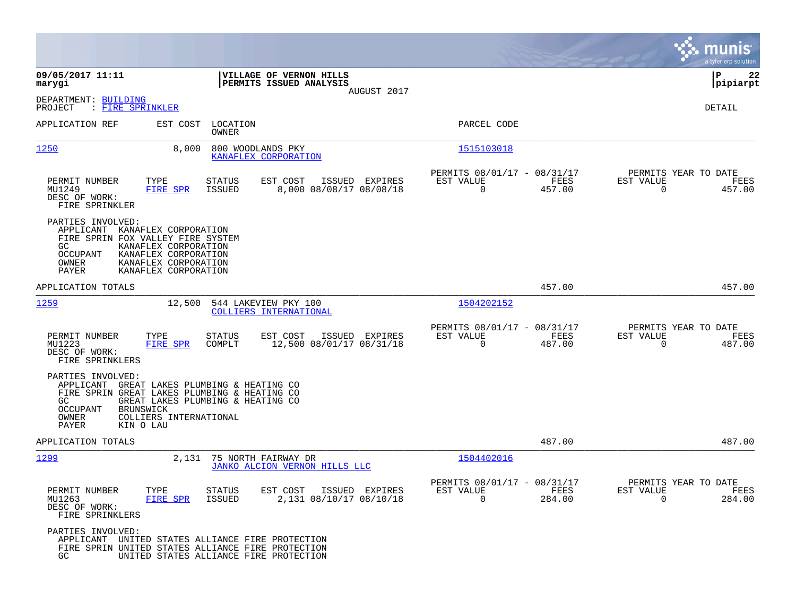|                                                                                                                                                                                                                                                       |                                                                                         |                                                         |                | munis<br>a tyler erp solution                                      |
|-------------------------------------------------------------------------------------------------------------------------------------------------------------------------------------------------------------------------------------------------------|-----------------------------------------------------------------------------------------|---------------------------------------------------------|----------------|--------------------------------------------------------------------|
| 09/05/2017 11:11<br>marygi                                                                                                                                                                                                                            | VILLAGE OF VERNON HILLS<br>PERMITS ISSUED ANALYSIS                                      |                                                         |                | ΙP<br>22<br> pipiarpt                                              |
| DEPARTMENT: BUILDING<br>PROJECT<br>: FIRE SPRINKLER                                                                                                                                                                                                   | AUGUST 2017                                                                             |                                                         |                | DETAIL                                                             |
| EST COST<br>APPLICATION REF                                                                                                                                                                                                                           | LOCATION<br>OWNER                                                                       | PARCEL CODE                                             |                |                                                                    |
| 1250<br>8,000                                                                                                                                                                                                                                         | 800 WOODLANDS PKY<br>KANAFLEX CORPORATION                                               | 1515103018                                              |                |                                                                    |
| TYPE<br>PERMIT NUMBER<br>MU1249<br>FIRE SPR<br>DESC OF WORK:<br>FIRE SPRINKLER                                                                                                                                                                        | EST COST<br><b>STATUS</b><br>ISSUED EXPIRES<br>ISSUED<br>8,000 08/08/17 08/08/18        | PERMITS 08/01/17 - 08/31/17<br>EST VALUE<br>$\Omega$    | FEES<br>457.00 | PERMITS YEAR TO DATE<br>EST VALUE<br>FEES<br>$\mathbf 0$<br>457.00 |
| PARTIES INVOLVED:<br>APPLICANT KANAFLEX CORPORATION<br>FIRE SPRIN FOX VALLEY FIRE SYSTEM<br>GC<br>KANAFLEX CORPORATION<br><b>OCCUPANT</b><br>KANAFLEX CORPORATION<br>OWNER<br>KANAFLEX CORPORATION<br><b>PAYER</b><br>KANAFLEX CORPORATION            |                                                                                         |                                                         |                |                                                                    |
| APPLICATION TOTALS                                                                                                                                                                                                                                    |                                                                                         |                                                         | 457.00         | 457.00                                                             |
| 1259<br>12,500                                                                                                                                                                                                                                        | 544 LAKEVIEW PKY 100<br>COLLIERS INTERNATIONAL                                          | 1504202152                                              |                |                                                                    |
| PERMIT NUMBER<br>TYPE<br>FIRE SPR<br>MU1223<br>DESC OF WORK:<br>FIRE SPRINKLERS                                                                                                                                                                       | <b>STATUS</b><br>EST COST<br>ISSUED EXPIRES<br>12,500 08/01/17 08/31/18<br>COMPLT       | PERMITS 08/01/17 - 08/31/17<br>EST VALUE<br>$\mathbf 0$ | FEES<br>487.00 | PERMITS YEAR TO DATE<br>EST VALUE<br>FEES<br>0<br>487.00           |
| PARTIES INVOLVED:<br>APPLICANT GREAT LAKES PLUMBING & HEATING CO<br>FIRE SPRIN GREAT LAKES PLUMBING & HEATING CO<br>GC.<br>GREAT LAKES PLUMBING & HEATING CO<br>OCCUPANT<br><b>BRUNSWICK</b><br>OWNER<br>COLLIERS INTERNATIONAL<br>PAYER<br>KIN O LAU |                                                                                         |                                                         |                |                                                                    |
| APPLICATION TOTALS                                                                                                                                                                                                                                    |                                                                                         |                                                         | 487.00         | 487.00                                                             |
| <u> 1299</u><br>2,131                                                                                                                                                                                                                                 | 75 NORTH FAIRWAY DR<br>JANKO ALCION VERNON HILLS LLC                                    | 1504402016                                              |                |                                                                    |
| PERMIT NUMBER<br>TYPE<br>MU1263<br><b>FIRE SPR</b><br>DESC OF WORK:<br>FIRE SPRINKLERS                                                                                                                                                                | <b>STATUS</b><br>EST COST<br>ISSUED EXPIRES<br><b>ISSUED</b><br>2,131 08/10/17 08/10/18 | PERMITS 08/01/17 - 08/31/17<br>EST VALUE<br>0           | FEES<br>284.00 | PERMITS YEAR TO DATE<br>EST VALUE<br>FEES<br>$\mathbf 0$<br>284.00 |
| PARTIES INVOLVED:<br>APPLICANT<br>FIRE SPRIN UNITED STATES ALLIANCE FIRE PROTECTION<br>GC                                                                                                                                                             | UNITED STATES ALLIANCE FIRE PROTECTION<br>UNITED STATES ALLIANCE FIRE PROTECTION        |                                                         |                |                                                                    |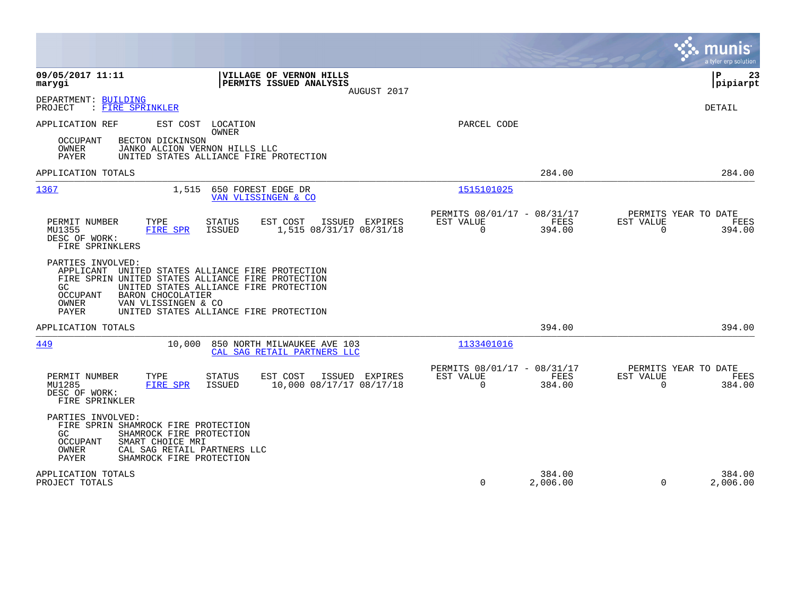|                                                                                                                                                                                                                                                                                                                         |                                                                                  | munis<br>a tyler erp solution                                      |
|-------------------------------------------------------------------------------------------------------------------------------------------------------------------------------------------------------------------------------------------------------------------------------------------------------------------------|----------------------------------------------------------------------------------|--------------------------------------------------------------------|
| 09/05/2017 11:11<br>VILLAGE OF VERNON HILLS<br>marygi<br>PERMITS ISSUED ANALYSIS<br>AUGUST 2017                                                                                                                                                                                                                         |                                                                                  | ΙP<br>23<br> pipiarpt                                              |
| DEPARTMENT: BUILDING<br>PROJECT<br>: FIRE SPRINKLER                                                                                                                                                                                                                                                                     |                                                                                  | DETAIL                                                             |
| APPLICATION REF<br>EST COST LOCATION<br><b>OWNER</b><br>BECTON DICKINSON<br>OCCUPANT<br>OWNER<br>JANKO ALCION VERNON HILLS LLC<br><b>PAYER</b><br>UNITED STATES ALLIANCE FIRE PROTECTION                                                                                                                                | PARCEL CODE                                                                      |                                                                    |
| APPLICATION TOTALS                                                                                                                                                                                                                                                                                                      | 284.00                                                                           | 284.00                                                             |
| 1367<br>650 FOREST EDGE DR<br>1,515<br>VAN VLISSINGEN & CO                                                                                                                                                                                                                                                              | 1515101025                                                                       |                                                                    |
| PERMIT NUMBER<br>TYPE<br><b>STATUS</b><br>EST COST<br>ISSUED EXPIRES<br>1,515 08/31/17 08/31/18<br>MU1355<br>FIRE SPR<br><b>ISSUED</b><br>DESC OF WORK:<br>FIRE SPRINKLERS                                                                                                                                              | PERMITS 08/01/17 - 08/31/17<br><b>FEES</b><br>EST VALUE<br>$\mathbf 0$<br>394.00 | PERMITS YEAR TO DATE<br>EST VALUE<br>FEES<br>$\Omega$<br>394.00    |
| PARTIES INVOLVED:<br>APPLICANT<br>UNITED STATES ALLIANCE FIRE PROTECTION<br>FIRE SPRIN UNITED STATES ALLIANCE FIRE PROTECTION<br>UNITED STATES ALLIANCE FIRE PROTECTION<br>GC.<br><b>OCCUPANT</b><br><b>BARON CHOCOLATIER</b><br>OWNER<br>VAN VLISSINGEN & CO<br><b>PAYER</b><br>UNITED STATES ALLIANCE FIRE PROTECTION |                                                                                  |                                                                    |
| APPLICATION TOTALS                                                                                                                                                                                                                                                                                                      | 394.00                                                                           | 394.00                                                             |
| 449<br>10,000<br>850 NORTH MILWAUKEE AVE 103<br>CAL SAG RETAIL PARTNERS LLC                                                                                                                                                                                                                                             | 1133401016                                                                       |                                                                    |
| PERMIT NUMBER<br>TYPE<br><b>STATUS</b><br>EST COST<br>ISSUED EXPIRES<br>MU1285<br>FIRE SPR<br>ISSUED<br>10,000 08/17/17 08/17/18<br>DESC OF WORK:<br>FIRE SPRINKLER                                                                                                                                                     | PERMITS 08/01/17 - 08/31/17<br>EST VALUE<br>FEES<br>$\Omega$<br>384.00           | PERMITS YEAR TO DATE<br>EST VALUE<br>FEES<br>$\mathbf 0$<br>384.00 |
| PARTIES INVOLVED:<br>FIRE SPRIN SHAMROCK FIRE PROTECTION<br>GC.<br>SHAMROCK FIRE PROTECTION<br><b>OCCUPANT</b><br>SMART CHOICE MRI<br>OWNER<br>CAL SAG RETAIL PARTNERS LLC<br><b>PAYER</b><br>SHAMROCK FIRE PROTECTION                                                                                                  |                                                                                  |                                                                    |
| APPLICATION TOTALS<br>PROJECT TOTALS                                                                                                                                                                                                                                                                                    | 384.00<br>$\Omega$<br>2,006.00                                                   | 384.00<br>$\Omega$<br>2,006.00                                     |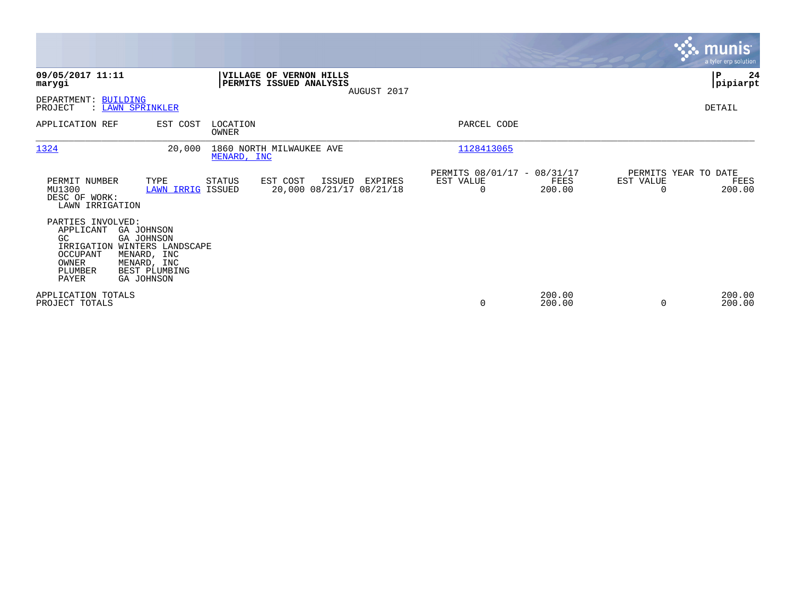|                                                                                              |                                                                                                                   |                   |                                                    |             |                                               |                  |                       | <b>munis</b><br>a tyler erp solution   |
|----------------------------------------------------------------------------------------------|-------------------------------------------------------------------------------------------------------------------|-------------------|----------------------------------------------------|-------------|-----------------------------------------------|------------------|-----------------------|----------------------------------------|
| 09/05/2017 11:11<br>marygi                                                                   |                                                                                                                   |                   | VILLAGE OF VERNON HILLS<br>PERMITS ISSUED ANALYSIS | AUGUST 2017 |                                               |                  |                       | ∣P<br>24<br> pipiarpt                  |
| DEPARTMENT: BUILDING<br>PROJECT                                                              | : LAWN SPRINKLER                                                                                                  |                   |                                                    |             |                                               |                  |                       | DETAIL                                 |
| APPLICATION REF                                                                              | EST COST                                                                                                          | LOCATION<br>OWNER |                                                    |             | PARCEL CODE                                   |                  |                       |                                        |
| 1324                                                                                         | 20,000                                                                                                            | MENARD, INC       | 1860 NORTH MILWAUKEE AVE                           |             | 1128413065                                    |                  |                       |                                        |
| PERMIT NUMBER<br>MU1300<br>DESC OF WORK:<br>LAWN IRRIGATION                                  | TYPE<br><b>LAWN IRRIG ISSUED</b>                                                                                  | STATUS            | EST COST<br>ISSUED<br>20,000 08/21/17 08/21/18     | EXPIRES     | PERMITS 08/01/17 - 08/31/17<br>EST VALUE<br>0 | FEES<br>200.00   | EST VALUE<br>$\Omega$ | PERMITS YEAR TO DATE<br>FEES<br>200.00 |
| PARTIES INVOLVED:<br>APPLICANT<br>GC.<br>IRRIGATION<br>OCCUPANT<br>OWNER<br>PLUMBER<br>PAYER | <b>GA JOHNSON</b><br>GA JOHNSON<br>WINTERS LANDSCAPE<br>MENARD, INC<br>MENARD, INC<br>BEST PLUMBING<br>GA JOHNSON |                   |                                                    |             |                                               |                  |                       |                                        |
| APPLICATION TOTALS<br>PROJECT TOTALS                                                         |                                                                                                                   |                   |                                                    |             | 0                                             | 200.00<br>200.00 | $\Omega$              | 200.00<br>200.00                       |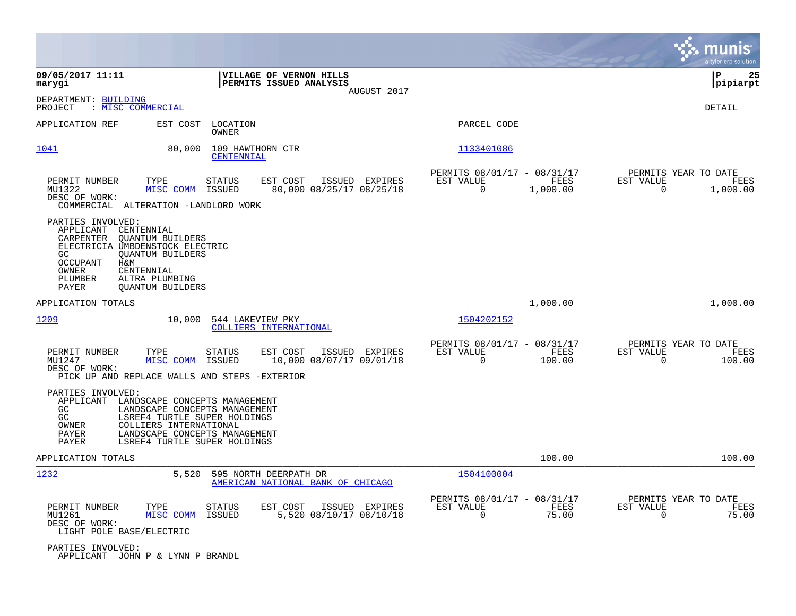|                                                                                                                                                                                                                                                                     |                                                                                          |                                               | munis<br>a tyler erp solution                                                         |
|---------------------------------------------------------------------------------------------------------------------------------------------------------------------------------------------------------------------------------------------------------------------|------------------------------------------------------------------------------------------|-----------------------------------------------|---------------------------------------------------------------------------------------|
| 09/05/2017 11:11<br>marygi                                                                                                                                                                                                                                          | VILLAGE OF VERNON HILLS<br>PERMITS ISSUED ANALYSIS                                       |                                               | P<br>25<br>pipiarpt                                                                   |
| DEPARTMENT: BUILDING<br>: MISC COMMERCIAL<br>PROJECT                                                                                                                                                                                                                | AUGUST 2017                                                                              |                                               | DETAIL                                                                                |
| APPLICATION REF<br>EST COST                                                                                                                                                                                                                                         | LOCATION<br>OWNER                                                                        | PARCEL CODE                                   |                                                                                       |
| 1041<br>80,000                                                                                                                                                                                                                                                      | 109 HAWTHORN CTR<br>CENTENNIAL                                                           | 1133401086                                    |                                                                                       |
| PERMIT NUMBER<br>TYPE<br>MU1322<br>MISC COMM<br>DESC OF WORK:<br>COMMERCIAL<br>ALTERATION -LANDLORD WORK                                                                                                                                                            | <b>STATUS</b><br>EST COST<br>ISSUED EXPIRES<br>ISSUED<br>80,000 08/25/17 08/25/18        | PERMITS 08/01/17 - 08/31/17<br>EST VALUE<br>0 | PERMITS YEAR TO DATE<br>FEES<br>EST VALUE<br>FEES<br>$\Omega$<br>1,000.00<br>1,000.00 |
| PARTIES INVOLVED:<br>APPLICANT<br>CENTENNIAL<br>CARPENTER<br><b>OUANTUM BUILDERS</b><br>ELECTRICIA UMBDENSTOCK ELECTRIC<br>GC<br><b>OUANTUM BUILDERS</b><br>OCCUPANT<br>H&M<br>OWNER<br>CENTENNIAL<br>PLUMBER<br>ALTRA PLUMBING<br>PAYER<br><b>OUANTUM BUILDERS</b> |                                                                                          |                                               |                                                                                       |
| APPLICATION TOTALS                                                                                                                                                                                                                                                  |                                                                                          |                                               | 1,000.00<br>1,000.00                                                                  |
| 1209<br>10,000                                                                                                                                                                                                                                                      | 544 LAKEVIEW PKY<br>COLLIERS INTERNATIONAL                                               | 1504202152                                    |                                                                                       |
| PERMIT NUMBER<br>TYPE<br>MU1247<br>MISC COMM<br>DESC OF WORK:<br>PICK UP AND REPLACE WALLS AND STEPS -EXTERIOR                                                                                                                                                      | <b>STATUS</b><br>EST COST<br>ISSUED EXPIRES<br><b>ISSUED</b><br>10,000 08/07/17 09/01/18 | PERMITS 08/01/17 - 08/31/17<br>EST VALUE<br>0 | PERMITS YEAR TO DATE<br><b>FEES</b><br>EST VALUE<br>FEES<br>100.00<br>0<br>100.00     |
| PARTIES INVOLVED:<br>APPLICANT<br>LANDSCAPE CONCEPTS MANAGEMENT<br>GC<br>LANDSCAPE CONCEPTS MANAGEMENT<br>GC<br>LSREF4 TURTLE SUPER HOLDINGS<br>OWNER<br>COLLIERS INTERNATIONAL<br>PAYER<br>LANDSCAPE CONCEPTS MANAGEMENT<br>PAYER<br>LSREF4 TURTLE SUPER HOLDINGS  |                                                                                          |                                               |                                                                                       |
| APPLICATION TOTALS                                                                                                                                                                                                                                                  |                                                                                          |                                               | 100.00<br>100.00                                                                      |
| 1232<br>5,520                                                                                                                                                                                                                                                       | 595 NORTH DEERPATH DR<br>AMERICAN NATIONAL BANK OF CHICAGO                               | 1504100004                                    |                                                                                       |
| PERMIT NUMBER<br>TYPE<br>MU1261<br>MISC COMM<br>DESC OF WORK:<br>LIGHT POLE BASE/ELECTRIC                                                                                                                                                                           | <b>STATUS</b><br>EST COST<br>ISSUED EXPIRES<br>ISSUED<br>5,520 08/10/17 08/10/18         | PERMITS 08/01/17 - 08/31/17<br>EST VALUE<br>0 | PERMITS YEAR TO DATE<br>FEES<br>EST VALUE<br>FEES<br>75.00<br>$\mathbf 0$<br>75.00    |
| PARTIES INVOLVED:<br>APPLICANT JOHN P & LYNN P BRANDL                                                                                                                                                                                                               |                                                                                          |                                               |                                                                                       |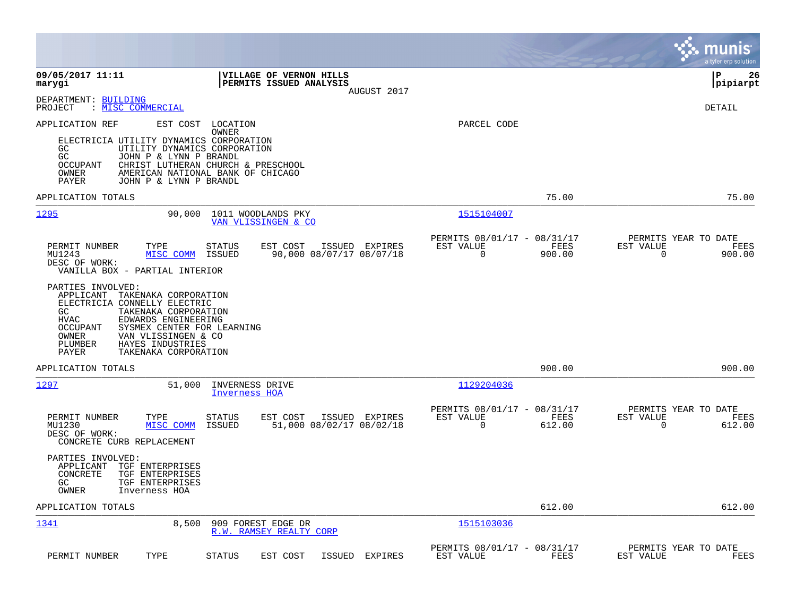|                                                                                                                                                                                                                                                                                                       |                                                                           | munis<br>a tyler erp solution                                      |
|-------------------------------------------------------------------------------------------------------------------------------------------------------------------------------------------------------------------------------------------------------------------------------------------------------|---------------------------------------------------------------------------|--------------------------------------------------------------------|
| 09/05/2017 11:11<br>VILLAGE OF VERNON HILLS<br>PERMITS ISSUED ANALYSIS<br>marygi<br>AUGUST 2017                                                                                                                                                                                                       |                                                                           | l P<br>26<br> pipiarpt                                             |
| DEPARTMENT: BUILDING<br>PROJECT<br>: MISC COMMERCIAL                                                                                                                                                                                                                                                  |                                                                           | DETAIL                                                             |
| EST COST<br>APPLICATION REF<br>LOCATION<br>OWNER<br>ELECTRICIA UTILITY DYNAMICS CORPORATION<br>GC.<br>UTILITY DYNAMICS CORPORATION<br>GC<br>JOHN P & LYNN P BRANDL<br>CHRIST LUTHERAN CHURCH & PRESCHOOL<br>OCCUPANT<br>OWNER<br>AMERICAN NATIONAL BANK OF CHICAGO<br>PAYER<br>JOHN P & LYNN P BRANDL | PARCEL CODE                                                               |                                                                    |
| APPLICATION TOTALS                                                                                                                                                                                                                                                                                    | 75.00                                                                     | 75.00                                                              |
| 1295<br>90,000<br>1011 WOODLANDS PKY<br>VAN VLISSINGEN & CO                                                                                                                                                                                                                                           | 1515104007                                                                |                                                                    |
| PERMIT NUMBER<br>TYPE<br>EST COST<br>ISSUED EXPIRES<br>STATUS<br>MU1243<br>MISC COMM<br>ISSUED<br>90,000 08/07/17 08/07/18<br>DESC OF WORK:<br>VANILLA BOX - PARTIAL INTERIOR                                                                                                                         | PERMITS 08/01/17 - 08/31/17<br>EST VALUE<br>FEES<br>$\mathbf 0$<br>900.00 | PERMITS YEAR TO DATE<br>EST VALUE<br>FEES<br>$\mathbf 0$<br>900.00 |
| PARTIES INVOLVED:<br>APPLICANT TAKENAKA CORPORATION<br>ELECTRICIA CONNELLY ELECTRIC<br>GC<br>TAKENAKA CORPORATION<br>HVAC<br>EDWARDS ENGINEERING<br>OCCUPANT<br>SYSMEX CENTER FOR LEARNING<br>OWNER<br>VAN VLISSINGEN & CO<br>PLUMBER<br>HAYES INDUSTRIES<br>PAYER<br>TAKENAKA CORPORATION            |                                                                           |                                                                    |
| APPLICATION TOTALS                                                                                                                                                                                                                                                                                    | 900.00                                                                    | 900.00                                                             |
| 1297<br>51,000<br>INVERNESS DRIVE<br>Inverness HOA                                                                                                                                                                                                                                                    | 1129204036                                                                |                                                                    |
| ISSUED EXPIRES<br>PERMIT NUMBER<br>TYPE<br><b>STATUS</b><br>EST COST<br>MU1230<br>MISC COMM<br><b>ISSUED</b><br>51,000 08/02/17 08/02/18<br>DESC OF WORK:<br>CONCRETE CURB REPLACEMENT                                                                                                                | PERMITS 08/01/17 - 08/31/17<br>EST VALUE<br>FEES<br>$\Omega$<br>612.00    | PERMITS YEAR TO DATE<br>EST VALUE<br>FEES<br>$\mathbf 0$<br>612.00 |
| PARTIES INVOLVED:<br>APPLICANT<br>TGF ENTERPRISES<br>CONCRETE<br>TGF ENTERPRISES<br>GC.<br>TGF ENTERPRISES<br>OWNER<br>Inverness HOA                                                                                                                                                                  |                                                                           |                                                                    |
| APPLICATION TOTALS                                                                                                                                                                                                                                                                                    | 612.00                                                                    | 612.00                                                             |
| 1341<br>8,500<br>909 FOREST EDGE DR<br>R.W. RAMSEY REALTY CORP                                                                                                                                                                                                                                        | 1515103036                                                                |                                                                    |
| TYPE<br>PERMIT NUMBER<br>STATUS<br>EST COST<br>ISSUED EXPIRES                                                                                                                                                                                                                                         | PERMITS 08/01/17 - 08/31/17<br>FEES<br>EST VALUE                          | PERMITS YEAR TO DATE<br>EST VALUE<br>FEES                          |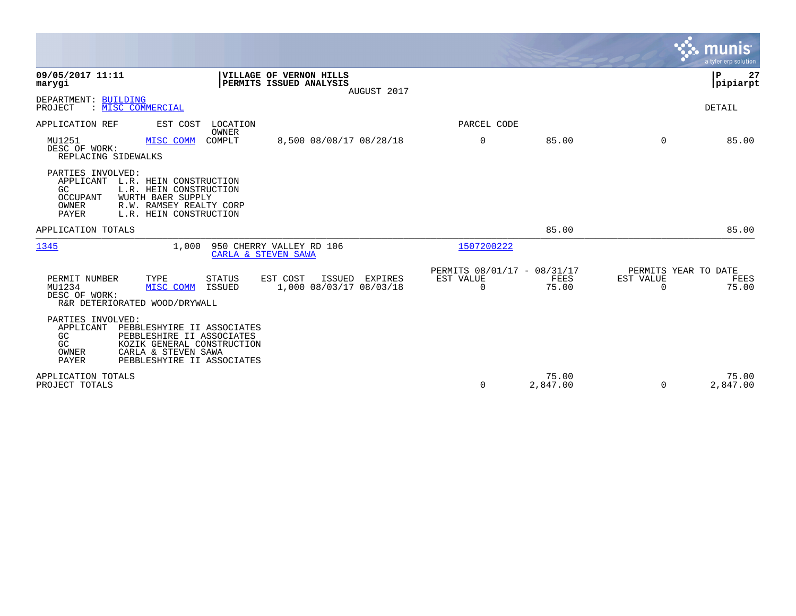|                                                                                                                                                                                                            |                                                      |                      | munis<br>a tyler erp solution                                  |    |
|------------------------------------------------------------------------------------------------------------------------------------------------------------------------------------------------------------|------------------------------------------------------|----------------------|----------------------------------------------------------------|----|
| 09/05/2017 11:11<br>VILLAGE OF VERNON HILLS<br>PERMITS ISSUED ANALYSIS<br>marygi<br>AUGUST 2017                                                                                                            |                                                      |                      | P<br> pipiarpt                                                 | 27 |
| DEPARTMENT: BUILDING<br>: MISC COMMERCIAL<br>PROJECT                                                                                                                                                       |                                                      |                      | DETAIL                                                         |    |
| EST COST<br>APPLICATION REF<br>LOCATION                                                                                                                                                                    | PARCEL CODE                                          |                      |                                                                |    |
| OWNER<br>MU1251<br>MISC COMM<br>COMPLT<br>8,500 08/08/17 08/28/18<br>DESC OF WORK:<br>REPLACING SIDEWALKS                                                                                                  | $\mathsf{O}$                                         | 85.00                | 85.00<br>$\mathbf 0$                                           |    |
| PARTIES INVOLVED:<br>APPLICANT<br>L.R. HEIN CONSTRUCTION<br>GC<br>L.R. HEIN CONSTRUCTION<br>OCCUPANT<br>WURTH BAER SUPPLY<br>R.W. RAMSEY REALTY CORP<br>OWNER<br>PAYER<br>L.R. HEIN CONSTRUCTION           |                                                      |                      |                                                                |    |
| APPLICATION TOTALS                                                                                                                                                                                         |                                                      | 85.00                | 85.00                                                          |    |
| 1345<br>950 CHERRY VALLEY RD 106<br>1,000<br>CARLA & STEVEN SAWA                                                                                                                                           | 1507200222                                           |                      |                                                                |    |
| EST COST<br>PERMIT NUMBER<br>TYPE<br>ISSUED<br>STATUS<br>EXPIRES<br>MU1234<br>1,000 08/03/17 08/03/18<br>MISC COMM<br>ISSUED<br>DESC OF WORK:<br>R&R DETERIORATED WOOD/DRYWALL                             | PERMITS 08/01/17 - 08/31/17<br>EST VALUE<br>$\Omega$ | <b>FEES</b><br>75.00 | PERMITS YEAR TO DATE<br>EST VALUE<br>FEES<br>75.00<br>$\Omega$ |    |
| PARTIES INVOLVED:<br>APPLICANT<br>PEBBLESHYIRE II ASSOCIATES<br>GC<br>PEBBLESHIRE II ASSOCIATES<br>GC<br>KOZIK GENERAL CONSTRUCTION<br>CARLA & STEVEN SAWA<br>OWNER<br>PAYER<br>PEBBLESHYIRE II ASSOCIATES |                                                      |                      |                                                                |    |
| APPLICATION TOTALS<br>PROJECT TOTALS                                                                                                                                                                       | 0                                                    | 75.00<br>2,847.00    | 75.00<br>2,847.00<br>$\Omega$                                  |    |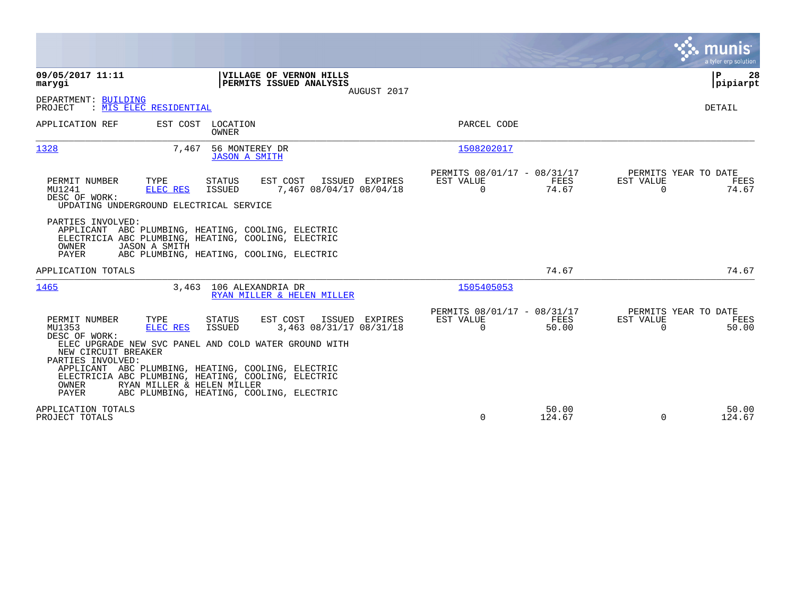|                       |               | munis<br>a tyler erp solution                                                                  |
|-----------------------|---------------|------------------------------------------------------------------------------------------------|
|                       |               | ΙP<br>28<br> pipiarpt                                                                          |
|                       |               | DETAIL                                                                                         |
| PARCEL CODE           |               |                                                                                                |
| 1508202017            |               |                                                                                                |
| EST VALUE<br>$\Omega$ | FEES<br>74.67 | PERMITS YEAR TO DATE<br>FEES<br>$\Omega$<br>74.67                                              |
|                       |               |                                                                                                |
|                       | 74.67         | 74.67                                                                                          |
| 1505405053            |               |                                                                                                |
| EST VALUE<br>$\Omega$ | FEES<br>50.00 | PERMITS YEAR TO DATE<br>FEES<br>$\Omega$<br>50.00                                              |
|                       | 50.00         | 50.00<br>$\Omega$<br>124.67                                                                    |
|                       | 0             | PERMITS 08/01/17 - 08/31/17<br>EST VALUE<br>PERMITS 08/01/17 - 08/31/17<br>EST VALUE<br>124.67 |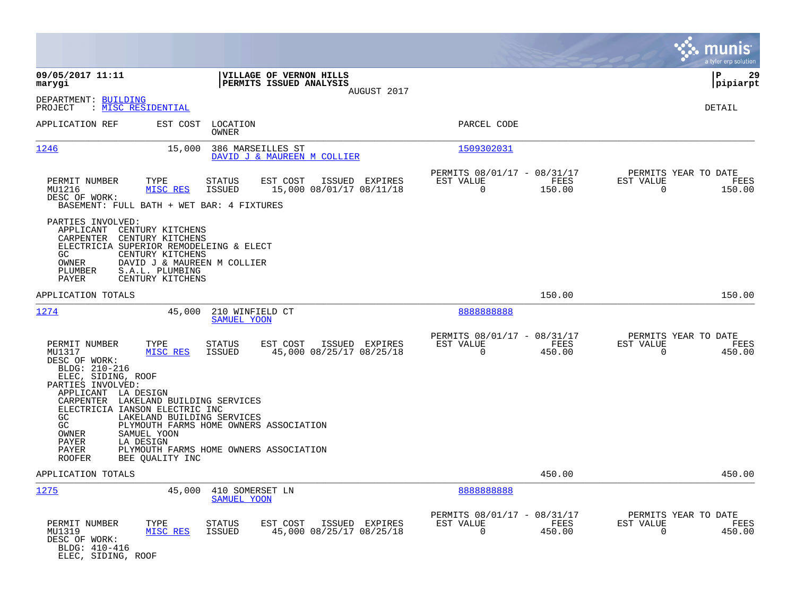|                                                                                                                                                                                                                                                                                                            |                                                                                                                                                                                                     |                                                                                  | munis<br>a tyler erp solution                                   |
|------------------------------------------------------------------------------------------------------------------------------------------------------------------------------------------------------------------------------------------------------------------------------------------------------------|-----------------------------------------------------------------------------------------------------------------------------------------------------------------------------------------------------|----------------------------------------------------------------------------------|-----------------------------------------------------------------|
| 09/05/2017 11:11<br>marygi                                                                                                                                                                                                                                                                                 | VILLAGE OF VERNON HILLS<br>PERMITS ISSUED ANALYSIS<br>AUGUST 2017                                                                                                                                   |                                                                                  | l P<br>29<br> pipiarpt                                          |
| DEPARTMENT: BUILDING<br>: MISC RESIDENTIAL<br>PROJECT                                                                                                                                                                                                                                                      |                                                                                                                                                                                                     |                                                                                  | DETAIL                                                          |
| APPLICATION REF<br>EST COST                                                                                                                                                                                                                                                                                | LOCATION<br>OWNER                                                                                                                                                                                   | PARCEL CODE                                                                      |                                                                 |
| 1246<br>15,000                                                                                                                                                                                                                                                                                             | 386 MARSEILLES ST<br>DAVID J & MAUREEN M COLLIER                                                                                                                                                    | 1509302031                                                                       |                                                                 |
| PERMIT NUMBER<br>TYPE<br>MU1216<br>MISC RES<br>DESC OF WORK:<br>BASEMENT: FULL BATH + WET BAR: 4 FIXTURES                                                                                                                                                                                                  | STATUS<br>EST COST<br>ISSUED EXPIRES<br><b>ISSUED</b><br>15,000 08/01/17 08/11/18                                                                                                                   | PERMITS 08/01/17 - 08/31/17<br>EST VALUE<br>FEES<br>150.00<br>0                  | PERMITS YEAR TO DATE<br>EST VALUE<br>FEES<br>0<br>150.00        |
| PARTIES INVOLVED:<br>APPLICANT<br>CENTURY KITCHENS<br>CARPENTER<br>CENTURY KITCHENS<br>ELECTRICIA SUPERIOR REMODELEING & ELECT<br>CENTURY KITCHENS<br>GC.<br>OWNER<br>S.A.L. PLUMBING<br>PLUMBER<br>PAYER<br>CENTURY KITCHENS                                                                              | DAVID J & MAUREEN M COLLIER                                                                                                                                                                         |                                                                                  |                                                                 |
| APPLICATION TOTALS                                                                                                                                                                                                                                                                                         |                                                                                                                                                                                                     | 150.00                                                                           | 150.00                                                          |
| 1274<br>45,000                                                                                                                                                                                                                                                                                             | 210 WINFIELD CT<br>SAMUEL YOON                                                                                                                                                                      | 888888888                                                                        |                                                                 |
| PERMIT NUMBER<br>TYPE<br>MISC RES<br>MU1317<br>DESC OF WORK:<br>BLDG: 210-216<br>ELEC, SIDING, ROOF<br>PARTIES INVOLVED:<br>APPLICANT LA DESIGN<br>CARPENTER LAKELAND BUILDING SERVICES<br>ELECTRICIA IANSON ELECTRIC INC<br>GC<br>GC<br>OWNER<br>SAMUEL YOON<br>LA DESIGN<br><b>PAYER</b><br><b>PAYER</b> | STATUS<br>EST COST<br>ISSUED EXPIRES<br>45,000 08/25/17 08/25/18<br><b>ISSUED</b><br>LAKELAND BUILDING SERVICES<br>PLYMOUTH FARMS HOME OWNERS ASSOCIATION<br>PLYMOUTH FARMS HOME OWNERS ASSOCIATION | PERMITS 08/01/17 - 08/31/17<br>FEES<br>EST VALUE<br>$\Omega$<br>450.00           | PERMITS YEAR TO DATE<br>EST VALUE<br>FEES<br>$\Omega$<br>450.00 |
| <b>ROOFER</b><br>BEE OUALITY INC<br>APPLICATION TOTALS                                                                                                                                                                                                                                                     |                                                                                                                                                                                                     | 450.00                                                                           | 450.00                                                          |
| 1275<br>45,000                                                                                                                                                                                                                                                                                             | 410 SOMERSET LN<br>SAMUEL YOON                                                                                                                                                                      | 8888888888                                                                       |                                                                 |
| PERMIT NUMBER<br>TYPE<br>MU1319<br>MISC RES<br>DESC OF WORK:<br>BLDG: 410-416<br>ELEC, SIDING, ROOF                                                                                                                                                                                                        | STATUS<br>EST COST<br>ISSUED EXPIRES<br>ISSUED<br>45,000 08/25/17 08/25/18                                                                                                                          | PERMITS 08/01/17 - 08/31/17<br>EST VALUE<br><b>FEES</b><br>$\mathbf 0$<br>450.00 | PERMITS YEAR TO DATE<br>EST VALUE<br>FEES<br>$\Omega$<br>450.00 |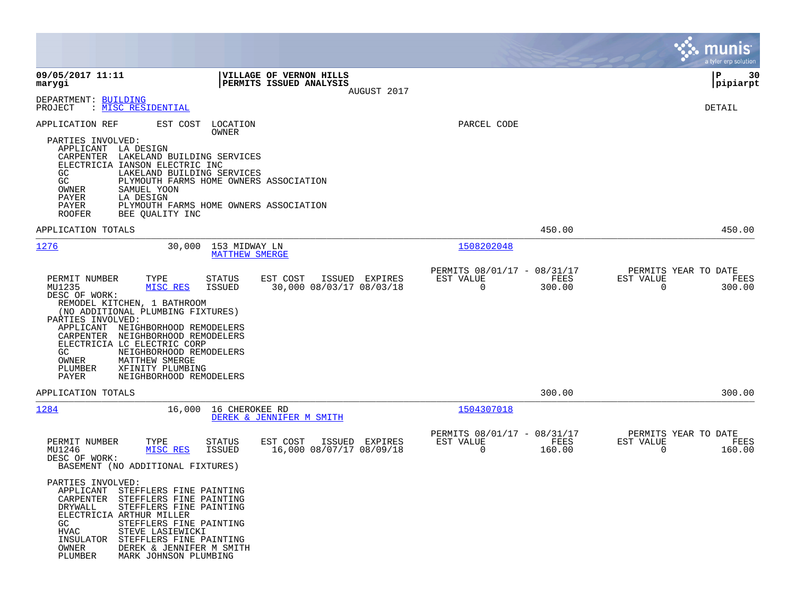|                                                                                                                                                                                                                                                                                                                                                                                                                                                                                                                                                                                               |                                                                               | munis<br>a tyler erp solution                            |
|-----------------------------------------------------------------------------------------------------------------------------------------------------------------------------------------------------------------------------------------------------------------------------------------------------------------------------------------------------------------------------------------------------------------------------------------------------------------------------------------------------------------------------------------------------------------------------------------------|-------------------------------------------------------------------------------|----------------------------------------------------------|
| 09/05/2017 11:11<br>VILLAGE OF VERNON HILLS<br>PERMITS ISSUED ANALYSIS<br>marygi<br>AUGUST 2017                                                                                                                                                                                                                                                                                                                                                                                                                                                                                               |                                                                               | l P<br>30<br> pipiarpt                                   |
| DEPARTMENT: BUILDING<br>: MISC RESIDENTIAL<br>PROJECT                                                                                                                                                                                                                                                                                                                                                                                                                                                                                                                                         |                                                                               | DETAIL                                                   |
| APPLICATION REF<br>EST COST<br>LOCATION<br>OWNER<br>PARTIES INVOLVED:<br>APPLICANT<br>LA DESIGN<br>CARPENTER<br>LAKELAND BUILDING SERVICES<br>ELECTRICIA IANSON ELECTRIC INC<br>GC<br>LAKELAND BUILDING SERVICES<br>GC<br>PLYMOUTH FARMS HOME OWNERS ASSOCIATION<br>SAMUEL YOON<br>OWNER<br>PAYER<br>LA DESIGN<br>PAYER<br>PLYMOUTH FARMS HOME OWNERS ASSOCIATION<br><b>ROOFER</b><br>BEE QUALITY INC                                                                                                                                                                                         | PARCEL CODE                                                                   |                                                          |
| APPLICATION TOTALS                                                                                                                                                                                                                                                                                                                                                                                                                                                                                                                                                                            | 450.00                                                                        | 450.00                                                   |
| 1276<br>153 MIDWAY LN<br>30,000<br><b>MATTHEW SMERGE</b><br>PERMIT NUMBER<br>TYPE<br><b>STATUS</b><br>EST COST<br>ISSUED EXPIRES<br>MU1235<br>MISC RES<br><b>ISSUED</b><br>30,000 08/03/17 08/03/18<br>DESC OF WORK:<br>REMODEL KITCHEN, 1 BATHROOM<br>(NO ADDITIONAL PLUMBING FIXTURES)<br>PARTIES INVOLVED:<br>APPLICANT<br>NEIGHBORHOOD REMODELERS<br>CARPENTER<br>NEIGHBORHOOD REMODELERS<br>ELECTRICIA LC ELECTRIC CORP<br>NEIGHBORHOOD REMODELERS<br>GC.<br>OWNER<br>MATTHEW SMERGE<br>PLUMBER<br>XFINITY PLUMBING<br>PAYER<br>NEIGHBORHOOD REMODELERS                                  | 1508202048<br>PERMITS 08/01/17 - 08/31/17<br>EST VALUE<br>FEES<br>0<br>300.00 | PERMITS YEAR TO DATE<br>EST VALUE<br>FEES<br>0<br>300.00 |
| APPLICATION TOTALS<br>1284<br>16,000<br>16 CHEROKEE RD                                                                                                                                                                                                                                                                                                                                                                                                                                                                                                                                        | 300.00<br>1504307018                                                          | 300.00                                                   |
| DEREK & JENNIFER M SMITH<br>PERMIT NUMBER<br><b>STATUS</b><br>ISSUED EXPIRES<br>TYPE<br>EST COST<br>16,000 08/07/17 08/09/18<br>MU1246<br>MISC RES<br><b>ISSUED</b><br>DESC OF WORK:<br>BASEMENT (NO ADDITIONAL FIXTURES)<br>PARTIES INVOLVED:<br>STEFFLERS FINE PAINTING<br>APPLICANT<br>CARPENTER<br>STEFFLERS FINE PAINTING<br>STEFFLERS FINE PAINTING<br><b>DRYWALL</b><br>ELECTRICIA ARTHUR MILLER<br>GC.<br>STEFFLERS FINE PAINTING<br><b>HVAC</b><br>STEVE LASIEWICKI<br>STEFFLERS FINE PAINTING<br>INSULATOR<br>OWNER<br>DEREK & JENNIFER M SMITH<br>PLUMBER<br>MARK JOHNSON PLUMBING | PERMITS 08/01/17 - 08/31/17<br>EST VALUE<br>FEES<br>0<br>160.00               | PERMITS YEAR TO DATE<br>EST VALUE<br>FEES<br>0<br>160.00 |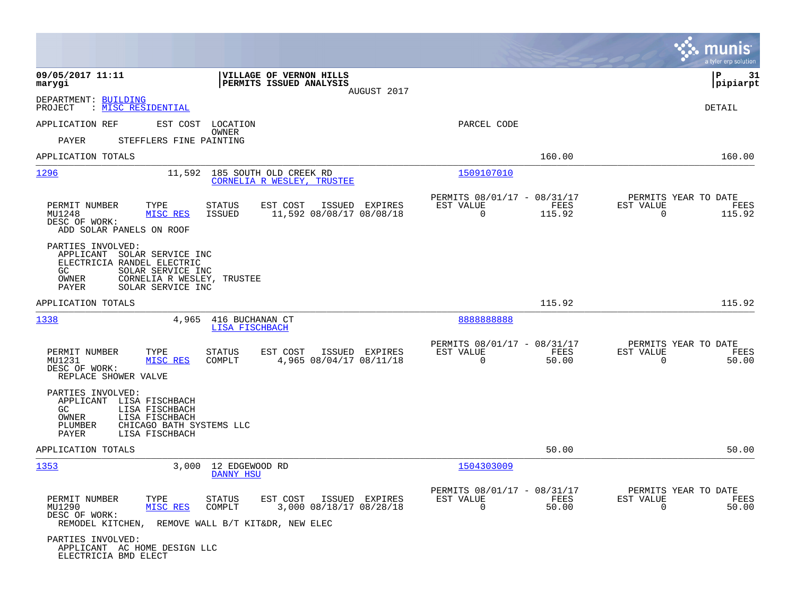|                                                                                                                                                                                   |                                                                            |                                                                          | munis<br>a tyler erp solution                                     |
|-----------------------------------------------------------------------------------------------------------------------------------------------------------------------------------|----------------------------------------------------------------------------|--------------------------------------------------------------------------|-------------------------------------------------------------------|
| 09/05/2017 11:11<br>marygi                                                                                                                                                        | VILLAGE OF VERNON HILLS<br>PERMITS ISSUED ANALYSIS<br>AUGUST 2017          |                                                                          | 31<br>ΙP<br> pipiarpt                                             |
| DEPARTMENT: BUILDING<br>PROJECT<br>: MISC RESIDENTIAL                                                                                                                             |                                                                            |                                                                          | <b>DETAIL</b>                                                     |
| APPLICATION REF                                                                                                                                                                   | EST COST LOCATION<br>OWNER                                                 | PARCEL CODE                                                              |                                                                   |
| PAYER<br>STEFFLERS FINE PAINTING                                                                                                                                                  |                                                                            |                                                                          |                                                                   |
| APPLICATION TOTALS                                                                                                                                                                |                                                                            | 160.00                                                                   | 160.00                                                            |
| 1296                                                                                                                                                                              | 11,592 185 SOUTH OLD CREEK RD<br>CORNELIA R WESLEY, TRUSTEE                | 1509107010                                                               |                                                                   |
| PERMIT NUMBER<br>TYPE<br>MU1248<br>MISC RES<br>DESC OF WORK:<br>ADD SOLAR PANELS ON ROOF                                                                                          | EST COST<br>ISSUED EXPIRES<br>STATUS<br>11,592 08/08/17 08/08/18<br>ISSUED | PERMITS 08/01/17 - 08/31/17<br>FEES<br>EST VALUE<br>115.92<br>$\Omega$   | PERMITS YEAR TO DATE<br>EST VALUE<br>FEES<br>$\Omega$<br>115.92   |
| PARTIES INVOLVED:<br>APPLICANT<br>SOLAR SERVICE INC<br>ELECTRICIA RANDEL ELECTRIC<br>SOLAR SERVICE INC<br>GC<br>OWNER<br>CORNELIA R WESLEY, TRUSTEE<br>PAYER<br>SOLAR SERVICE INC |                                                                            |                                                                          |                                                                   |
| APPLICATION TOTALS                                                                                                                                                                |                                                                            | 115.92                                                                   | 115.92                                                            |
| 1338<br>4,965                                                                                                                                                                     | 416 BUCHANAN CT<br>LISA FISCHBACH                                          | 8888888888                                                               |                                                                   |
| PERMIT NUMBER<br>TYPE<br>MISC RES<br>MU1231<br>DESC OF WORK:<br>REPLACE SHOWER VALVE                                                                                              | EST COST<br>ISSUED EXPIRES<br>STATUS<br>COMPLT<br>4,965 08/04/17 08/11/18  | PERMITS 08/01/17 - 08/31/17<br>EST VALUE<br>FEES<br>$\mathbf 0$<br>50.00 | PERMITS YEAR TO DATE<br>EST VALUE<br>FEES<br>$\mathbf 0$<br>50.00 |
| PARTIES INVOLVED:<br>APPLICANT LISA FISCHBACH<br>GC.<br>LISA FISCHBACH<br>OWNER<br>LISA FISCHBACH<br>PLUMBER<br>CHICAGO BATH SYSTEMS LLC<br>PAYER<br>LISA FISCHBACH               |                                                                            |                                                                          |                                                                   |
| APPLICATION TOTALS                                                                                                                                                                |                                                                            | 50.00                                                                    | 50.00                                                             |
| 1353<br>3,000                                                                                                                                                                     | 12 EDGEWOOD RD<br><b>DANNY HSU</b>                                         | 1504303009                                                               |                                                                   |
| PERMIT NUMBER<br>TYPE<br>MU1290<br>MISC RES<br>DESC OF WORK:<br>REMODEL KITCHEN, REMOVE WALL B/T KIT&DR, NEW ELEC                                                                 | EST COST<br>ISSUED EXPIRES<br>STATUS<br>3,000 08/18/17 08/28/18<br>COMPLT  | PERMITS 08/01/17 - 08/31/17<br>EST VALUE<br>FEES<br>$\Omega$<br>50.00    | PERMITS YEAR TO DATE<br>EST VALUE<br>FEES<br>0<br>50.00           |
| PARTIES INVOLVED:<br>APPLICANT AC HOME DESIGN LLC<br>ELECTRICIA BMD ELECT                                                                                                         |                                                                            |                                                                          |                                                                   |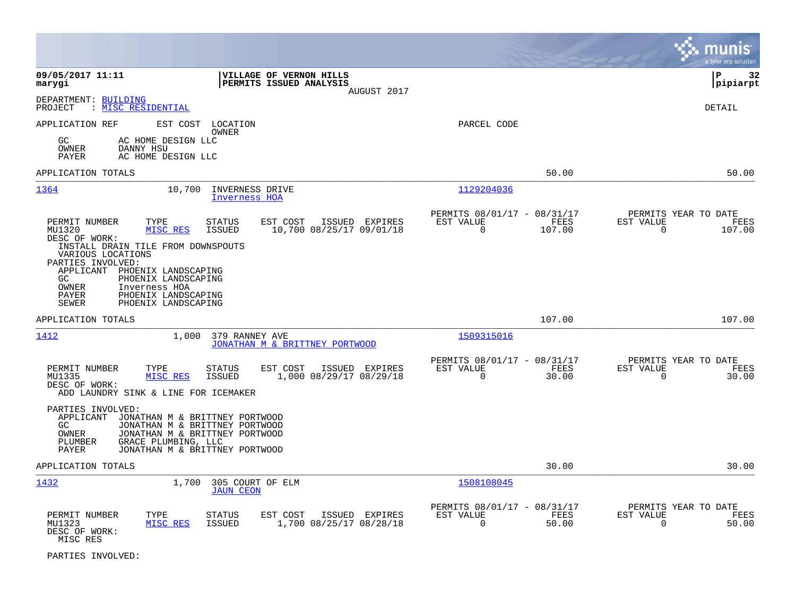|                                                                                                                                                                                                                                                                                                                                                                                                          |                                                                          | a tyler erp solution                                              |
|----------------------------------------------------------------------------------------------------------------------------------------------------------------------------------------------------------------------------------------------------------------------------------------------------------------------------------------------------------------------------------------------------------|--------------------------------------------------------------------------|-------------------------------------------------------------------|
| 09/05/2017 11:11<br>VILLAGE OF VERNON HILLS<br>marygi<br>PERMITS ISSUED ANALYSIS<br>AUGUST 2017                                                                                                                                                                                                                                                                                                          |                                                                          | l P<br>32<br> pipiarpt                                            |
| DEPARTMENT: BUILDING<br>: MISC RESIDENTIAL<br>PROJECT                                                                                                                                                                                                                                                                                                                                                    |                                                                          | <b>DETAIL</b>                                                     |
| APPLICATION REF<br>EST COST<br>LOCATION<br>OWNER<br>GC<br>AC HOME DESIGN LLC<br>DANNY HSU<br>OWNER<br>PAYER<br>AC HOME DESIGN LLC                                                                                                                                                                                                                                                                        | PARCEL CODE                                                              |                                                                   |
| APPLICATION TOTALS                                                                                                                                                                                                                                                                                                                                                                                       | 50.00                                                                    | 50.00                                                             |
| 1364<br>INVERNESS DRIVE<br>10,700<br>Inverness HOA                                                                                                                                                                                                                                                                                                                                                       | 1129204036                                                               |                                                                   |
| PERMIT NUMBER<br>TYPE<br>STATUS<br>EST COST<br>ISSUED EXPIRES<br>MISC RES<br>10,700 08/25/17 09/01/18<br>MU1320<br><b>ISSUED</b><br>DESC OF WORK:<br>INSTALL DRAIN TILE FROM DOWNSPOUTS<br>VARIOUS LOCATIONS<br>PARTIES INVOLVED:<br>APPLICANT PHOENIX LANDSCAPING<br>PHOENIX LANDSCAPING<br>GC.<br>OWNER<br>Inverness HOA<br><b>PAYER</b><br>PHOENIX LANDSCAPING<br><b>SEWER</b><br>PHOENIX LANDSCAPING | PERMITS 08/01/17 - 08/31/17<br>EST VALUE<br>FEES<br>$\Omega$<br>107.00   | PERMITS YEAR TO DATE<br>EST VALUE<br>FEES<br>$\Omega$<br>107.00   |
| APPLICATION TOTALS                                                                                                                                                                                                                                                                                                                                                                                       | 107.00                                                                   | 107.00                                                            |
| 1412<br>1,000<br>379 RANNEY AVE<br>JONATHAN M & BRITTNEY PORTWOOD                                                                                                                                                                                                                                                                                                                                        | 1509315016                                                               |                                                                   |
| PERMIT NUMBER<br>TYPE<br><b>STATUS</b><br>EST COST<br>ISSUED EXPIRES<br>MU1335<br><b>MISC RES</b><br><b>ISSUED</b><br>1,000 08/29/17 08/29/18<br>DESC OF WORK:<br>ADD LAUNDRY SINK & LINE FOR ICEMAKER                                                                                                                                                                                                   | PERMITS 08/01/17 - 08/31/17<br>EST VALUE<br>FEES<br>$\mathbf 0$<br>30.00 | PERMITS YEAR TO DATE<br>EST VALUE<br>FEES<br>30.00<br>$\mathbf 0$ |
| PARTIES INVOLVED:<br>APPLICANT<br>JONATHAN M & BRITTNEY PORTWOOD<br>JONATHAN M & BRITTNEY PORTWOOD<br>GC.<br>JONATHAN M & BRITTNEY PORTWOOD<br>OWNER<br>PLUMBER<br>GRACE PLUMBING, LLC<br>JONATHAN M & BRITTNEY PORTWOOD<br>PAYER                                                                                                                                                                        |                                                                          |                                                                   |
| APPLICATION TOTALS                                                                                                                                                                                                                                                                                                                                                                                       | 30.00                                                                    | 30.00                                                             |
| 1432<br>1,700<br>305 COURT OF ELM<br><b>JAUN CEON</b>                                                                                                                                                                                                                                                                                                                                                    | 1508108045                                                               |                                                                   |
| PERMIT NUMBER<br>TYPE<br>STATUS<br>EST COST<br>ISSUED EXPIRES<br>1,700 08/25/17 08/28/18<br>MU1323<br>MISC RES<br><b>ISSUED</b><br>DESC OF WORK:<br>MISC RES                                                                                                                                                                                                                                             | PERMITS 08/01/17 - 08/31/17<br>EST VALUE<br>FEES<br>$\Omega$<br>50.00    | PERMITS YEAR TO DATE<br>EST VALUE<br>FEES<br>$\mathbf 0$<br>50.00 |

PARTIES INVOLVED: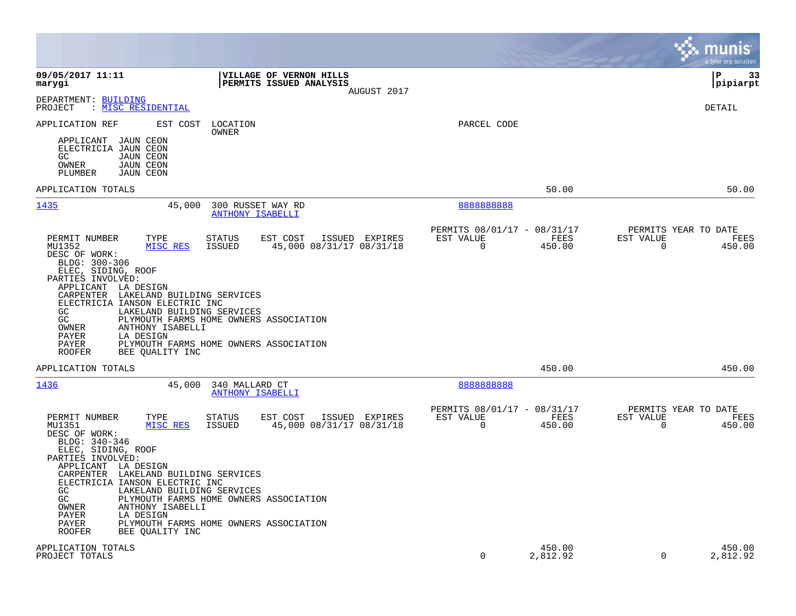|                                                                                                                                                                                                                                                                                                                                                                                                                                                                                                                                                 |                                                                           | munis<br>a tyler erp solution                                      |
|-------------------------------------------------------------------------------------------------------------------------------------------------------------------------------------------------------------------------------------------------------------------------------------------------------------------------------------------------------------------------------------------------------------------------------------------------------------------------------------------------------------------------------------------------|---------------------------------------------------------------------------|--------------------------------------------------------------------|
| 09/05/2017 11:11<br>VILLAGE OF VERNON HILLS<br>PERMITS ISSUED ANALYSIS<br>marygi<br>AUGUST 2017                                                                                                                                                                                                                                                                                                                                                                                                                                                 |                                                                           | l P<br>33<br> pipiarpt                                             |
| DEPARTMENT: BUILDING<br>PROJECT<br>: <u>MISC RESIDENTIAL</u>                                                                                                                                                                                                                                                                                                                                                                                                                                                                                    |                                                                           | DETAIL                                                             |
| APPLICATION REF<br>EST COST<br>LOCATION<br>OWNER<br>JAUN CEON<br>APPLICANT<br>ELECTRICIA JAUN CEON<br>GC.<br><b>JAUN CEON</b><br>OWNER<br><b>JAUN CEON</b><br>PLUMBER<br><b>JAUN CEON</b>                                                                                                                                                                                                                                                                                                                                                       | PARCEL CODE                                                               |                                                                    |
| APPLICATION TOTALS                                                                                                                                                                                                                                                                                                                                                                                                                                                                                                                              | 50.00                                                                     | 50.00                                                              |
| 1435<br>45,000<br>300 RUSSET WAY RD<br><b>ANTHONY ISABELLI</b>                                                                                                                                                                                                                                                                                                                                                                                                                                                                                  | 8888888888                                                                |                                                                    |
| PERMIT NUMBER<br>TYPE<br>STATUS<br>EST COST<br>ISSUED EXPIRES<br>MU1352<br>45,000 08/31/17 08/31/18<br>MISC RES<br>ISSUED<br>DESC OF WORK:<br>BLDG: 300-306<br>ELEC, SIDING, ROOF<br>PARTIES INVOLVED:<br>APPLICANT LA DESIGN<br>CARPENTER LAKELAND BUILDING SERVICES<br>ELECTRICIA IANSON ELECTRIC INC<br>GC.<br>LAKELAND BUILDING SERVICES<br>GC.<br>PLYMOUTH FARMS HOME OWNERS ASSOCIATION<br>OWNER<br>ANTHONY ISABELLI<br>PAYER<br>LA DESIGN<br>PAYER<br>PLYMOUTH FARMS HOME OWNERS ASSOCIATION<br><b>ROOFER</b><br>BEE QUALITY INC         | PERMITS 08/01/17 - 08/31/17<br>EST VALUE<br>FEES<br>$\mathbf 0$<br>450.00 | PERMITS YEAR TO DATE<br>EST VALUE<br>FEES<br>0<br>450.00           |
| APPLICATION TOTALS                                                                                                                                                                                                                                                                                                                                                                                                                                                                                                                              | 450.00                                                                    | 450.00                                                             |
| 1436<br>45,000<br>340 MALLARD CT<br><b>ANTHONY ISABELLI</b>                                                                                                                                                                                                                                                                                                                                                                                                                                                                                     | 888888888                                                                 |                                                                    |
| ISSUED EXPIRES<br>PERMIT NUMBER<br>TYPE<br><b>STATUS</b><br>EST COST<br>45,000 08/31/17 08/31/18<br>MU1351<br>MISC RES<br>ISSUED<br>DESC OF WORK:<br>BLDG: 340-346<br>ELEC, SIDING, ROOF<br>PARTIES INVOLVED:<br>LA DESIGN<br>APPLICANT<br>CARPENTER LAKELAND BUILDING SERVICES<br>ELECTRICIA IANSON ELECTRIC INC<br>LAKELAND BUILDING SERVICES<br>GC<br>GC<br>PLYMOUTH FARMS HOME OWNERS ASSOCIATION<br>OWNER<br>ANTHONY ISABELLI<br>PAYER<br>LA DESIGN<br>PAYER<br>PLYMOUTH FARMS HOME OWNERS ASSOCIATION<br><b>ROOFER</b><br>BEE QUALITY INC | PERMITS 08/01/17 - 08/31/17<br>EST VALUE<br>FEES<br>$\mathbf 0$<br>450.00 | PERMITS YEAR TO DATE<br>EST VALUE<br>FEES<br>$\mathbf 0$<br>450.00 |
| APPLICATION TOTALS<br>PROJECT TOTALS                                                                                                                                                                                                                                                                                                                                                                                                                                                                                                            | 450.00<br>0<br>2,812.92                                                   | 450.00<br>2,812.92<br>$\mathbf 0$                                  |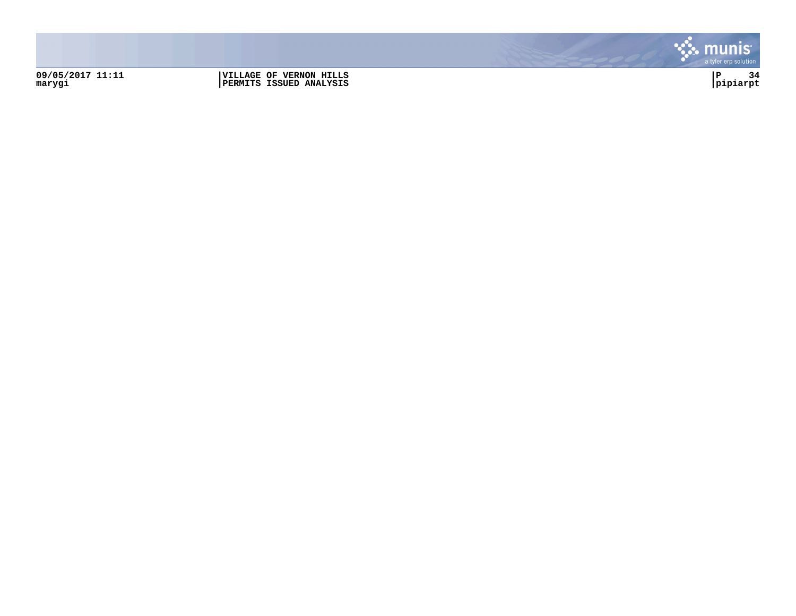**09/05/2017 11:11 |VILLAGE OF VERNON HILLS |P 34 marygi |PERMITS ISSUED ANALYSIS |pipiarpt**

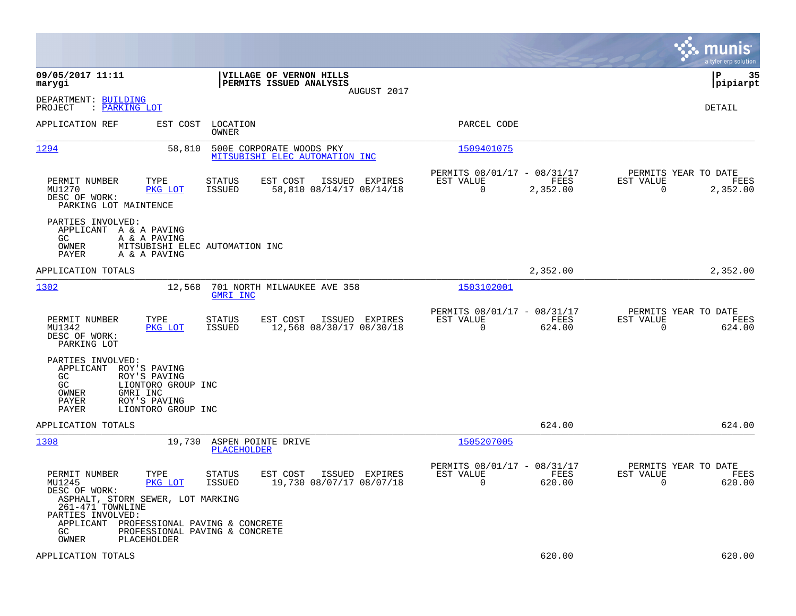|                                                                                                                                                                                   |                                                                                          |                                                                           | munis<br>a tyler erp solution                                        |
|-----------------------------------------------------------------------------------------------------------------------------------------------------------------------------------|------------------------------------------------------------------------------------------|---------------------------------------------------------------------------|----------------------------------------------------------------------|
| 09/05/2017 11:11<br>marygi                                                                                                                                                        | VILLAGE OF VERNON HILLS<br>PERMITS ISSUED ANALYSIS<br>AUGUST 2017                        |                                                                           | P<br>35<br> pipiarpt                                                 |
| DEPARTMENT: BUILDING<br>: PARKING LOT<br>PROJECT                                                                                                                                  |                                                                                          |                                                                           | DETAIL                                                               |
| APPLICATION REF                                                                                                                                                                   | LOCATION<br>EST COST<br><b>OWNER</b>                                                     | PARCEL CODE                                                               |                                                                      |
| 1294                                                                                                                                                                              | 500E CORPORATE WOODS PKY<br>58,810<br>MITSUBISHI ELEC AUTOMATION INC                     | 1509401075                                                                |                                                                      |
| TYPE<br>PERMIT NUMBER<br>MU1270<br>PKG LOT<br>DESC OF WORK:<br>PARKING LOT MAINTENCE                                                                                              | EST COST<br><b>STATUS</b><br>ISSUED EXPIRES<br><b>ISSUED</b><br>58,810 08/14/17 08/14/18 | PERMITS 08/01/17 - 08/31/17<br>EST VALUE<br>FEES<br>0<br>2,352.00         | PERMITS YEAR TO DATE<br>EST VALUE<br>FEES<br>$\mathbf 0$<br>2,352.00 |
| PARTIES INVOLVED:<br>APPLICANT A & A PAVING<br>GC.<br>A & A PAVING<br>OWNER<br>PAYER<br>A & A PAVING                                                                              | MITSUBISHI ELEC AUTOMATION INC                                                           |                                                                           |                                                                      |
| APPLICATION TOTALS                                                                                                                                                                |                                                                                          | 2,352.00                                                                  | 2,352.00                                                             |
| 1302                                                                                                                                                                              | 12,568<br>701 NORTH MILWAUKEE AVE 358<br>GMRI INC                                        | 1503102001                                                                |                                                                      |
| PERMIT NUMBER<br>TYPE<br>MU1342<br>PKG LOT<br>DESC OF WORK:<br>PARKING LOT                                                                                                        | <b>STATUS</b><br>EST COST<br>ISSUED EXPIRES<br>12,568 08/30/17 08/30/18<br>ISSUED        | PERMITS 08/01/17 - 08/31/17<br>EST VALUE<br>FEES<br>$\mathbf 0$<br>624.00 | PERMITS YEAR TO DATE<br>EST VALUE<br>FEES<br>$\mathbf 0$<br>624.00   |
| PARTIES INVOLVED:<br>APPLICANT ROY'S PAVING<br><b>GC</b><br>ROY'S PAVING<br>GC<br>LIONTORO GROUP INC<br>OWNER<br>GMRI INC<br>ROY'S PAVING<br>PAYER<br>LIONTORO GROUP INC<br>PAYER |                                                                                          |                                                                           |                                                                      |
| APPLICATION TOTALS                                                                                                                                                                |                                                                                          | 624.00                                                                    | 624.00                                                               |
| 1308                                                                                                                                                                              | 19,730 ASPEN POINTE DRIVE<br>PLACEHOLDER                                                 | 1505207005                                                                |                                                                      |
| PERMIT NUMBER<br>TYPE<br>MU1245<br>PKG LOT<br>DESC OF WORK:<br>ASPHALT, STORM SEWER, LOT MARKING<br>261-471 TOWNLINE                                                              | EST COST<br>ISSUED EXPIRES<br><b>STATUS</b><br>ISSUED<br>19,730 08/07/17 08/07/18        | PERMITS 08/01/17 - 08/31/17<br>EST VALUE<br>FEES<br>0<br>620.00           | PERMITS YEAR TO DATE<br>EST VALUE<br>FEES<br>0<br>620.00             |
| PARTIES INVOLVED:<br>APPLICANT PROFESSIONAL PAVING & CONCRETE<br>GC.<br>OWNER<br>PLACEHOLDER                                                                                      | PROFESSIONAL PAVING & CONCRETE                                                           |                                                                           |                                                                      |
| APPLICATION TOTALS                                                                                                                                                                |                                                                                          | 620.00                                                                    | 620.00                                                               |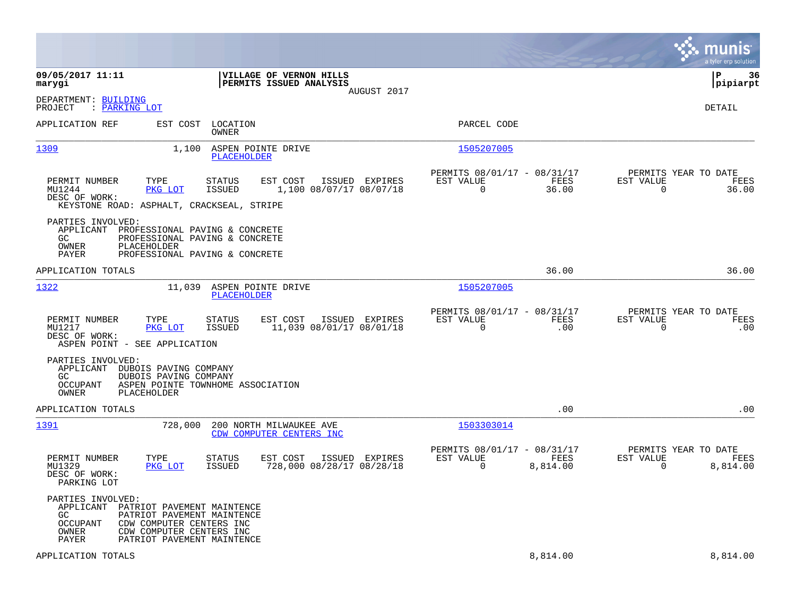|                                                                                                                                                                                                                    |                                                                             | munis<br>a tyler erp solution                                        |
|--------------------------------------------------------------------------------------------------------------------------------------------------------------------------------------------------------------------|-----------------------------------------------------------------------------|----------------------------------------------------------------------|
| 09/05/2017 11:11<br>VILLAGE OF VERNON HILLS<br><b>PERMITS ISSUED ANALYSIS</b><br>marygi<br>AUGUST 2017                                                                                                             |                                                                             | l P<br>36<br> pipiarpt                                               |
| DEPARTMENT: BUILDING<br>: PARKING LOT<br>PROJECT                                                                                                                                                                   |                                                                             | DETAIL                                                               |
| APPLICATION REF<br>EST COST<br>LOCATION<br>OWNER                                                                                                                                                                   | PARCEL CODE                                                                 |                                                                      |
| 1309<br>1,100<br>ASPEN POINTE DRIVE<br><b>PLACEHOLDER</b>                                                                                                                                                          | 1505207005                                                                  |                                                                      |
| PERMIT NUMBER<br>TYPE<br><b>STATUS</b><br>EST COST<br>ISSUED EXPIRES<br>1,100 08/07/17 08/07/18<br>MU1244<br>PKG LOT<br><b>ISSUED</b><br>DESC OF WORK:<br>KEYSTONE ROAD: ASPHALT, CRACKSEAL, STRIPE                | PERMITS 08/01/17 - 08/31/17<br>EST VALUE<br>FEES<br>0<br>36.00              | PERMITS YEAR TO DATE<br>EST VALUE<br>FEES<br>$\mathbf 0$<br>36.00    |
| PARTIES INVOLVED:<br>APPLICANT<br>PROFESSIONAL PAVING & CONCRETE<br>GC.<br>PROFESSIONAL PAVING & CONCRETE<br>OWNER<br>PLACEHOLDER<br>PAYER<br>PROFESSIONAL PAVING & CONCRETE                                       |                                                                             |                                                                      |
| APPLICATION TOTALS                                                                                                                                                                                                 | 36.00                                                                       | 36.00                                                                |
| 1322<br>11,039<br>ASPEN POINTE DRIVE<br><b>PLACEHOLDER</b>                                                                                                                                                         | 1505207005                                                                  |                                                                      |
| PERMIT NUMBER<br>TYPE<br><b>STATUS</b><br>EST COST<br>ISSUED EXPIRES<br>MU1217<br><b>ISSUED</b><br>11,039 08/01/17 08/01/18<br>PKG LOT<br>DESC OF WORK:<br>ASPEN POINT - SEE APPLICATION                           | PERMITS 08/01/17 - 08/31/17<br>EST VALUE<br>FEES<br>0<br>.00                | PERMITS YEAR TO DATE<br>EST VALUE<br>FEES<br>$\mathbf 0$<br>.00      |
| PARTIES INVOLVED:<br>APPLICANT DUBOIS PAVING COMPANY<br>GC.<br>DUBOIS PAVING COMPANY<br>OCCUPANT<br>ASPEN POINTE TOWNHOME ASSOCIATION<br>OWNER<br>PLACEHOLDER                                                      |                                                                             |                                                                      |
| APPLICATION TOTALS                                                                                                                                                                                                 | .00                                                                         | .00                                                                  |
| 1391<br>728,000<br>200 NORTH MILWAUKEE AVE<br>CDW COMPUTER CENTERS INC                                                                                                                                             | 1503303014                                                                  |                                                                      |
| PERMIT NUMBER<br>TYPE<br><b>STATUS</b><br>EST COST<br>ISSUED EXPIRES<br>ISSUED<br>728,000 08/28/17 08/28/18<br>MU1329<br>PKG LOT<br>DESC OF WORK:<br>PARKING LOT                                                   | PERMITS 08/01/17 - 08/31/17<br>EST VALUE<br>FEES<br>$\mathbf 0$<br>8,814.00 | PERMITS YEAR TO DATE<br>EST VALUE<br>FEES<br>$\mathbf 0$<br>8,814.00 |
| PARTIES INVOLVED:<br>APPLICANT PATRIOT PAVEMENT MAINTENCE<br>GC.<br>PATRIOT PAVEMENT MAINTENCE<br>OCCUPANT<br>CDW COMPUTER CENTERS INC<br>OWNER<br>CDW COMPUTER CENTERS INC<br>PATRIOT PAVEMENT MAINTENCE<br>PAYER |                                                                             |                                                                      |
| APPLICATION TOTALS                                                                                                                                                                                                 | 8,814.00                                                                    | 8,814.00                                                             |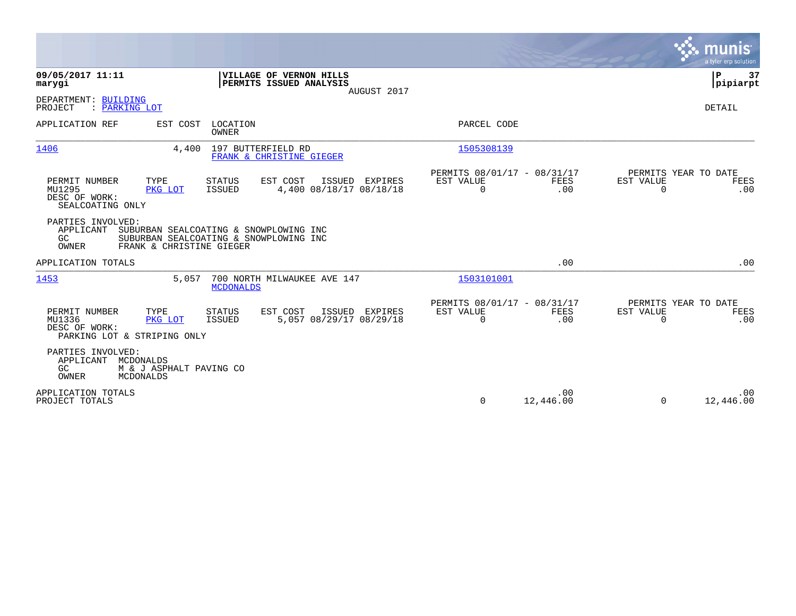|                                                                                                 |                                                                                  |                                                                            | a tyler erp solution                                            |
|-------------------------------------------------------------------------------------------------|----------------------------------------------------------------------------------|----------------------------------------------------------------------------|-----------------------------------------------------------------|
| 09/05/2017 11:11<br>marygi                                                                      | VILLAGE OF VERNON HILLS<br>PERMITS ISSUED ANALYSIS<br>AUGUST 2017                |                                                                            | ÞΡ<br>37<br> pipiarpt                                           |
| DEPARTMENT: BUILDING<br>PROJECT<br>: PARKING LOT                                                |                                                                                  |                                                                            | DETAIL                                                          |
| APPLICATION REF<br>EST COST                                                                     | LOCATION<br>OWNER                                                                | PARCEL CODE                                                                |                                                                 |
| 1406<br>4,400                                                                                   | 197 BUTTERFIELD RD<br>FRANK & CHRISTINE GIEGER                                   | 1505308139                                                                 |                                                                 |
| PERMIT NUMBER<br>TYPE<br>MU1295<br>PKG LOT<br>DESC OF WORK:<br>SEALCOATING ONLY                 | EST COST<br>STATUS<br>ISSUED<br>EXPIRES<br>4,400 08/18/17 08/18/18<br>ISSUED     | PERMITS 08/01/17 - 08/31/17<br>EST VALUE<br>FEES<br>$\mathbf 0$<br>.00     | PERMITS YEAR TO DATE<br>EST VALUE<br>FEES<br>$\mathbf 0$<br>.00 |
| PARTIES INVOLVED:<br>APPLICANT<br>GC<br>FRANK & CHRISTINE GIEGER<br>OWNER                       | SUBURBAN SEALCOATING & SNOWPLOWING INC<br>SUBURBAN SEALCOATING & SNOWPLOWING INC |                                                                            |                                                                 |
| APPLICATION TOTALS                                                                              |                                                                                  | .00                                                                        | .00                                                             |
| 1453<br>5,057                                                                                   | 700 NORTH MILWAUKEE AVE 147<br><b>MCDONALDS</b>                                  | 1503101001                                                                 |                                                                 |
| PERMIT NUMBER<br>TYPE<br>MU1336<br>PKG LOT<br>DESC OF WORK:<br>PARKING LOT & STRIPING ONLY      | EST COST<br>ISSUED EXPIRES<br>STATUS<br>ISSUED<br>5,057 08/29/17 08/29/18        | PERMITS 08/01/17 - 08/31/17<br>EST VALUE<br><b>FEES</b><br>.00<br>$\Omega$ | PERMITS YEAR TO DATE<br>EST VALUE<br>FEES<br>$\Omega$<br>.00    |
| PARTIES INVOLVED:<br>APPLICANT MCDONALDS<br>GC<br>M & J ASPHALT PAVING CO<br>MCDONALDS<br>OWNER |                                                                                  |                                                                            |                                                                 |
| APPLICATION TOTALS<br>PROJECT TOTALS                                                            |                                                                                  | .00<br>0<br>12,446.00                                                      | .00<br>12,446.00<br>$\Omega$                                    |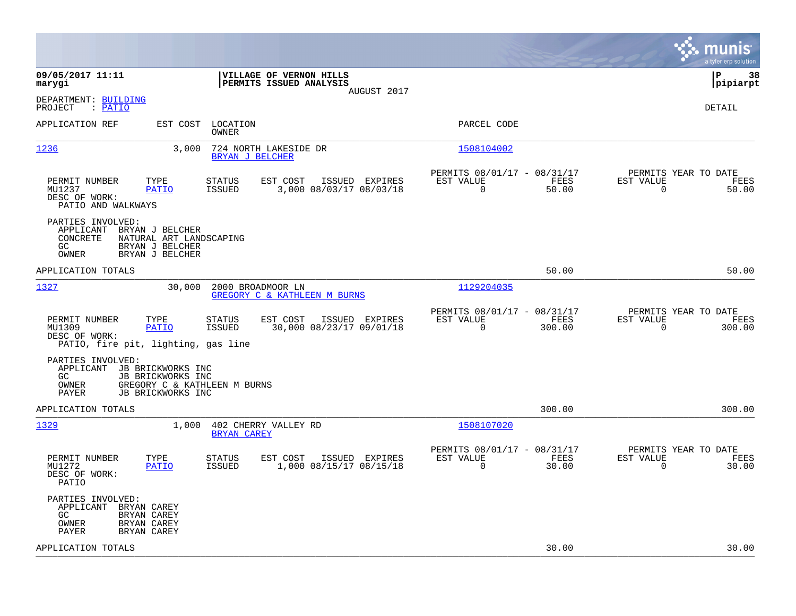|                                                                                                                                                                                                  |                                                                   |                                                         | munis<br>a tyler erp solution                                                        |
|--------------------------------------------------------------------------------------------------------------------------------------------------------------------------------------------------|-------------------------------------------------------------------|---------------------------------------------------------|--------------------------------------------------------------------------------------|
| 09/05/2017 11:11<br>marygi                                                                                                                                                                       | VILLAGE OF VERNON HILLS<br>PERMITS ISSUED ANALYSIS<br>AUGUST 2017 |                                                         | l P<br>38<br> pipiarpt                                                               |
| DEPARTMENT: BUILDING<br>PROJECT<br>: PATIO                                                                                                                                                       |                                                                   |                                                         | DETAIL                                                                               |
| APPLICATION REF<br>EST COST<br>LOCATION<br>OWNER                                                                                                                                                 |                                                                   | PARCEL CODE                                             |                                                                                      |
| 1236<br>3,000<br>BRYAN J BELCHER                                                                                                                                                                 | 724 NORTH LAKESIDE DR                                             | 1508104002                                              |                                                                                      |
| PERMIT NUMBER<br>TYPE<br>STATUS<br><b>PATIO</b><br>MU1237<br>ISSUED<br>DESC OF WORK:<br>PATIO AND WALKWAYS                                                                                       | EST COST<br>ISSUED EXPIRES<br>3,000 08/03/17 08/03/18             | PERMITS 08/01/17 - 08/31/17<br>EST VALUE<br>$\mathbf 0$ | PERMITS YEAR TO DATE<br>FEES<br>EST VALUE<br>FEES<br>50.00<br>$\mathbf 0$<br>50.00   |
| PARTIES INVOLVED:<br>APPLICANT<br>BRYAN J BELCHER<br>CONCRETE<br>NATURAL ART LANDSCAPING<br>GC<br>BRYAN J BELCHER<br>OWNER<br>BRYAN J BELCHER                                                    |                                                                   |                                                         |                                                                                      |
| APPLICATION TOTALS                                                                                                                                                                               |                                                                   |                                                         | 50.00<br>50.00                                                                       |
| 1327<br>30,000<br>2000 BROADMOOR LN                                                                                                                                                              | GREGORY C & KATHLEEN M BURNS                                      | 1129204035                                              |                                                                                      |
| PERMIT NUMBER<br>TYPE<br>STATUS<br>MU1309<br><b>PATIO</b><br>ISSUED<br>DESC OF WORK:                                                                                                             | EST COST<br>ISSUED EXPIRES<br>30,000 08/23/17 09/01/18            | PERMITS 08/01/17 - 08/31/17<br>EST VALUE<br>$\mathbf 0$ | PERMITS YEAR TO DATE<br>FEES<br>EST VALUE<br>FEES<br>300.00<br>$\mathbf 0$<br>300.00 |
| PATIO, fire pit, lighting, gas line<br>PARTIES INVOLVED:<br>APPLICANT JB BRICKWORKS INC<br>GC<br>JB BRICKWORKS INC<br>OWNER<br>GREGORY C & KATHLEEN M BURNS<br><b>PAYER</b><br>JB BRICKWORKS INC |                                                                   |                                                         |                                                                                      |
| APPLICATION TOTALS                                                                                                                                                                               |                                                                   |                                                         | 300.00<br>300.00                                                                     |
| 1329<br>1,000<br><b>BRYAN CAREY</b>                                                                                                                                                              | 402 CHERRY VALLEY RD                                              | 1508107020                                              |                                                                                      |
| PERMIT NUMBER<br>TYPE<br>STATUS<br>MU1272<br><b>PATIO</b><br>ISSUED<br>DESC OF WORK:<br>PATIO                                                                                                    | EST COST<br>ISSUED EXPIRES<br>1,000 08/15/17 08/15/18             | PERMITS 08/01/17 - 08/31/17<br>EST VALUE<br>$\Omega$    | PERMITS YEAR TO DATE<br>EST VALUE<br>FEES<br>FEES<br>30.00<br>30.00<br>0             |
| PARTIES INVOLVED:<br>APPLICANT<br>BRYAN CAREY<br>GC<br>BRYAN CAREY<br>OWNER<br>BRYAN CAREY<br>BRYAN CAREY<br>PAYER                                                                               |                                                                   |                                                         |                                                                                      |
| APPLICATION TOTALS                                                                                                                                                                               |                                                                   |                                                         | 30.00<br>30.00                                                                       |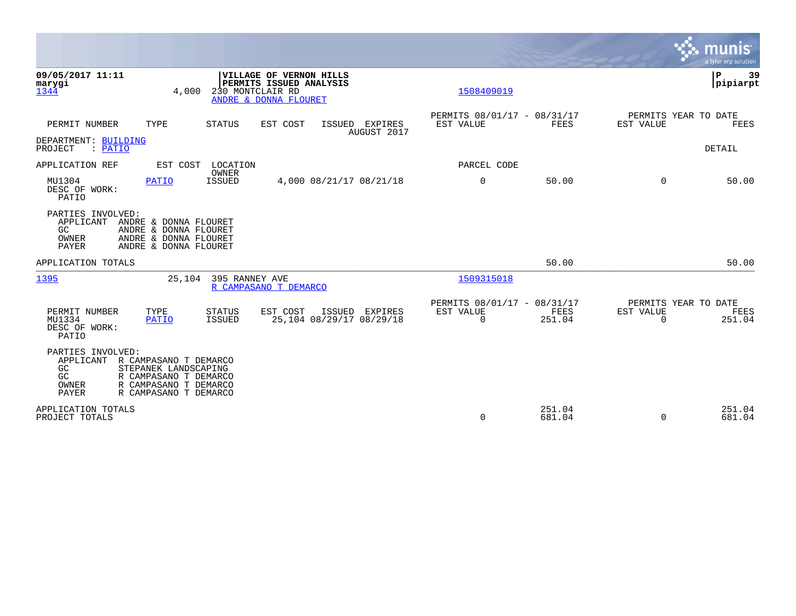|                                                                                                                                                                                                 |                                            |                                                      |                  |                                               | munis<br>a tyler erp solution |
|-------------------------------------------------------------------------------------------------------------------------------------------------------------------------------------------------|--------------------------------------------|------------------------------------------------------|------------------|-----------------------------------------------|-------------------------------|
| 09/05/2017 11:11<br><b>VILLAGE OF VERNON HILLS</b><br><b>PERMITS ISSUED ANALYSIS</b><br>marygi<br>230 MONTCLAIR RD<br>1344<br>4,000<br>ANDRE & DONNA FLOURET                                    |                                            | 1508409019                                           |                  |                                               | l P<br>39<br> pipiarpt        |
| PERMIT NUMBER<br>TYPE<br>STATUS<br>EST COST                                                                                                                                                     | ISSUED EXPIRES<br>AUGUST 2017              | PERMITS 08/01/17 - 08/31/17<br>EST VALUE             | FEES             | PERMITS YEAR TO DATE<br>EST VALUE             | FEES                          |
| DEPARTMENT: BUILDING<br>: PATIO<br>PROJECT                                                                                                                                                      |                                            |                                                      |                  |                                               | <b>DETAIL</b>                 |
| APPLICATION REF<br>LOCATION<br>EST COST<br>OWNER                                                                                                                                                |                                            | PARCEL CODE                                          |                  |                                               |                               |
| <b>ISSUED</b><br>MU1304<br><b>PATIO</b><br>DESC OF WORK:<br>PATIO                                                                                                                               | 4,000 08/21/17 08/21/18                    | $\mathbf 0$                                          | 50.00            | $\Omega$                                      | 50.00                         |
| PARTIES INVOLVED:<br>APPLICANT<br>ANDRE & DONNA FLOURET<br>GC<br>ANDRE & DONNA FLOURET<br><b>OWNER</b><br>ANDRE & DONNA FLOURET<br>PAYER<br>ANDRE & DONNA FLOURET                               |                                            |                                                      |                  |                                               |                               |
| APPLICATION TOTALS                                                                                                                                                                              |                                            |                                                      | 50.00            |                                               | 50.00                         |
| 1395<br>395 RANNEY AVE<br>25,104<br>R CAMPASANO T DEMARCO                                                                                                                                       |                                            | 1509315018                                           |                  |                                               |                               |
| PERMIT NUMBER<br>TYPE<br><b>STATUS</b><br>EST COST<br>MU1334<br><b>ISSUED</b><br>PATIO<br>DESC OF WORK:<br>PATIO                                                                                | ISSUED EXPIRES<br>25,104 08/29/17 08/29/18 | PERMITS 08/01/17 - 08/31/17<br>EST VALUE<br>$\Omega$ | FEES<br>251.04   | PERMITS YEAR TO DATE<br>EST VALUE<br>$\Omega$ | FEES<br>251.04                |
| PARTIES INVOLVED:<br>APPLICANT<br>R CAMPASANO T DEMARCO<br>GC<br>STEPANEK LANDSCAPING<br>GC<br>R CAMPASANO T DEMARCO<br>R CAMPASANO T DEMARCO<br>OWNER<br><b>PAYER</b><br>R CAMPASANO T DEMARCO |                                            |                                                      |                  |                                               |                               |
| APPLICATION TOTALS<br>PROJECT TOTALS                                                                                                                                                            |                                            | 0                                                    | 251.04<br>681.04 | $\Omega$                                      | 251.04<br>681.04              |

and the contract of the contract of the contract of the contract of the contract of the contract of the contract of

the contract of the contract of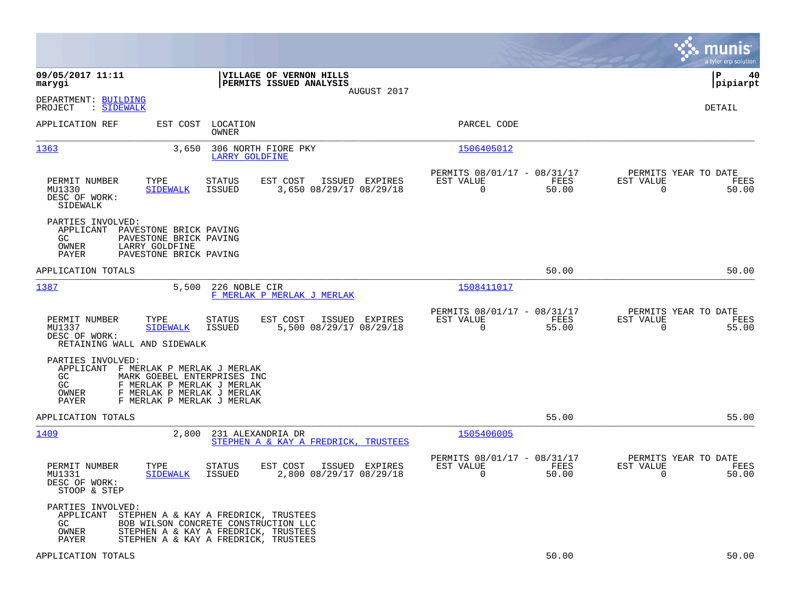|                                                                                         |                                                                                                                       |                                                                                                                                                              |                         |                |                                                         |               |                                                  | munis<br>a tyler erp solution |
|-----------------------------------------------------------------------------------------|-----------------------------------------------------------------------------------------------------------------------|--------------------------------------------------------------------------------------------------------------------------------------------------------------|-------------------------|----------------|---------------------------------------------------------|---------------|--------------------------------------------------|-------------------------------|
| 09/05/2017 11:11<br>marygi                                                              |                                                                                                                       | VILLAGE OF VERNON HILLS<br>PERMITS ISSUED ANALYSIS                                                                                                           |                         | AUGUST 2017    |                                                         |               |                                                  | l P<br>40<br> pipiarpt        |
| DEPARTMENT: BUILDING<br>: SIDEWALK<br>PROJECT                                           |                                                                                                                       |                                                                                                                                                              |                         |                |                                                         |               |                                                  | DETAIL                        |
| APPLICATION REF                                                                         | EST COST                                                                                                              | LOCATION<br>OWNER                                                                                                                                            |                         |                | PARCEL CODE                                             |               |                                                  |                               |
| 1363                                                                                    | 3,650                                                                                                                 | 306 NORTH FIORE PKY<br><b>LARRY GOLDFINE</b>                                                                                                                 |                         |                | 1506405012                                              |               |                                                  |                               |
| PERMIT NUMBER<br>MU1330<br>DESC OF WORK:<br>SIDEWALK                                    | TYPE<br><b>SIDEWALK</b>                                                                                               | STATUS<br>EST COST<br>ISSUED                                                                                                                                 | 3,650 08/29/17 08/29/18 | ISSUED EXPIRES | PERMITS 08/01/17 - 08/31/17<br>EST VALUE<br>$\mathbf 0$ | FEES<br>50.00 | PERMITS YEAR TO DATE<br>EST VALUE<br>$\mathbf 0$ | FEES<br>50.00                 |
| PARTIES INVOLVED:<br>APPLICANT<br>GC.<br>OWNER<br>PAYER                                 | PAVESTONE BRICK PAVING<br>PAVESTONE BRICK PAVING<br>LARRY GOLDFINE<br>PAVESTONE BRICK PAVING                          |                                                                                                                                                              |                         |                |                                                         |               |                                                  |                               |
| APPLICATION TOTALS                                                                      |                                                                                                                       |                                                                                                                                                              |                         |                |                                                         | 50.00         |                                                  | 50.00                         |
| 1387                                                                                    | 5,500                                                                                                                 | 226 NOBLE CIR<br>F MERLAK P MERLAK J MERLAK                                                                                                                  |                         |                | 1508411017                                              |               |                                                  |                               |
| PERMIT NUMBER<br>MU1337<br>DESC OF WORK:<br>RETAINING WALL AND SIDEWALK                 | TYPE<br><b>SIDEWALK</b>                                                                                               | STATUS<br>EST COST<br>ISSUED                                                                                                                                 | 5,500 08/29/17 08/29/18 | ISSUED EXPIRES | PERMITS 08/01/17 - 08/31/17<br>EST VALUE<br>$\mathbf 0$ | FEES<br>55.00 | PERMITS YEAR TO DATE<br>EST VALUE<br>$\mathbf 0$ | FEES<br>55.00                 |
| PARTIES INVOLVED:<br>APPLICANT F MERLAK P MERLAK J MERLAK<br>GC<br>GC<br>OWNER<br>PAYER | MARK GOEBEL ENTERPRISES INC<br>F MERLAK P MERLAK J MERLAK<br>F MERLAK P MERLAK J MERLAK<br>F MERLAK P MERLAK J MERLAK |                                                                                                                                                              |                         |                |                                                         |               |                                                  |                               |
| APPLICATION TOTALS                                                                      |                                                                                                                       |                                                                                                                                                              |                         |                |                                                         | 55.00         |                                                  | 55.00                         |
| 1409                                                                                    | 2,800                                                                                                                 | 231 ALEXANDRIA DR<br>STEPHEN A & KAY A FREDRICK, TRUSTEES                                                                                                    |                         |                | 1505406005                                              |               |                                                  |                               |
| PERMIT NUMBER<br>MU1331<br>DESC OF WORK:<br>STOOP & STEP                                | TYPE<br><b>SIDEWALK</b>                                                                                               | STATUS<br>EST COST<br>ISSUED                                                                                                                                 | 2,800 08/29/17 08/29/18 | ISSUED EXPIRES | PERMITS 08/01/17 - 08/31/17<br>EST VALUE<br>$\mathbf 0$ | FEES<br>50.00 | PERMITS YEAR TO DATE<br>EST VALUE<br>$\mathbf 0$ | FEES<br>50.00                 |
| PARTIES INVOLVED:<br>APPLICANT<br>GC<br>OWNER<br>PAYER                                  |                                                                                                                       | STEPHEN A & KAY A FREDRICK, TRUSTEES<br>BOB WILSON CONCRETE CONSTRUCTION LLC<br>STEPHEN A & KAY A FREDRICK, TRUSTEES<br>STEPHEN A & KAY A FREDRICK, TRUSTEES |                         |                |                                                         |               |                                                  |                               |
| APPLICATION TOTALS                                                                      |                                                                                                                       |                                                                                                                                                              |                         |                |                                                         | 50.00         |                                                  | 50.00                         |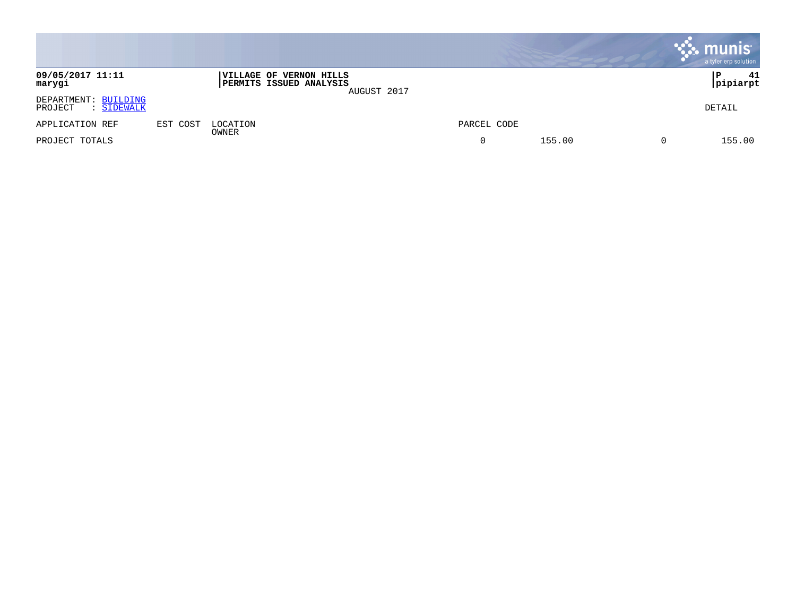|                                               |          |                                                    |             |             |        | . munis <sup>.</sup><br>a tyler erp solution |
|-----------------------------------------------|----------|----------------------------------------------------|-------------|-------------|--------|----------------------------------------------|
| 09/05/2017 11:11<br>marygi                    |          | VILLAGE OF VERNON HILLS<br>PERMITS ISSUED ANALYSIS | AUGUST 2017 |             |        | 41<br> P<br>pipiarpt                         |
| DEPARTMENT: BUILDING<br>PROJECT<br>: SIDEWALK |          |                                                    |             |             |        | DETAIL                                       |
| APPLICATION REF                               | EST COST | LOCATION                                           |             | PARCEL CODE |        |                                              |
| PROJECT TOTALS                                |          | OWNER                                              |             | 0           | 155.00 | 155.00                                       |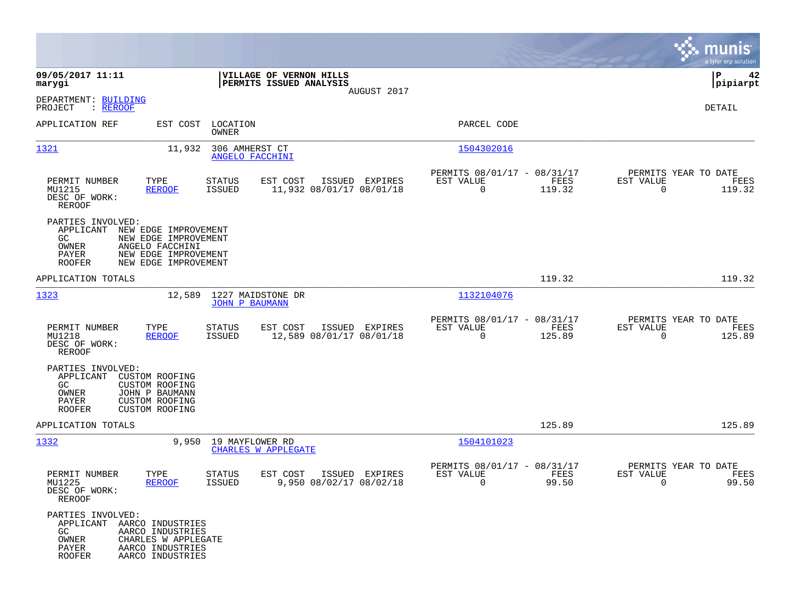|                                                                                   |                                                                                                                 |                                            |                                                    |                |                                                            |                |                                                  | munis<br>a tyler erp solution |
|-----------------------------------------------------------------------------------|-----------------------------------------------------------------------------------------------------------------|--------------------------------------------|----------------------------------------------------|----------------|------------------------------------------------------------|----------------|--------------------------------------------------|-------------------------------|
| 09/05/2017 11:11<br>marygi                                                        |                                                                                                                 |                                            | VILLAGE OF VERNON HILLS<br>PERMITS ISSUED ANALYSIS |                |                                                            |                |                                                  | 42<br>IΡ<br> pipiarpt         |
| DEPARTMENT: BUILDING<br>PROJECT<br>: <u>REROOF</u>                                |                                                                                                                 |                                            |                                                    | AUGUST 2017    |                                                            |                |                                                  | DETAIL                        |
| APPLICATION REF                                                                   | EST COST                                                                                                        | LOCATION<br>OWNER                          |                                                    |                | PARCEL CODE                                                |                |                                                  |                               |
| 1321                                                                              | 11,932                                                                                                          | 306 AMHERST CT<br>ANGELO FACCHINI          |                                                    |                | 1504302016                                                 |                |                                                  |                               |
| PERMIT NUMBER<br>MU1215<br>DESC OF WORK:<br>REROOF                                | TYPE<br><b>REROOF</b>                                                                                           | <b>STATUS</b><br><b>ISSUED</b>             | EST COST<br>11,932 08/01/17 08/01/18               | ISSUED EXPIRES | PERMITS 08/01/17 - 08/31/17<br>EST VALUE<br>$\overline{0}$ | FEES<br>119.32 | PERMITS YEAR TO DATE<br>EST VALUE<br>$\mathbf 0$ | FEES<br>119.32                |
| PARTIES INVOLVED:<br>APPLICANT<br>GC.<br>OWNER<br>PAYER<br><b>ROOFER</b>          | NEW EDGE IMPROVEMENT<br>NEW EDGE IMPROVEMENT<br>ANGELO FACCHINI<br>NEW EDGE IMPROVEMENT<br>NEW EDGE IMPROVEMENT |                                            |                                                    |                |                                                            |                |                                                  |                               |
| APPLICATION TOTALS                                                                |                                                                                                                 |                                            |                                                    |                |                                                            | 119.32         |                                                  | 119.32                        |
| 1323                                                                              | 12,589                                                                                                          | 1227 MAIDSTONE DR<br><b>JOHN P BAUMANN</b> |                                                    |                | 1132104076                                                 |                |                                                  |                               |
| PERMIT NUMBER<br>MU1218<br>DESC OF WORK:<br>REROOF                                | TYPE<br><b>REROOF</b>                                                                                           | <b>STATUS</b><br>ISSUED                    | EST COST<br>12,589 08/01/17 08/01/18               | ISSUED EXPIRES | PERMITS 08/01/17 - 08/31/17<br>EST VALUE<br>$\mathbf 0$    | FEES<br>125.89 | PERMITS YEAR TO DATE<br>EST VALUE<br>$\Omega$    | FEES<br>125.89                |
| PARTIES INVOLVED:<br>APPLICANT<br>GC.<br>OWNER<br>PAYER<br>ROOFER                 | <b>CUSTOM ROOFING</b><br>CUSTOM ROOFING<br>JOHN P BAUMANN<br><b>CUSTOM ROOFING</b><br>CUSTOM ROOFING            |                                            |                                                    |                |                                                            |                |                                                  |                               |
| APPLICATION TOTALS                                                                |                                                                                                                 |                                            |                                                    |                |                                                            | 125.89         |                                                  | 125.89                        |
| 1332                                                                              |                                                                                                                 | 9,950 19 MAYFLOWER RD                      | CHARLES W APPLEGATE                                |                | 1504101023                                                 |                |                                                  |                               |
| PERMIT NUMBER<br>MU1225<br>DESC OF WORK:<br>REROOF                                | TYPE<br><b>REROOF</b>                                                                                           | STATUS<br><b>ISSUED</b>                    | EST COST<br>9,950 08/02/17 08/02/18                | ISSUED EXPIRES | PERMITS 08/01/17 - 08/31/17<br>EST VALUE<br>0              | FEES<br>99.50  | PERMITS YEAR TO DATE<br>EST VALUE<br>0           | FEES<br>99.50                 |
| PARTIES INVOLVED:<br>APPLICANT AARCO INDUSTRIES<br>GC<br>OWNER<br>PAYER<br>ROOFER | AARCO INDUSTRIES<br>CHARLES W APPLEGATE<br>AARCO INDUSTRIES<br>AARCO INDUSTRIES                                 |                                            |                                                    |                |                                                            |                |                                                  |                               |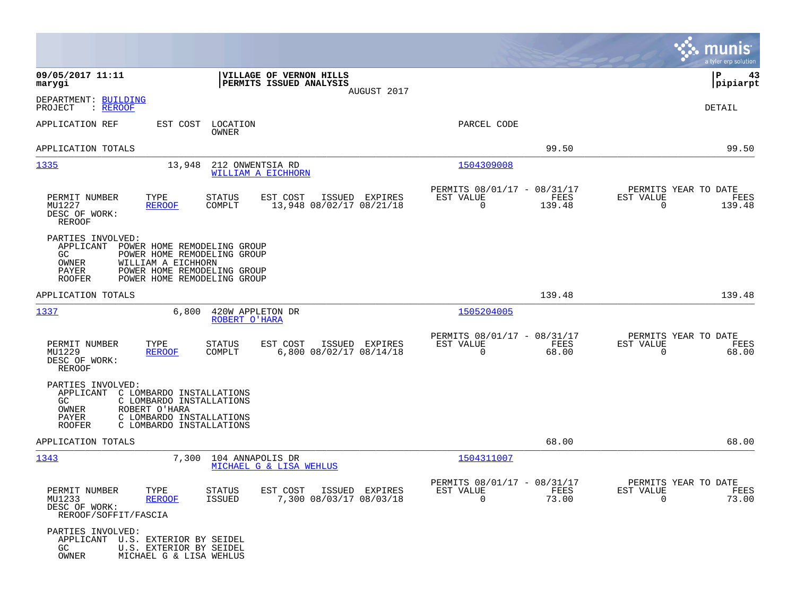|                                                                                                                                                                                                                            |                                                                           | munis<br>a tyler erp solution                                     |
|----------------------------------------------------------------------------------------------------------------------------------------------------------------------------------------------------------------------------|---------------------------------------------------------------------------|-------------------------------------------------------------------|
| 09/05/2017 11:11<br>VILLAGE OF VERNON HILLS<br>PERMITS ISSUED ANALYSIS<br>marygi<br>AUGUST 2017                                                                                                                            |                                                                           | ΙP<br>43<br> pipiarpt                                             |
| DEPARTMENT: BUILDING<br>: REROOF<br>PROJECT                                                                                                                                                                                |                                                                           | DETAIL                                                            |
| LOCATION<br>APPLICATION REF<br>EST COST<br>OWNER                                                                                                                                                                           | PARCEL CODE                                                               |                                                                   |
| APPLICATION TOTALS                                                                                                                                                                                                         | 99.50                                                                     | 99.50                                                             |
| <u> 1335</u><br>13,948<br>212 ONWENTSIA RD<br>WILLIAM A EICHHORN                                                                                                                                                           | 1504309008                                                                |                                                                   |
| PERMIT NUMBER<br>TYPE<br>STATUS<br>EST COST<br>ISSUED EXPIRES<br>13,948 08/02/17 08/21/18<br>MU1227<br><b>REROOF</b><br>COMPLT<br>DESC OF WORK:<br><b>REROOF</b>                                                           | PERMITS 08/01/17 -<br>08/31/17<br>EST VALUE<br>FEES<br>$\Omega$<br>139.48 | PERMITS YEAR TO DATE<br>EST VALUE<br>FEES<br>$\Omega$<br>139.48   |
| PARTIES INVOLVED:<br>APPLICANT<br>POWER HOME REMODELING GROUP<br>GC.<br>POWER HOME REMODELING GROUP<br>OWNER<br>WILLIAM A EICHHORN<br>PAYER<br>POWER HOME REMODELING GROUP<br>POWER HOME REMODELING GROUP<br><b>ROOFER</b> |                                                                           |                                                                   |
| APPLICATION TOTALS                                                                                                                                                                                                         | 139.48                                                                    | 139.48                                                            |
| 1337<br>6,800<br>420W APPLETON DR<br>ROBERT O'HARA                                                                                                                                                                         | 1505204005                                                                |                                                                   |
| TYPE<br>EST COST<br>PERMIT NUMBER<br><b>STATUS</b><br>ISSUED EXPIRES<br>MU1229<br><b>REROOF</b><br>COMPLT<br>6,800 08/02/17 08/14/18<br>DESC OF WORK:<br>REROOF                                                            | PERMITS 08/01/17 - 08/31/17<br>EST VALUE<br>FEES<br>0<br>68.00            | PERMITS YEAR TO DATE<br>EST VALUE<br>FEES<br>68.00<br>0           |
| PARTIES INVOLVED:<br>APPLICANT<br>C LOMBARDO INSTALLATIONS<br>GC<br>C LOMBARDO INSTALLATIONS<br>ROBERT O'HARA<br><b>OWNER</b><br>C LOMBARDO INSTALLATIONS<br>PAYER<br><b>ROOFER</b><br>C LOMBARDO INSTALLATIONS            |                                                                           |                                                                   |
| APPLICATION TOTALS                                                                                                                                                                                                         | 68.00                                                                     | 68.00                                                             |
| 1343<br>7,300<br>104 ANNAPOLIS DR<br>MICHAEL G & LISA WEHLUS                                                                                                                                                               | 1504311007                                                                |                                                                   |
| PERMIT NUMBER<br>TYPE<br>STATUS<br>EST COST<br>ISSUED EXPIRES<br>MU1233<br><b>REROOF</b><br><b>ISSUED</b><br>7,300 08/03/17 08/03/18<br>DESC OF WORK:<br>REROOF/SOFFIT/FASCIA                                              | PERMITS 08/01/17 - 08/31/17<br>EST VALUE<br>FEES<br>$\mathbf 0$<br>73.00  | PERMITS YEAR TO DATE<br>EST VALUE<br>FEES<br>$\mathbf 0$<br>73.00 |
| PARTIES INVOLVED:<br>APPLICANT<br>U.S. EXTERIOR BY SEIDEL<br>GC<br>U.S. EXTERIOR BY SEIDEL<br>OWNER<br>MICHAEL G & LISA WEHLUS                                                                                             |                                                                           |                                                                   |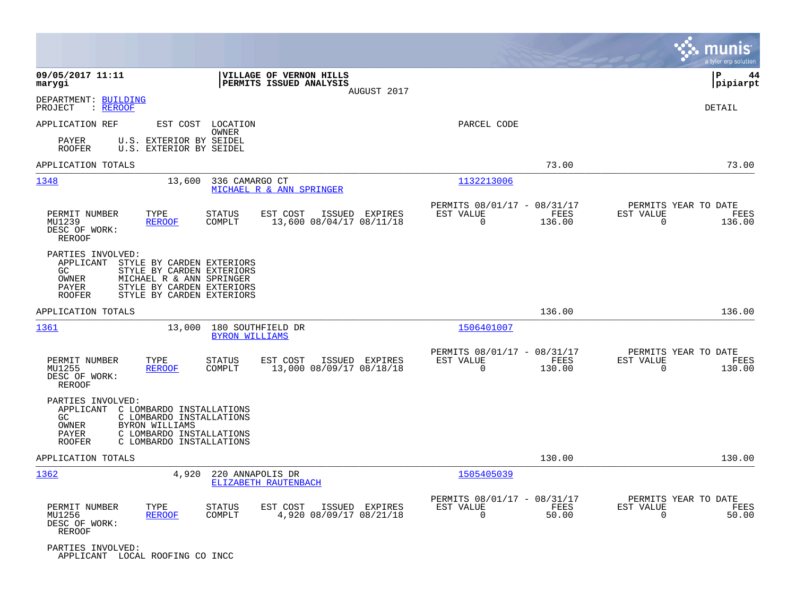|                                                                                                                    |                                                                                                                                              |                                                                           |                | munis<br>a tyler erp solution                                      |
|--------------------------------------------------------------------------------------------------------------------|----------------------------------------------------------------------------------------------------------------------------------------------|---------------------------------------------------------------------------|----------------|--------------------------------------------------------------------|
| 09/05/2017 11:11<br>marygi                                                                                         | VILLAGE OF VERNON HILLS<br>PERMITS ISSUED ANALYSIS                                                                                           | AUGUST 2017                                                               |                | P<br>44<br> pipiarpt                                               |
| DEPARTMENT: BUILDING<br>: <u>REROOF</u><br>PROJECT                                                                 |                                                                                                                                              |                                                                           |                | <b>DETAIL</b>                                                      |
| APPLICATION REF<br>PAYER<br><b>ROOFER</b>                                                                          | EST COST<br>LOCATION<br><b>OWNER</b><br>U.S. EXTERIOR BY SEIDEL<br>U.S. EXTERIOR BY SEIDEL                                                   | PARCEL CODE                                                               |                |                                                                    |
| APPLICATION TOTALS                                                                                                 |                                                                                                                                              |                                                                           | 73.00          | 73.00                                                              |
| 1348                                                                                                               | 13,600<br>336 CAMARGO CT<br>MICHAEL R & ANN SPRINGER                                                                                         | 1132213006                                                                |                |                                                                    |
| PERMIT NUMBER<br>TYPE<br>MU1239<br><b>REROOF</b><br>DESC OF WORK:<br><b>REROOF</b>                                 | <b>STATUS</b><br>EST COST<br>COMPLT<br>13,600 08/04/17 08/11/18                                                                              | PERMITS 08/01/17 - 08/31/17<br>ISSUED EXPIRES<br>EST VALUE<br>$\mathbf 0$ | FEES<br>136.00 | PERMITS YEAR TO DATE<br>EST VALUE<br>FEES<br>$\mathbf 0$<br>136.00 |
| PARTIES INVOLVED:<br>APPLICANT<br>GC.<br>OWNER<br>PAYER<br><b>ROOFER</b>                                           | STYLE BY CARDEN EXTERIORS<br>STYLE BY CARDEN EXTERIORS<br>MICHAEL R & ANN SPRINGER<br>STYLE BY CARDEN EXTERIORS<br>STYLE BY CARDEN EXTERIORS |                                                                           |                |                                                                    |
| APPLICATION TOTALS                                                                                                 |                                                                                                                                              |                                                                           | 136.00         | 136.00                                                             |
| 1361                                                                                                               | 13,000<br>180 SOUTHFIELD DR<br><b>BYRON WILLIAMS</b>                                                                                         | 1506401007                                                                |                |                                                                    |
| PERMIT NUMBER<br>TYPE<br>MU1255<br>REROOF<br>DESC OF WORK:<br>REROOF                                               | <b>STATUS</b><br>EST COST<br>COMPLT<br>13,000 08/09/17 08/18/18                                                                              | PERMITS 08/01/17 - 08/31/17<br>ISSUED EXPIRES<br>EST VALUE<br>$\mathbf 0$ | FEES<br>130.00 | PERMITS YEAR TO DATE<br>EST VALUE<br>FEES<br>$\mathbf 0$<br>130.00 |
| PARTIES INVOLVED:<br>APPLICANT C LOMBARDO INSTALLATIONS<br>GC<br>OWNER<br>BYRON WILLIAMS<br>PAYER<br><b>ROOFER</b> | C LOMBARDO INSTALLATIONS<br>C LOMBARDO INSTALLATIONS<br>C LOMBARDO INSTALLATIONS                                                             |                                                                           |                |                                                                    |
| APPLICATION TOTALS                                                                                                 |                                                                                                                                              |                                                                           | 130.00         | 130.00                                                             |
| 1362                                                                                                               | 4,920<br>220 ANNAPOLIS DR<br>ELIZABETH RAUTENBACH                                                                                            | 1505405039                                                                |                |                                                                    |
| PERMIT NUMBER<br>TYPE<br>MU1256<br><b>REROOF</b><br>DESC OF WORK:<br>REROOF                                        | <b>STATUS</b><br>EST COST<br>COMPLT<br>4,920 08/09/17 08/21/18                                                                               | PERMITS 08/01/17 - 08/31/17<br>ISSUED EXPIRES<br>EST VALUE<br>$\mathbf 0$ | FEES<br>50.00  | PERMITS YEAR TO DATE<br>EST VALUE<br>FEES<br>50.00<br>$\mathbf 0$  |
| PARTIES INVOLVED:<br>APPLICANT LOCAL ROOFING CO INCC                                                               |                                                                                                                                              |                                                                           |                |                                                                    |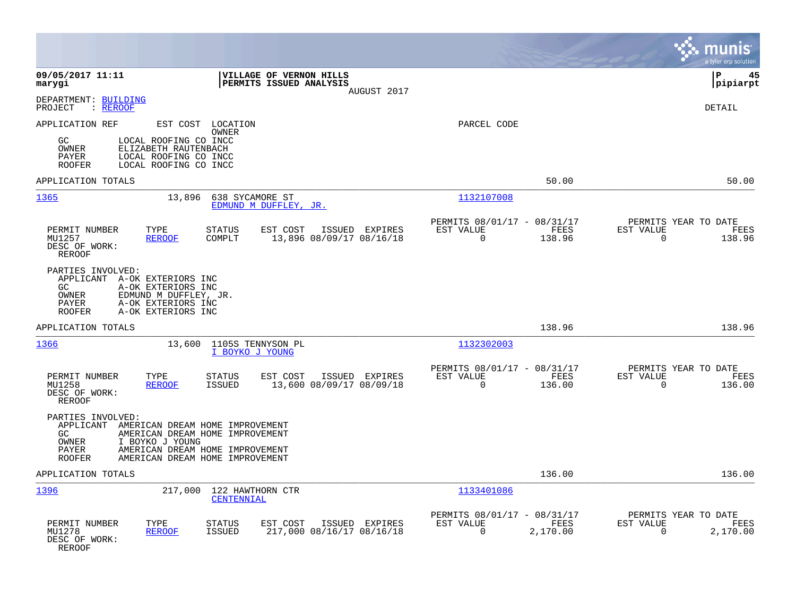|                                                                                                                                                                                                                                             | munis<br>a tyler erp solution                                                                                                                          |
|---------------------------------------------------------------------------------------------------------------------------------------------------------------------------------------------------------------------------------------------|--------------------------------------------------------------------------------------------------------------------------------------------------------|
| 09/05/2017 11:11<br>VILLAGE OF VERNON HILLS<br>PERMITS ISSUED ANALYSIS<br>marygi<br>AUGUST 2017                                                                                                                                             | lР<br>45<br> pipiarpt                                                                                                                                  |
| DEPARTMENT: BUILDING<br>PROJECT<br>: REROOF                                                                                                                                                                                                 | <b>DETAIL</b>                                                                                                                                          |
| APPLICATION REF<br>EST COST LOCATION<br>OWNER<br>LOCAL ROOFING CO INCC<br>GC.<br><b>OWNER</b><br>ELIZABETH RAUTENBACH<br>LOCAL ROOFING CO INCC<br>PAYER<br>LOCAL ROOFING CO INCC<br><b>ROOFER</b>                                           | PARCEL CODE                                                                                                                                            |
| APPLICATION TOTALS                                                                                                                                                                                                                          | 50.00<br>50.00                                                                                                                                         |
| 1365<br>13,896<br>638 SYCAMORE ST<br>EDMUND M DUFFLEY, JR.                                                                                                                                                                                  | 1132107008                                                                                                                                             |
| PERMIT NUMBER<br>TYPE<br>STATUS<br>EST COST<br>ISSUED EXPIRES<br>MU1257<br><b>REROOF</b><br>COMPLT<br>13,896 08/09/17 08/16/18<br>DESC OF WORK:<br><b>REROOF</b>                                                                            | PERMITS 08/01/17 - 08/31/17<br>PERMITS YEAR TO DATE<br>EST VALUE<br><b>FEES</b><br>EST VALUE<br>FEES<br>$\mathbf 0$<br>138.96<br>$\mathbf 0$<br>138.96 |
| PARTIES INVOLVED:<br>APPLICANT A-OK EXTERIORS INC<br>GC.<br>A-OK EXTERIORS INC<br>OWNER<br>EDMUND M DUFFLEY, JR.<br>PAYER<br>A-OK EXTERIORS INC<br><b>ROOFER</b><br>A-OK EXTERIORS INC                                                      |                                                                                                                                                        |
| APPLICATION TOTALS                                                                                                                                                                                                                          | 138.96<br>138.96                                                                                                                                       |
| 1366<br>13,600 1105S TENNYSON PL<br>I BOYKO J YOUNG                                                                                                                                                                                         | 1132302003                                                                                                                                             |
| PERMIT NUMBER<br>TYPE<br><b>STATUS</b><br>EST COST<br>ISSUED EXPIRES<br>ISSUED<br>13,600 08/09/17 08/09/18<br>MU1258<br><b>REROOF</b><br>DESC OF WORK:<br>REROOF                                                                            | PERMITS 08/01/17 - 08/31/17<br>PERMITS YEAR TO DATE<br>EST VALUE<br>FEES<br>EST VALUE<br>FEES<br>$\mathbf 0$<br>136.00<br>$\mathbf 0$<br>136.00        |
| PARTIES INVOLVED:<br>APPLICANT AMERICAN DREAM HOME IMPROVEMENT<br>AMERICAN DREAM HOME IMPROVEMENT<br>GC.<br>OWNER<br>I BOYKO J YOUNG<br><b>PAYER</b><br>AMERICAN DREAM HOME IMPROVEMENT<br><b>ROOFER</b><br>AMERICAN DREAM HOME IMPROVEMENT |                                                                                                                                                        |
| APPLICATION TOTALS                                                                                                                                                                                                                          | 136.00<br>136.00                                                                                                                                       |
| 1396<br>217,000<br>122 HAWTHORN CTR<br>CENTENNIAL                                                                                                                                                                                           | 1133401086                                                                                                                                             |
| PERMIT NUMBER<br>TYPE<br>STATUS<br>EST COST<br>ISSUED EXPIRES<br>MU1278<br><b>REROOF</b><br><b>ISSUED</b><br>217,000 08/16/17 08/16/18<br>DESC OF WORK:<br>REROOF                                                                           | PERMITS 08/01/17 - 08/31/17<br>PERMITS YEAR TO DATE<br>EST VALUE<br>FEES<br>EST VALUE<br>FEES<br>2,170.00<br>$\Omega$<br>2,170.00<br>$\mathbf 0$       |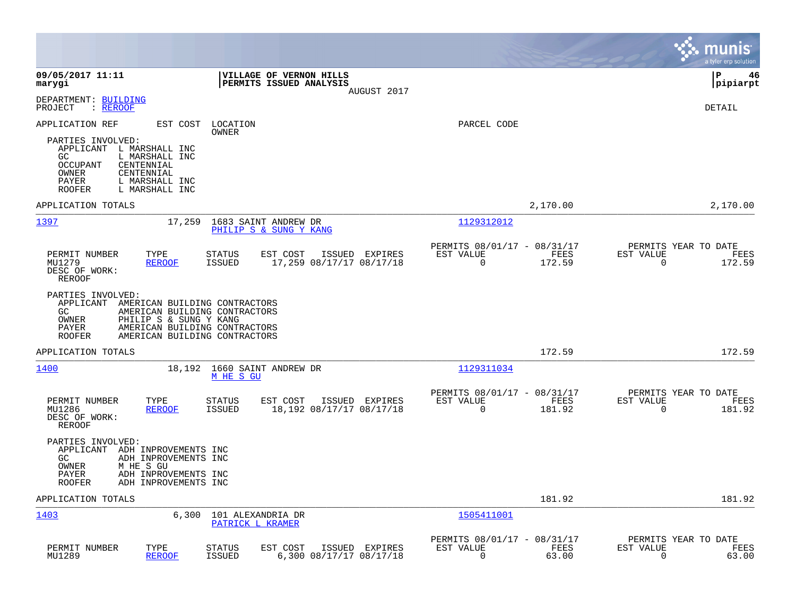|                                                                                                                                                                                                                                |                                                                   |                                                         | munis<br>a tyler erp solution                                                        |
|--------------------------------------------------------------------------------------------------------------------------------------------------------------------------------------------------------------------------------|-------------------------------------------------------------------|---------------------------------------------------------|--------------------------------------------------------------------------------------|
| 09/05/2017 11:11<br>marygi                                                                                                                                                                                                     | VILLAGE OF VERNON HILLS<br>PERMITS ISSUED ANALYSIS<br>AUGUST 2017 |                                                         | l P<br>46<br> pipiarpt                                                               |
| DEPARTMENT: BUILDING<br>: REROOF<br>PROJECT                                                                                                                                                                                    |                                                                   |                                                         | <b>DETAIL</b>                                                                        |
| APPLICATION REF<br>EST COST<br>LOCATION<br>OWNER                                                                                                                                                                               |                                                                   | PARCEL CODE                                             |                                                                                      |
| PARTIES INVOLVED:<br>APPLICANT L MARSHALL INC<br>GC<br>L MARSHALL INC<br><b>OCCUPANT</b><br>CENTENNIAL<br>OWNER<br>CENTENNIAL<br>PAYER<br>L MARSHALL INC<br><b>ROOFER</b><br>L MARSHALL INC                                    |                                                                   |                                                         |                                                                                      |
| APPLICATION TOTALS                                                                                                                                                                                                             |                                                                   |                                                         | 2,170.00<br>2,170.00                                                                 |
| 1397<br>17,259<br>1683 SAINT ANDREW DR<br>PHILIP S & SUNG Y KANG                                                                                                                                                               |                                                                   | 1129312012                                              |                                                                                      |
| PERMIT NUMBER<br>TYPE<br><b>STATUS</b><br>MU1279<br><b>REROOF</b><br><b>ISSUED</b><br>DESC OF WORK:<br>REROOF                                                                                                                  | EST COST<br>ISSUED EXPIRES<br>17,259 08/17/17 08/17/18            | PERMITS 08/01/17 - 08/31/17<br>EST VALUE<br>$\mathbf 0$ | PERMITS YEAR TO DATE<br>EST VALUE<br>FEES<br>FEES<br>$\mathbf 0$<br>172.59<br>172.59 |
| PARTIES INVOLVED:<br>APPLICANT<br>AMERICAN BUILDING CONTRACTORS<br>GC<br>AMERICAN BUILDING CONTRACTORS<br>OWNER<br>PHILIP S & SUNG Y KANG<br>PAYER<br>AMERICAN BUILDING CONTRACTORS<br>AMERICAN BUILDING CONTRACTORS<br>ROOFER |                                                                   |                                                         |                                                                                      |
| APPLICATION TOTALS                                                                                                                                                                                                             |                                                                   |                                                         | 172.59<br>172.59                                                                     |
| 1400<br>18,192 1660 SAINT ANDREW DR<br><b>M HE S GU</b>                                                                                                                                                                        |                                                                   | 1129311034                                              |                                                                                      |
| PERMIT NUMBER<br>TYPE<br><b>STATUS</b><br><b>REROOF</b><br><b>ISSUED</b><br>MU1286<br>DESC OF WORK:<br><b>REROOF</b>                                                                                                           | EST COST<br>ISSUED EXPIRES<br>18,192 08/17/17 08/17/18            | PERMITS 08/01/17 - 08/31/17<br>EST VALUE<br>$\Omega$    | PERMITS YEAR TO DATE<br>FEES<br>EST VALUE<br>FEES<br>181.92<br>$\mathbf 0$<br>181.92 |
| PARTIES INVOLVED:<br>APPLICANT ADH INPROVEMENTS INC<br>GC.<br>ADH INPROVEMENTS INC<br>OWNER<br>M HE S GU<br>PAYER<br>ADH INPROVEMENTS INC<br>ROOFER<br>ADH INPROVEMENTS INC                                                    |                                                                   |                                                         |                                                                                      |
| APPLICATION TOTALS                                                                                                                                                                                                             |                                                                   |                                                         | 181.92<br>181.92                                                                     |
| 1403<br>101 ALEXANDRIA DR<br>6,300<br>PATRICK L KRAMER                                                                                                                                                                         |                                                                   | 1505411001                                              |                                                                                      |
| PERMIT NUMBER<br>TYPE<br>STATUS<br>MU1289<br><b>REROOF</b><br><b>ISSUED</b>                                                                                                                                                    | EST COST<br>ISSUED EXPIRES<br>6,300 08/17/17 08/17/18             | PERMITS 08/01/17 - 08/31/17<br>EST VALUE<br>$\Omega$    | PERMITS YEAR TO DATE<br>FEES<br>EST VALUE<br>FEES<br>63.00<br>$\Omega$<br>63.00      |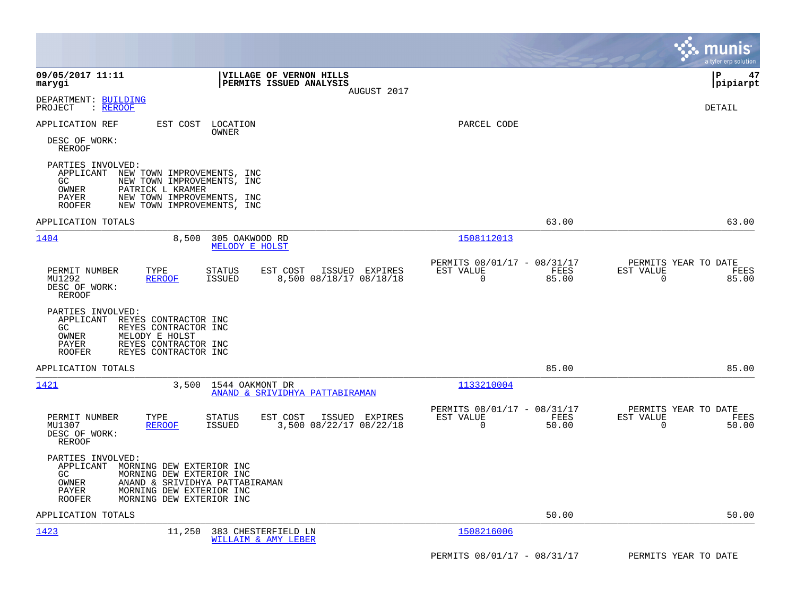|                                                                                                                                                                                                                            |                                                                          | a tyler erp solution                                    |
|----------------------------------------------------------------------------------------------------------------------------------------------------------------------------------------------------------------------------|--------------------------------------------------------------------------|---------------------------------------------------------|
| 09/05/2017 11:11<br>VILLAGE OF VERNON HILLS<br>PERMITS ISSUED ANALYSIS<br>marygi<br>AUGUST 2017                                                                                                                            |                                                                          | l P<br>47<br> pipiarpt                                  |
| DEPARTMENT: BUILDING<br>: REROOF<br>PROJECT                                                                                                                                                                                |                                                                          | DETAIL                                                  |
| APPLICATION REF<br>EST COST LOCATION<br>OWNER                                                                                                                                                                              | PARCEL CODE                                                              |                                                         |
| DESC OF WORK:<br><b>REROOF</b>                                                                                                                                                                                             |                                                                          |                                                         |
| PARTIES INVOLVED:<br>APPLICANT<br>NEW TOWN IMPROVEMENTS, INC<br>GC<br>NEW TOWN IMPROVEMENTS, INC<br>OWNER<br>PATRICK L KRAMER<br>PAYER<br>NEW TOWN IMPROVEMENTS, INC<br>NEW TOWN IMPROVEMENTS, INC<br><b>ROOFER</b>        |                                                                          |                                                         |
| APPLICATION TOTALS                                                                                                                                                                                                         | 63.00                                                                    | 63.00                                                   |
| 1404<br>8,500<br>305 OAKWOOD RD<br><b>MELODY E HOLST</b>                                                                                                                                                                   | 1508112013                                                               |                                                         |
| ISSUED EXPIRES<br>PERMIT NUMBER<br>TYPE<br><b>STATUS</b><br>EST COST<br>8,500 08/18/17 08/18/18<br>MU1292<br><b>ISSUED</b><br><b>REROOF</b><br>DESC OF WORK:<br>REROOF                                                     | PERMITS 08/01/17 - 08/31/17<br>EST VALUE<br>FEES<br>$\mathbf 0$<br>85.00 | PERMITS YEAR TO DATE<br>EST VALUE<br>FEES<br>0<br>85.00 |
| PARTIES INVOLVED:<br>APPLICANT REYES CONTRACTOR INC<br>GC<br>REYES CONTRACTOR INC<br>OWNER<br>MELODY E HOLST<br>REYES CONTRACTOR INC<br>PAYER<br><b>ROOFER</b><br>REYES CONTRACTOR INC                                     |                                                                          |                                                         |
| APPLICATION TOTALS                                                                                                                                                                                                         | 85.00                                                                    | 85.00                                                   |
| <u> 1421</u><br>3,500<br>1544 OAKMONT DR<br><u>ANAND &amp; SRIVIDHYA PATTABIRAMAN</u>                                                                                                                                      | 1133210004                                                               |                                                         |
| TYPE<br>PERMIT NUMBER<br><b>STATUS</b><br>EST COST<br>ISSUED EXPIRES<br>3,500 08/22/17 08/22/18<br>MU1307<br><b>REROOF</b><br><b>ISSUED</b><br>DESC OF WORK:<br>REROOF                                                     | PERMITS 08/01/17 - 08/31/17<br>EST VALUE<br>FEES<br>0<br>50.00           | PERMITS YEAR TO DATE<br>EST VALUE<br>FEES<br>50.00<br>0 |
| PARTIES INVOLVED:<br>APPLICANT<br>MORNING DEW EXTERIOR INC<br>MORNING DEW EXTERIOR INC<br>GC.<br>OWNER<br>ANAND & SRIVIDHYA PATTABIRAMAN<br>PAYER<br>MORNING DEW EXTERIOR INC<br><b>ROOFER</b><br>MORNING DEW EXTERIOR INC |                                                                          |                                                         |
| APPLICATION TOTALS                                                                                                                                                                                                         | 50.00                                                                    | 50.00                                                   |
| 1423<br>11,250<br>383 CHESTERFIELD LN<br><b>WILLAIM &amp; AMY LEBER</b>                                                                                                                                                    | 1508216006                                                               |                                                         |
|                                                                                                                                                                                                                            | PERMITS 08/01/17 - 08/31/17                                              | PERMITS YEAR TO DATE                                    |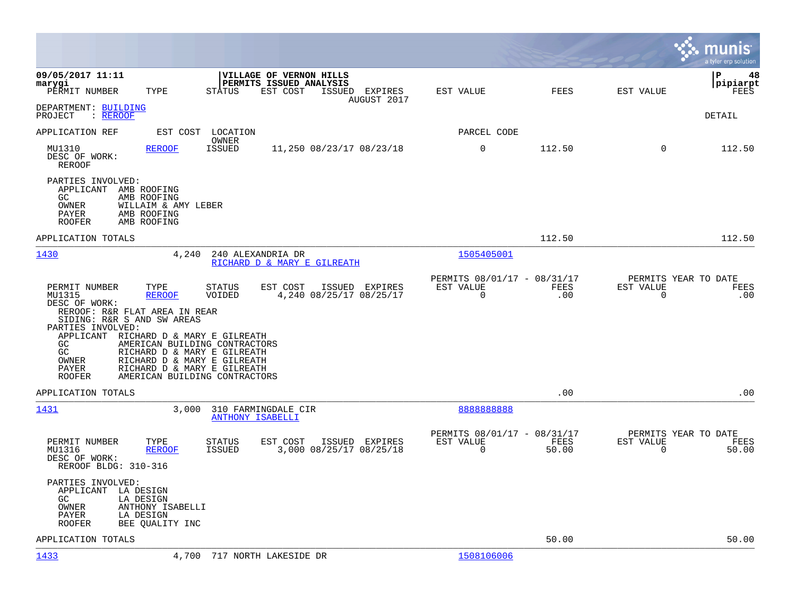|                                                                                                                                                                                                                                                                                                                                                                                                                                                   |                                                                        | a tyler erp solution                                              |
|---------------------------------------------------------------------------------------------------------------------------------------------------------------------------------------------------------------------------------------------------------------------------------------------------------------------------------------------------------------------------------------------------------------------------------------------------|------------------------------------------------------------------------|-------------------------------------------------------------------|
| 09/05/2017 11:11<br>VILLAGE OF VERNON HILLS<br>PERMITS ISSUED ANALYSIS<br>marygi<br>PERMIT NUMBER<br>TYPE<br>STATUS<br>EST COST<br>ISSUED EXPIRES                                                                                                                                                                                                                                                                                                 | FEES<br>EST VALUE                                                      | P<br>48<br> pipiarpt<br>EST VALUE<br>FEES                         |
| AUGUST 2017<br>DEPARTMENT: BUILDING<br>: REROOF<br>PROJECT                                                                                                                                                                                                                                                                                                                                                                                        |                                                                        | DETAIL                                                            |
| APPLICATION REF<br>EST COST<br>LOCATION                                                                                                                                                                                                                                                                                                                                                                                                           | PARCEL CODE                                                            |                                                                   |
| OWNER<br><b>ISSUED</b><br>MU1310<br><b>REROOF</b><br>11,250 08/23/17 08/23/18<br>DESC OF WORK:<br><b>REROOF</b>                                                                                                                                                                                                                                                                                                                                   | 0<br>112.50                                                            | $\mathbf 0$<br>112.50                                             |
| PARTIES INVOLVED:<br>APPLICANT<br>AMB ROOFING<br>GC<br>AMB ROOFING<br>OWNER<br>WILLAIM & AMY LEBER<br>PAYER<br>AMB ROOFING<br><b>ROOFER</b><br>AMB ROOFING                                                                                                                                                                                                                                                                                        |                                                                        |                                                                   |
| APPLICATION TOTALS                                                                                                                                                                                                                                                                                                                                                                                                                                | 112.50                                                                 | 112.50                                                            |
| 1430<br>240 ALEXANDRIA DR<br>4,240<br>RICHARD D & MARY E GILREATH                                                                                                                                                                                                                                                                                                                                                                                 | 1505405001                                                             |                                                                   |
| PERMIT NUMBER<br>TYPE<br><b>STATUS</b><br>EST COST<br>ISSUED EXPIRES<br>MU1315<br><b>REROOF</b><br>4,240 08/25/17 08/25/17<br>VOIDED<br>DESC OF WORK:<br>REROOF: R&R FLAT AREA IN REAR<br>SIDING: R&R S AND SW AREAS<br>PARTIES INVOLVED:<br>APPLICANT<br>RICHARD D & MARY E GILREATH<br>GC<br>AMERICAN BUILDING CONTRACTORS<br>GC<br>RICHARD D & MARY E GILREATH<br>RICHARD D & MARY E GILREATH<br>OWNER<br>PAYER<br>RICHARD D & MARY E GILREATH | PERMITS 08/01/17 - 08/31/17<br>EST VALUE<br>FEES<br>$\mathbf 0$<br>.00 | PERMITS YEAR TO DATE<br>EST VALUE<br>FEES<br>0<br>.00             |
| <b>ROOFER</b><br>AMERICAN BUILDING CONTRACTORS<br>APPLICATION TOTALS                                                                                                                                                                                                                                                                                                                                                                              | .00                                                                    | .00                                                               |
| 1431<br>3,000<br>310 FARMINGDALE CIR<br><b>ANTHONY ISABELLI</b>                                                                                                                                                                                                                                                                                                                                                                                   | 888888888                                                              |                                                                   |
| TYPE<br>PERMIT NUMBER<br>STATUS<br>EST COST<br>ISSUED EXPIRES<br>MU1316<br><b>REROOF</b><br>ISSUED<br>3,000 08/25/17 08/25/18<br>DESC OF WORK:<br>REROOF BLDG: 310-316                                                                                                                                                                                                                                                                            | PERMITS 08/01/17 - 08/31/17<br>EST VALUE<br>FEES<br>0<br>50.00         | PERMITS YEAR TO DATE<br>EST VALUE<br>FEES<br>$\mathbf 0$<br>50.00 |
| PARTIES INVOLVED:<br>APPLICANT LA DESIGN<br>LA DESIGN<br>GC.<br>OWNER<br>ANTHONY ISABELLI<br>PAYER<br>LA DESIGN<br><b>ROOFER</b><br>BEE QUALITY INC                                                                                                                                                                                                                                                                                               |                                                                        |                                                                   |
| APPLICATION TOTALS                                                                                                                                                                                                                                                                                                                                                                                                                                | 50.00                                                                  | 50.00                                                             |
| 4,700 717 NORTH LAKESIDE DR<br>1433                                                                                                                                                                                                                                                                                                                                                                                                               | 1508106006                                                             |                                                                   |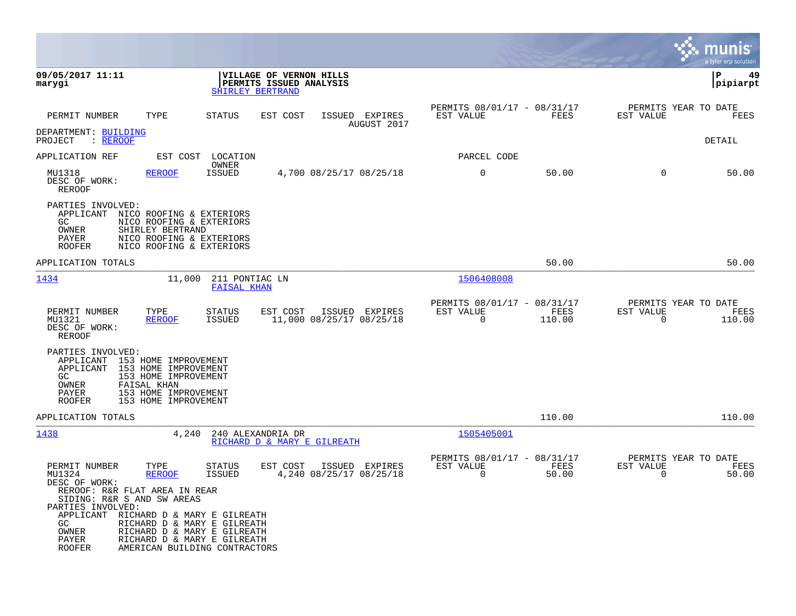|                                                                                                                                                                                                                             |                                                                                                                            |                                            |                                                      |                |                                                  | munis<br>a tyler erp solution |
|-----------------------------------------------------------------------------------------------------------------------------------------------------------------------------------------------------------------------------|----------------------------------------------------------------------------------------------------------------------------|--------------------------------------------|------------------------------------------------------|----------------|--------------------------------------------------|-------------------------------|
| 09/05/2017 11:11<br>marygi                                                                                                                                                                                                  | VILLAGE OF VERNON HILLS<br>PERMITS ISSUED ANALYSIS<br>SHIRLEY BERTRAND                                                     |                                            |                                                      |                |                                                  | 49<br>l P<br> pipiarpt        |
| TYPE<br>PERMIT NUMBER                                                                                                                                                                                                       | <b>STATUS</b><br>EST COST                                                                                                  | ISSUED EXPIRES<br>AUGUST 2017              | PERMITS 08/01/17 - 08/31/17<br>EST VALUE             | FEES           | PERMITS YEAR TO DATE<br>EST VALUE                | FEES                          |
| DEPARTMENT: BUILDING<br>PROJECT<br>: REROOF                                                                                                                                                                                 |                                                                                                                            |                                            |                                                      |                |                                                  | DETAIL                        |
| APPLICATION REF                                                                                                                                                                                                             | EST COST<br>LOCATION                                                                                                       |                                            | PARCEL CODE                                          |                |                                                  |                               |
| MU1318<br><b>REROOF</b><br>DESC OF WORK:<br>REROOF                                                                                                                                                                          | OWNER<br><b>ISSUED</b>                                                                                                     | 4,700 08/25/17 08/25/18                    | $\mathbf 0$                                          | 50.00          | 0                                                | 50.00                         |
| PARTIES INVOLVED:<br>APPLICANT<br>GC<br>OWNER<br>SHIRLEY BERTRAND<br>PAYER<br><b>ROOFER</b>                                                                                                                                 | NICO ROOFING & EXTERIORS<br>NICO ROOFING & EXTERIORS<br>NICO ROOFING & EXTERIORS<br>NICO ROOFING & EXTERIORS               |                                            |                                                      |                |                                                  |                               |
| APPLICATION TOTALS                                                                                                                                                                                                          |                                                                                                                            |                                            |                                                      | 50.00          |                                                  | 50.00                         |
| 1434                                                                                                                                                                                                                        | 11,000<br>211 PONTIAC LN<br><b>FAISAL KHAN</b>                                                                             |                                            | 1506408008                                           |                |                                                  |                               |
| PERMIT NUMBER<br>TYPE<br>MU1321<br><b>REROOF</b><br>DESC OF WORK:<br><b>REROOF</b>                                                                                                                                          | EST COST<br><b>STATUS</b><br>ISSUED                                                                                        | ISSUED EXPIRES<br>11,000 08/25/17 08/25/18 | PERMITS 08/01/17 - 08/31/17<br>EST VALUE<br>$\Omega$ | FEES<br>110.00 | PERMITS YEAR TO DATE<br>EST VALUE<br>0           | FEES<br>110.00                |
| PARTIES INVOLVED:<br>APPLICANT<br>153 HOME IMPROVEMENT<br>APPLICANT<br>153 HOME IMPROVEMENT<br>GC<br>153 HOME IMPROVEMENT<br>OWNER<br>FAISAL KHAN<br>153 HOME IMPROVEMENT<br>PAYER<br><b>ROOFER</b><br>153 HOME IMPROVEMENT |                                                                                                                            |                                            |                                                      |                |                                                  |                               |
| APPLICATION TOTALS                                                                                                                                                                                                          |                                                                                                                            |                                            |                                                      | 110.00         |                                                  | 110.00                        |
| 1438                                                                                                                                                                                                                        | 4,240<br>240 ALEXANDRIA DR<br>RICHARD D & MARY E GILREATH                                                                  |                                            | <u>1505405001</u>                                    |                |                                                  |                               |
| PERMIT NUMBER<br>TYPE<br>MU1324<br><b>REROOF</b><br>DESC OF WORK:<br>REROOF: R&R FLAT AREA IN REAR<br>SIDING: R&R S AND SW AREAS<br>PARTIES INVOLVED:                                                                       | STATUS<br>EST COST<br>ISSUED                                                                                               | ISSUED EXPIRES<br>4,240 08/25/17 08/25/18  | PERMITS 08/01/17 - 08/31/17<br>EST VALUE<br>$\Omega$ | FEES<br>50.00  | PERMITS YEAR TO DATE<br>EST VALUE<br>$\mathbf 0$ | FEES<br>50.00                 |
| APPLICANT RICHARD D & MARY E GILREATH<br>GC<br>OWNER<br><b>PAYER</b><br><b>ROOFER</b>                                                                                                                                       | RICHARD D & MARY E GILREATH<br>RICHARD D & MARY E GILREATH<br>RICHARD D & MARY E GILREATH<br>AMERICAN BUILDING CONTRACTORS |                                            |                                                      |                |                                                  |                               |

 $\bullet$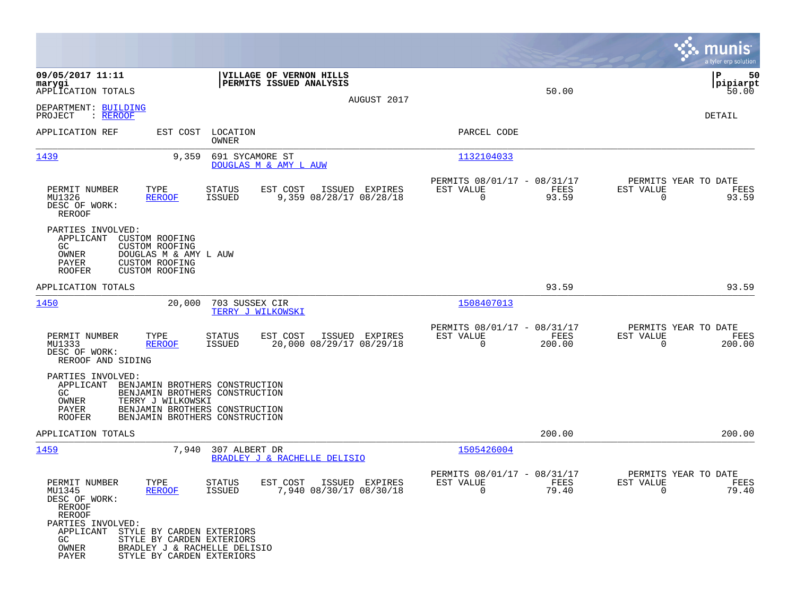|                                                                                                                                                                                        |                                                                                                                                      |                                                                          | munis $\dot{}$<br>a tyler erp solution                            |
|----------------------------------------------------------------------------------------------------------------------------------------------------------------------------------------|--------------------------------------------------------------------------------------------------------------------------------------|--------------------------------------------------------------------------|-------------------------------------------------------------------|
| 09/05/2017 11:11<br>marygi<br>APPLICATION TOTALS                                                                                                                                       | VILLAGE OF VERNON HILLS<br>PERMITS ISSUED ANALYSIS                                                                                   | 50.00                                                                    | l P<br>50<br> pipiarpt<br>50.00                                   |
| DEPARTMENT: BUILDING<br>PROJECT<br>$:$ REROOF                                                                                                                                          | AUGUST 2017                                                                                                                          |                                                                          | DETAIL                                                            |
| APPLICATION REF<br>EST COST                                                                                                                                                            | LOCATION<br>OWNER                                                                                                                    | PARCEL CODE                                                              |                                                                   |
| 1439                                                                                                                                                                                   | 9,359<br>691 SYCAMORE ST<br>DOUGLAS M & AMY L AUW                                                                                    | 1132104033                                                               |                                                                   |
| TYPE<br>PERMIT NUMBER<br>MU1326<br>REROOF<br>DESC OF WORK:<br><b>REROOF</b>                                                                                                            | EST COST<br>ISSUED EXPIRES<br>STATUS<br>9,359 08/28/17 08/28/18<br>ISSUED                                                            | PERMITS 08/01/17 - 08/31/17<br>EST VALUE<br>FEES<br>$\mathbf 0$<br>93.59 | PERMITS YEAR TO DATE<br>EST VALUE<br>FEES<br>93.59<br>0           |
| PARTIES INVOLVED:<br>APPLICANT<br>CUSTOM ROOFING<br>GC<br>CUSTOM ROOFING<br>OWNER<br>DOUGLAS M & AMY L AUW<br>PAYER<br><b>CUSTOM ROOFING</b><br><b>ROOFER</b><br><b>CUSTOM ROOFING</b> |                                                                                                                                      |                                                                          |                                                                   |
| APPLICATION TOTALS                                                                                                                                                                     |                                                                                                                                      | 93.59                                                                    | 93.59                                                             |
| 1450<br>20,000                                                                                                                                                                         | 703 SUSSEX CIR<br>TERRY J WILKOWSKI                                                                                                  | 1508407013                                                               |                                                                   |
| PERMIT NUMBER<br>TYPE<br>MU1333<br><b>REROOF</b><br>DESC OF WORK:<br>REROOF AND SIDING                                                                                                 | <b>STATUS</b><br>EST COST<br>ISSUED EXPIRES<br><b>ISSUED</b><br>20,000 08/29/17 08/29/18                                             | PERMITS 08/01/17 - 08/31/17<br>EST VALUE<br>FEES<br>0<br>200.00          | PERMITS YEAR TO DATE<br>EST VALUE<br>FEES<br>0<br>200.00          |
| PARTIES INVOLVED:<br>APPLICANT<br>GC.<br>OWNER<br>TERRY J WILKOWSKI<br>PAYER<br><b>ROOFER</b>                                                                                          | BENJAMIN BROTHERS CONSTRUCTION<br>BENJAMIN BROTHERS CONSTRUCTION<br>BENJAMIN BROTHERS CONSTRUCTION<br>BENJAMIN BROTHERS CONSTRUCTION |                                                                          |                                                                   |
| APPLICATION TOTALS                                                                                                                                                                     |                                                                                                                                      | 200.00                                                                   | 200.00                                                            |
| 1459<br>7,940                                                                                                                                                                          | 307 ALBERT DR<br>BRADLEY J & RACHELLE DELISIO                                                                                        | 1505426004                                                               |                                                                   |
| PERMIT NUMBER<br>TYPE<br>MU1345<br><b>REROOF</b><br>DESC OF WORK:<br><b>REROOF</b><br><b>REROOF</b>                                                                                    | ISSUED EXPIRES<br>STATUS<br>EST COST<br><b>ISSUED</b><br>7,940 08/30/17 08/30/18                                                     | PERMITS 08/01/17 - 08/31/17<br>EST VALUE<br>FEES<br>$\mathbf 0$<br>79.40 | PERMITS YEAR TO DATE<br>EST VALUE<br>FEES<br>$\mathbf 0$<br>79.40 |
| PARTIES INVOLVED:<br>APPLICANT<br>STYLE BY CARDEN EXTERIORS<br>GC.<br>STYLE BY CARDEN EXTERIORS<br>OWNER<br><b>PAYER</b><br>STYLE BY CARDEN EXTERIORS                                  | BRADLEY J & RACHELLE DELISIO                                                                                                         |                                                                          |                                                                   |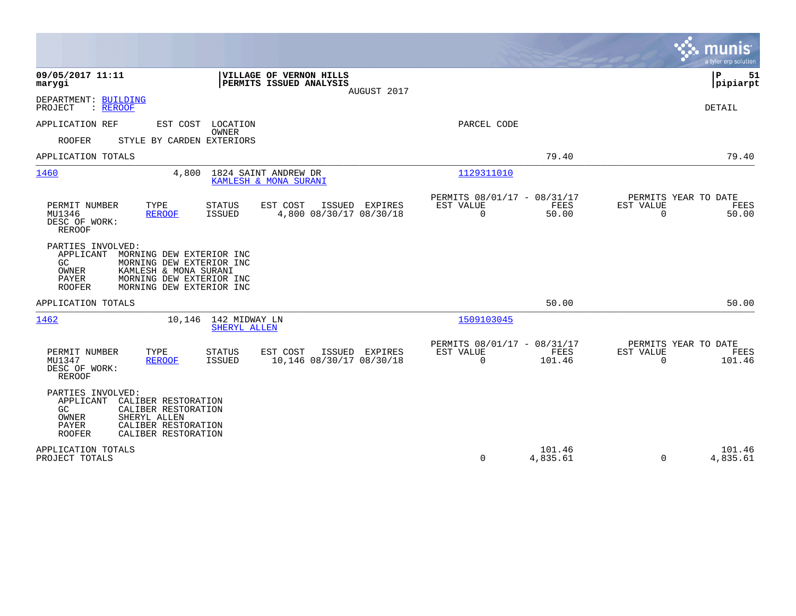|                                                                                                                                                                                                                  |                                                                        | munis<br>a tyler erp solution                                   |
|------------------------------------------------------------------------------------------------------------------------------------------------------------------------------------------------------------------|------------------------------------------------------------------------|-----------------------------------------------------------------|
| 09/05/2017 11:11<br>VILLAGE OF VERNON HILLS<br>PERMITS ISSUED ANALYSIS<br>marygi<br>AUGUST 2017                                                                                                                  |                                                                        | P<br>51<br> pipiarpt                                            |
| DEPARTMENT: BUILDING<br>: REROOF<br>PROJECT                                                                                                                                                                      |                                                                        | <b>DETAIL</b>                                                   |
| APPLICATION REF<br>EST COST LOCATION<br>OWNER                                                                                                                                                                    | PARCEL CODE                                                            |                                                                 |
| STYLE BY CARDEN EXTERIORS<br><b>ROOFER</b>                                                                                                                                                                       |                                                                        |                                                                 |
| APPLICATION TOTALS                                                                                                                                                                                               | 79.40                                                                  | 79.40                                                           |
| 1460<br>4,800<br>1824 SAINT ANDREW DR<br>KAMLESH & MONA SURANI                                                                                                                                                   | 1129311010                                                             |                                                                 |
| PERMIT NUMBER<br>TYPE<br><b>STATUS</b><br>EST COST<br>ISSUED EXPIRES<br>MU1346<br><b>ISSUED</b><br>4,800 08/30/17 08/30/18<br><b>REROOF</b><br>DESC OF WORK:<br><b>REROOF</b>                                    | PERMITS 08/01/17 - 08/31/17<br>EST VALUE<br>FEES<br>$\Omega$<br>50.00  | PERMITS YEAR TO DATE<br>EST VALUE<br>FEES<br>$\Omega$<br>50.00  |
| PARTIES INVOLVED:<br>APPLICANT<br>MORNING DEW EXTERIOR INC<br>GC<br>MORNING DEW EXTERIOR INC<br>OWNER<br>KAMLESH & MONA SURANI<br>PAYER<br>MORNING DEW EXTERIOR INC<br><b>ROOFER</b><br>MORNING DEW EXTERIOR INC |                                                                        |                                                                 |
| APPLICATION TOTALS                                                                                                                                                                                               | 50.00                                                                  | 50.00                                                           |
| 1462<br>142 MIDWAY LN<br>10,146<br>SHERYL ALLEN                                                                                                                                                                  | 1509103045                                                             |                                                                 |
| TYPE<br>EST COST<br>PERMIT NUMBER<br><b>STATUS</b><br>ISSUED EXPIRES<br>MU1347<br>10,146 08/30/17 08/30/18<br><b>REROOF</b><br>ISSUED<br>DESC OF WORK:<br><b>REROOF</b>                                          | PERMITS 08/01/17 - 08/31/17<br>FEES<br>EST VALUE<br>$\Omega$<br>101.46 | PERMITS YEAR TO DATE<br>EST VALUE<br>FEES<br>$\Omega$<br>101.46 |
| PARTIES INVOLVED:<br>APPLICANT<br>CALIBER RESTORATION<br>CALIBER RESTORATION<br>GC.<br>OWNER<br>SHERYL ALLEN<br>PAYER<br>CALIBER RESTORATION<br><b>ROOFER</b><br>CALIBER RESTORATION                             |                                                                        |                                                                 |
| APPLICATION TOTALS<br>PROJECT TOTALS                                                                                                                                                                             | 101.46<br>$\mathbf 0$<br>4,835.61                                      | 101.46<br>4,835.61<br>$\Omega$                                  |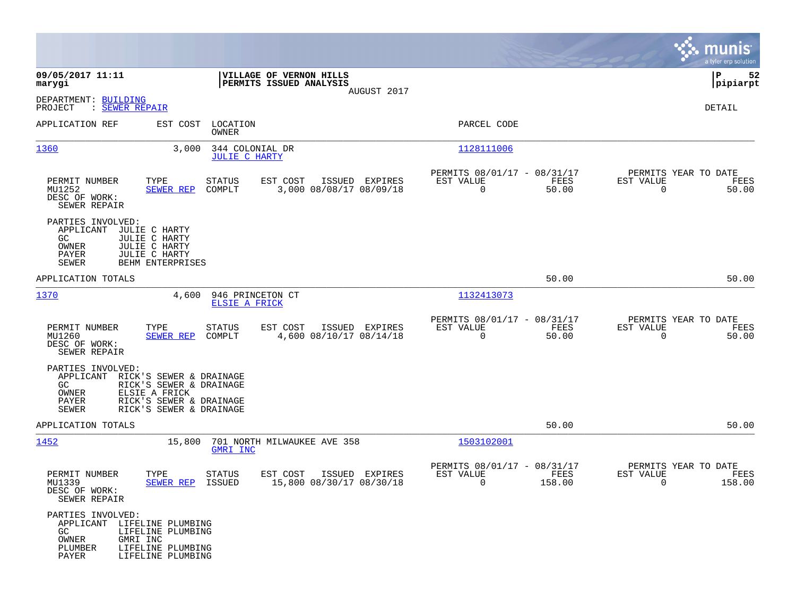|                                                                                      |                                                                                                                           |                                         |                                                    |                |                                                         |                       |                                                  | munis<br>a tyler erp solution |
|--------------------------------------------------------------------------------------|---------------------------------------------------------------------------------------------------------------------------|-----------------------------------------|----------------------------------------------------|----------------|---------------------------------------------------------|-----------------------|--------------------------------------------------|-------------------------------|
| 09/05/2017 11:11<br>marygi                                                           |                                                                                                                           |                                         | VILLAGE OF VERNON HILLS<br>PERMITS ISSUED ANALYSIS |                |                                                         |                       |                                                  | 52<br>IΡ<br> pipiarpt         |
| DEPARTMENT: BUILDING<br>: SEWER REPAIR<br>PROJECT                                    |                                                                                                                           |                                         |                                                    | AUGUST 2017    |                                                         |                       |                                                  | DETAIL                        |
| APPLICATION REF                                                                      | EST COST                                                                                                                  | LOCATION<br>OWNER                       |                                                    |                | PARCEL CODE                                             |                       |                                                  |                               |
| 1360                                                                                 | 3,000                                                                                                                     | 344 COLONIAL DR<br><b>JULIE C HARTY</b> |                                                    |                | 1128111006                                              |                       |                                                  |                               |
| PERMIT NUMBER<br>MU1252<br>DESC OF WORK:<br>SEWER REPAIR                             | TYPE<br>SEWER REP                                                                                                         | <b>STATUS</b><br>COMPLT                 | EST COST<br>3,000 08/08/17 08/09/18                | ISSUED EXPIRES | PERMITS 08/01/17 - 08/31/17<br>EST VALUE<br>$\mathbf 0$ | FEES<br>50.00         | PERMITS YEAR TO DATE<br>EST VALUE<br>$\mathbf 0$ | FEES<br>50.00                 |
| PARTIES INVOLVED:<br>APPLICANT<br>GC.<br>OWNER<br><b>PAYER</b><br><b>SEWER</b>       | JULIE C HARTY<br>JULIE C HARTY<br>JULIE C HARTY<br>JULIE C HARTY<br>BEHM ENTERPRISES                                      |                                         |                                                    |                |                                                         |                       |                                                  |                               |
| APPLICATION TOTALS                                                                   |                                                                                                                           |                                         |                                                    |                |                                                         | 50.00                 |                                                  | 50.00                         |
| 1370                                                                                 | 4,600                                                                                                                     | 946 PRINCETON CT<br>ELSIE A FRICK       |                                                    |                | 1132413073                                              |                       |                                                  |                               |
| PERMIT NUMBER<br>MU1260<br>DESC OF WORK:<br>SEWER REPAIR                             | TYPE<br><b>SEWER REP</b>                                                                                                  | <b>STATUS</b><br>COMPLT                 | EST COST<br>4,600 08/10/17 08/14/18                | ISSUED EXPIRES | PERMITS 08/01/17 - 08/31/17<br>EST VALUE<br>$\Omega$    | FEES<br>50.00         | PERMITS YEAR TO DATE<br>EST VALUE<br>$\Omega$    | FEES<br>50.00                 |
| PARTIES INVOLVED:<br>APPLICANT<br>GC.<br>OWNER<br>PAYER<br><b>SEWER</b>              | RICK'S SEWER & DRAINAGE<br>RICK'S SEWER & DRAINAGE<br>ELSIE A FRICK<br>RICK'S SEWER & DRAINAGE<br>RICK'S SEWER & DRAINAGE |                                         |                                                    |                |                                                         |                       |                                                  |                               |
| APPLICATION TOTALS                                                                   |                                                                                                                           |                                         |                                                    |                |                                                         | 50.00                 |                                                  | 50.00                         |
| 1452                                                                                 | 15,800                                                                                                                    | GMRI INC                                | 701 NORTH MILWAUKEE AVE 358                        |                | 1503102001                                              |                       |                                                  |                               |
| PERMIT NUMBER<br>MU1339<br>DESC OF WORK:<br>SEWER REPAIR                             | TYPE<br>SEWER REP                                                                                                         | STATUS<br>ISSUED                        | EST COST<br>15,800 08/30/17 08/30/18               | ISSUED EXPIRES | PERMITS 08/01/17 - 08/31/17<br>EST VALUE<br>0           | <b>FEES</b><br>158.00 | PERMITS YEAR TO DATE<br>EST VALUE<br>0           | FEES<br>158.00                |
| PARTIES INVOLVED:<br>APPLICANT LIFELINE PLUMBING<br>GC.<br>OWNER<br>PLUMBER<br>PAYER | LIFELINE PLUMBING<br>GMRI INC<br>LIFELINE PLUMBING<br>LIFELINE PLUMBING                                                   |                                         |                                                    |                |                                                         |                       |                                                  |                               |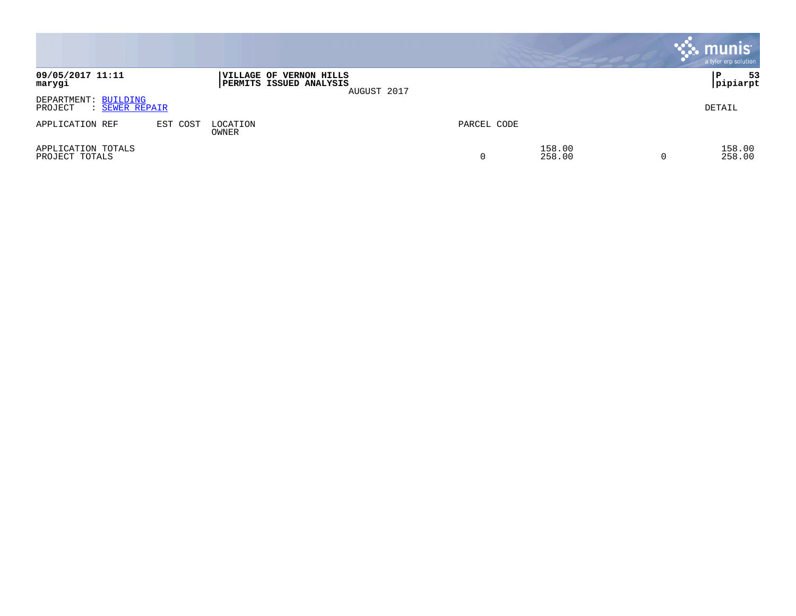|                                                   |          |                                                    |             |             |                  | $\cdot$ munis $\cdot$<br>a tyler erp solution |
|---------------------------------------------------|----------|----------------------------------------------------|-------------|-------------|------------------|-----------------------------------------------|
| 09/05/2017 11:11<br>marygi                        |          | VILLAGE OF VERNON HILLS<br>PERMITS ISSUED ANALYSIS | AUGUST 2017 |             |                  | 53<br>P<br> pipiarpt                          |
| DEPARTMENT: BUILDING<br>PROJECT<br>: SEWER REPAIR |          |                                                    |             |             |                  | DETAIL                                        |
| APPLICATION REF                                   | EST COST | LOCATION<br>OWNER                                  |             | PARCEL CODE |                  |                                               |
| APPLICATION TOTALS<br>PROJECT TOTALS              |          |                                                    |             | C           | 158.00<br>258.00 | 158.00<br>258.00                              |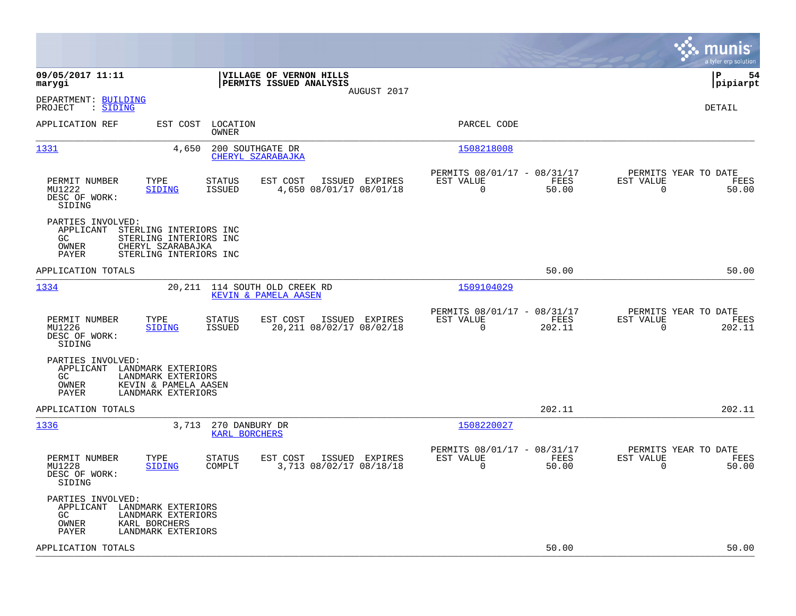|                                                                         |                                                                                                 |                                                        |             |                                                         |                |                                                  | munis<br>a tyler erp solution |
|-------------------------------------------------------------------------|-------------------------------------------------------------------------------------------------|--------------------------------------------------------|-------------|---------------------------------------------------------|----------------|--------------------------------------------------|-------------------------------|
| 09/05/2017 11:11<br>marygi                                              |                                                                                                 | VILLAGE OF VERNON HILLS<br>PERMITS ISSUED ANALYSIS     | AUGUST 2017 |                                                         |                |                                                  | l P<br>54<br> pipiarpt        |
| DEPARTMENT: BUILDING<br>: SIDING<br>PROJECT                             |                                                                                                 |                                                        |             |                                                         |                |                                                  | DETAIL                        |
| APPLICATION REF                                                         | EST COST<br>LOCATION<br>OWNER                                                                   |                                                        |             | PARCEL CODE                                             |                |                                                  |                               |
| 1331                                                                    | 4,650                                                                                           | 200 SOUTHGATE DR<br>CHERYL SZARABAJKA                  |             | 1508218008                                              |                |                                                  |                               |
| PERMIT NUMBER<br>MU1222<br>DESC OF WORK:<br>SIDING                      | TYPE<br>STATUS<br>SIDING<br>ISSUED                                                              | EST COST<br>ISSUED EXPIRES<br>4,650 08/01/17 08/01/18  |             | PERMITS 08/01/17 - 08/31/17<br>EST VALUE<br>$\mathbf 0$ | FEES<br>50.00  | PERMITS YEAR TO DATE<br>EST VALUE<br>$\mathbf 0$ | FEES<br>50.00                 |
| PARTIES INVOLVED:<br>APPLICANT<br>GC<br>OWNER<br>PAYER                  | STERLING INTERIORS INC<br>STERLING INTERIORS INC<br>CHERYL SZARABAJKA<br>STERLING INTERIORS INC |                                                        |             |                                                         |                |                                                  |                               |
| APPLICATION TOTALS                                                      |                                                                                                 |                                                        |             |                                                         | 50.00          |                                                  | 50.00                         |
| 1334                                                                    | 20,211                                                                                          | 114 SOUTH OLD CREEK RD<br>KEVIN & PAMELA AASEN         |             | 1509104029                                              |                |                                                  |                               |
| PERMIT NUMBER<br>MU1226<br>DESC OF WORK:<br>SIDING                      | STATUS<br>TYPE<br><b>SIDING</b><br>ISSUED                                                       | EST COST<br>ISSUED EXPIRES<br>20,211 08/02/17 08/02/18 |             | PERMITS 08/01/17 - 08/31/17<br>EST VALUE<br>$\Omega$    | FEES<br>202.11 | PERMITS YEAR TO DATE<br>EST VALUE<br>$\Omega$    | FEES<br>202.11                |
| PARTIES INVOLVED:<br>APPLICANT<br>GC.<br>OWNER<br>PAYER                 | LANDMARK EXTERIORS<br>LANDMARK EXTERIORS<br>KEVIN & PAMELA AASEN<br>LANDMARK EXTERIORS          |                                                        |             |                                                         |                |                                                  |                               |
| APPLICATION TOTALS                                                      |                                                                                                 |                                                        |             |                                                         | 202.11         |                                                  | 202.11                        |
| 1336                                                                    | 3,713                                                                                           | 270 DANBURY DR<br>KARL BORCHERS                        |             | 1508220027                                              |                |                                                  |                               |
| PERMIT NUMBER<br>MU1228<br>DESC OF WORK:<br>SIDING                      | TYPE<br><b>STATUS</b><br>SIDING<br>COMPLT                                                       | EST COST<br>ISSUED EXPIRES<br>3,713 08/02/17 08/18/18  |             | PERMITS 08/01/17 - 08/31/17<br>EST VALUE<br>$\mathbf 0$ | FEES<br>50.00  | PERMITS YEAR TO DATE<br>EST VALUE<br>$\mathbf 0$ | FEES<br>50.00                 |
| PARTIES INVOLVED:<br>APPLICANT<br>GC<br>KARL BORCHERS<br>OWNER<br>PAYER | LANDMARK EXTERIORS<br>LANDMARK EXTERIORS<br>LANDMARK EXTERIORS                                  |                                                        |             |                                                         |                |                                                  |                               |
| APPLICATION TOTALS                                                      |                                                                                                 |                                                        |             |                                                         | 50.00          |                                                  | 50.00                         |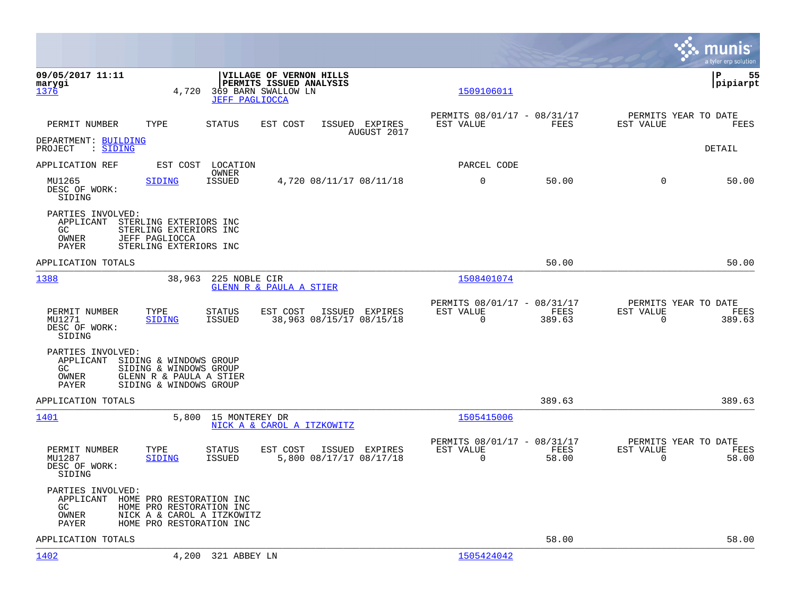|                                                                                                 |                                                                                              |                            |                                                                           |                                            |                                                         |                |                          | munis<br>a tyler erp solution          |
|-------------------------------------------------------------------------------------------------|----------------------------------------------------------------------------------------------|----------------------------|---------------------------------------------------------------------------|--------------------------------------------|---------------------------------------------------------|----------------|--------------------------|----------------------------------------|
| 09/05/2017 11:11<br>marygi<br>1376                                                              | 4,720                                                                                        | <b>JEFF PAGLIOCCA</b>      | VILLAGE OF VERNON HILLS<br>PERMITS ISSUED ANALYSIS<br>369 BARN SWALLOW LN |                                            | 1509106011                                              |                |                          | l P<br>55<br> pipiarpt                 |
| PERMIT NUMBER                                                                                   | TYPE                                                                                         | <b>STATUS</b>              | EST COST                                                                  | ISSUED EXPIRES<br>AUGUST 2017              | PERMITS 08/01/17 - 08/31/17<br>EST VALUE                | FEES           | EST VALUE                | PERMITS YEAR TO DATE<br>FEES           |
| DEPARTMENT: BUILDING<br>: <u>SIDING</u><br>PROJECT                                              |                                                                                              |                            |                                                                           |                                            |                                                         |                |                          | DETAIL                                 |
| APPLICATION REF                                                                                 |                                                                                              | EST COST LOCATION<br>OWNER |                                                                           |                                            | PARCEL CODE                                             |                |                          |                                        |
| MU1265<br>DESC OF WORK:<br>SIDING                                                               | SIDING                                                                                       | <b>ISSUED</b>              |                                                                           | 4,720 08/11/17 08/11/18                    | $\overline{0}$                                          | 50.00          | $\Omega$                 | 50.00                                  |
| PARTIES INVOLVED:<br>APPLICANT<br>GC.<br>OWNER<br>PAYER                                         | STERLING EXTERIORS INC<br>STERLING EXTERIORS INC<br>JEFF PAGLIOCCA<br>STERLING EXTERIORS INC |                            |                                                                           |                                            |                                                         |                |                          |                                        |
| APPLICATION TOTALS                                                                              |                                                                                              |                            |                                                                           |                                            |                                                         | 50.00          |                          | 50.00                                  |
| 1388                                                                                            | 38,963                                                                                       | 225 NOBLE CIR              | GLENN R & PAULA A STIER                                                   |                                            | 1508401074                                              |                |                          |                                        |
| PERMIT NUMBER<br>MU1271<br>DESC OF WORK:<br>SIDING                                              | TYPE<br>SIDING                                                                               | STATUS<br>ISSUED           | EST COST                                                                  | ISSUED EXPIRES<br>38,963 08/15/17 08/15/18 | PERMITS 08/01/17 - 08/31/17<br>EST VALUE<br>$\mathbf 0$ | FEES<br>389.63 | EST VALUE<br>$\mathbf 0$ | PERMITS YEAR TO DATE<br>FEES<br>389.63 |
| PARTIES INVOLVED:<br>APPLICANT SIDING & WINDOWS GROUP<br>GC.<br>OWNER<br>PAYER                  | SIDING & WINDOWS GROUP<br>GLENN R & PAULA A STIER<br>SIDING & WINDOWS GROUP                  |                            |                                                                           |                                            |                                                         |                |                          |                                        |
| APPLICATION TOTALS                                                                              |                                                                                              |                            |                                                                           |                                            |                                                         | 389.63         |                          | 389.63                                 |
| 1401                                                                                            |                                                                                              | 5,800 15 MONTEREY DR       | NICK A & CAROL A ITZKOWITZ                                                |                                            | 1505415006                                              |                |                          |                                        |
| PERMIT NUMBER<br>MU1287<br>DESC OF WORK:<br>SIDING                                              | TYPE<br>SIDING                                                                               | <b>STATUS</b><br>ISSUED    | EST COST                                                                  | ISSUED EXPIRES<br>5,800 08/17/17 08/17/18  | PERMITS 08/01/17 - 08/31/17<br>EST VALUE<br>0           | FEES<br>58.00  | EST VALUE<br>$\mathbf 0$ | PERMITS YEAR TO DATE<br>FEES<br>58.00  |
| PARTIES INVOLVED:<br>APPLICANT HOME PRO RESTORATION INC<br>GC<br>$\sqrt{\text{OWNER}}$<br>PAYER | HOME PRO RESTORATION INC<br>NICK A & CAROL A ITZKOWITZ<br>HOME PRO RESTORATION INC           |                            |                                                                           |                                            |                                                         |                |                          |                                        |
| APPLICATION TOTALS                                                                              |                                                                                              |                            |                                                                           |                                            |                                                         | 58.00          |                          | 58.00                                  |
| 1402                                                                                            |                                                                                              | 4,200 321 ABBEY LN         |                                                                           |                                            | 1505424042                                              |                |                          |                                        |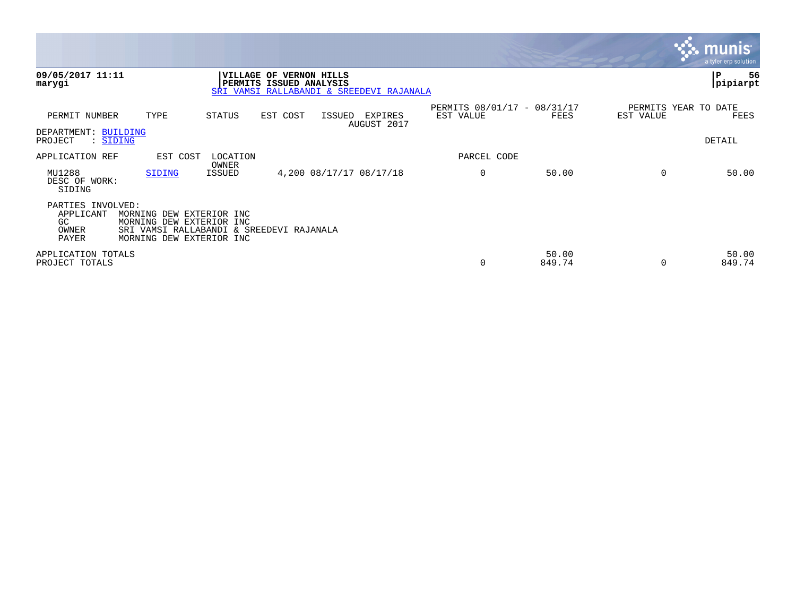|                                                        |                                                                                                                              |                   |                                                    |        |                                          |                                          |                 |           | <b>munis</b><br>a tyler erp solution, |
|--------------------------------------------------------|------------------------------------------------------------------------------------------------------------------------------|-------------------|----------------------------------------------------|--------|------------------------------------------|------------------------------------------|-----------------|-----------|---------------------------------------|
| 09/05/2017 11:11<br>marygi                             |                                                                                                                              |                   | VILLAGE OF VERNON HILLS<br>PERMITS ISSUED ANALYSIS |        | SRI VAMSI RALLABANDI & SREEDEVI RAJANALA |                                          |                 |           | 56<br>IP.<br> pipiarpt                |
| PERMIT NUMBER                                          | TYPE                                                                                                                         | STATUS            | EST COST                                           | ISSUED | EXPIRES<br>AUGUST 2017                   | PERMITS 08/01/17 - 08/31/17<br>EST VALUE | FEES            | EST VALUE | PERMITS YEAR TO DATE<br>FEES          |
| DEPARTMENT: BUILDING<br>: SIDING<br>PROJECT            |                                                                                                                              |                   |                                                    |        |                                          |                                          |                 |           | DETAIL                                |
| APPLICATION REF                                        | EST COST                                                                                                                     | LOCATION<br>OWNER |                                                    |        |                                          | PARCEL CODE                              |                 |           |                                       |
| MU1288<br>DESC OF WORK:<br>SIDING                      | SIDING                                                                                                                       | ISSUED            |                                                    |        | 4,200 08/17/17 08/17/18                  | 0                                        | 50.00           | 0         | 50.00                                 |
| PARTIES INVOLVED:<br>APPLICANT<br>GC<br>OWNER<br>PAYER | MORNING DEW EXTERIOR INC<br>MORNING DEW EXTERIOR INC<br>SRI VAMSI RALLABANDI & SREEDEVI RAJANALA<br>MORNING DEW EXTERIOR INC |                   |                                                    |        |                                          |                                          |                 |           |                                       |
| APPLICATION TOTALS<br>PROJECT TOTALS                   |                                                                                                                              |                   |                                                    |        |                                          | 0                                        | 50.00<br>849.74 |           | 50.00<br>849.74                       |

the contract of the contract of

and the contract of the contract of the contract of the contract of the contract of the contract of the contract of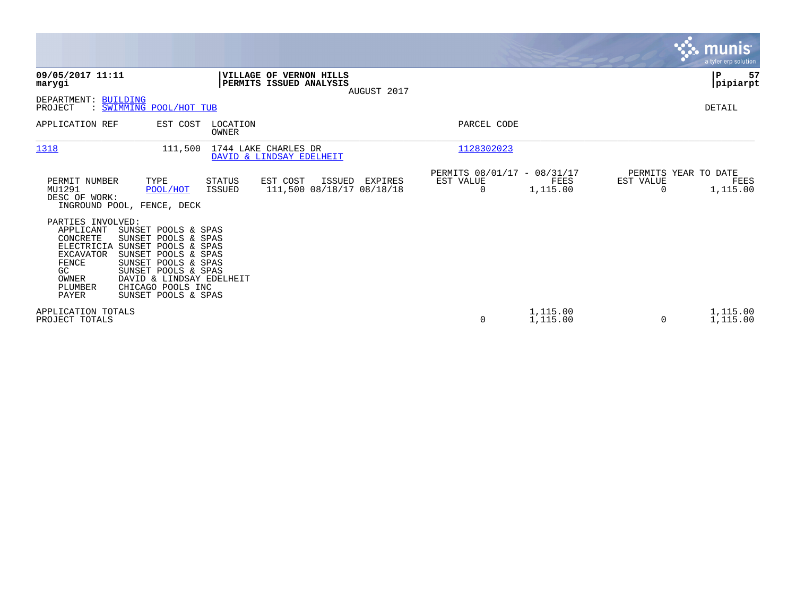|                                                                                                                                                                                                                                                                                                                                            |                                                                                |                                                                   | munis<br>a tyler erp solution                         |
|--------------------------------------------------------------------------------------------------------------------------------------------------------------------------------------------------------------------------------------------------------------------------------------------------------------------------------------------|--------------------------------------------------------------------------------|-------------------------------------------------------------------|-------------------------------------------------------|
| 09/05/2017 11:11<br>marygi                                                                                                                                                                                                                                                                                                                 | VILLAGE OF VERNON HILLS<br>PERMITS ISSUED ANALYSIS<br>AUGUST 2017              |                                                                   | P<br>57<br> pipiarpt                                  |
| DEPARTMENT: BUILDING<br>: SWIMMING POOL/HOT TUB<br>PROJECT                                                                                                                                                                                                                                                                                 |                                                                                |                                                                   | DETAIL                                                |
| APPLICATION REF<br>EST COST                                                                                                                                                                                                                                                                                                                | LOCATION<br>OWNER                                                              | PARCEL CODE                                                       |                                                       |
| 1318<br>111,500                                                                                                                                                                                                                                                                                                                            | 1744 LAKE CHARLES DR<br>DAVID & LINDSAY EDELHEIT                               | 1128302023                                                        |                                                       |
| PERMIT NUMBER<br>TYPE<br>MU1291<br>POOL/HOT<br>DESC OF WORK:<br>INGROUND POOL, FENCE, DECK                                                                                                                                                                                                                                                 | EST COST<br>STATUS<br>ISSUED<br>EXPIRES<br>111,500 08/18/17 08/18/18<br>ISSUED | PERMITS 08/01/17 - 08/31/17<br>EST VALUE<br>FEES<br>1,115.00<br>0 | PERMITS YEAR TO DATE<br>EST VALUE<br>FEES<br>1,115.00 |
| PARTIES INVOLVED:<br>APPLICANT<br>SUNSET POOLS & SPAS<br>CONCRETE<br>SUNSET POOLS & SPAS<br>ELECTRICIA<br>SUNSET POOLS & SPAS<br><b>EXCAVATOR</b><br>SUNSET POOLS & SPAS<br>FENCE<br>SUNSET POOLS & SPAS<br>SUNSET POOLS & SPAS<br>GC<br>OWNER<br>DAVID & LINDSAY EDELHEIT<br>PLUMBER<br>CHICAGO POOLS INC<br>SUNSET POOLS & SPAS<br>PAYER |                                                                                |                                                                   |                                                       |
| APPLICATION TOTALS<br>PROJECT TOTALS                                                                                                                                                                                                                                                                                                       |                                                                                | 1,115.00<br>$\mathbf 0$<br>1,115.00                               | 1,115.00<br>1,115.00<br>$\Omega$                      |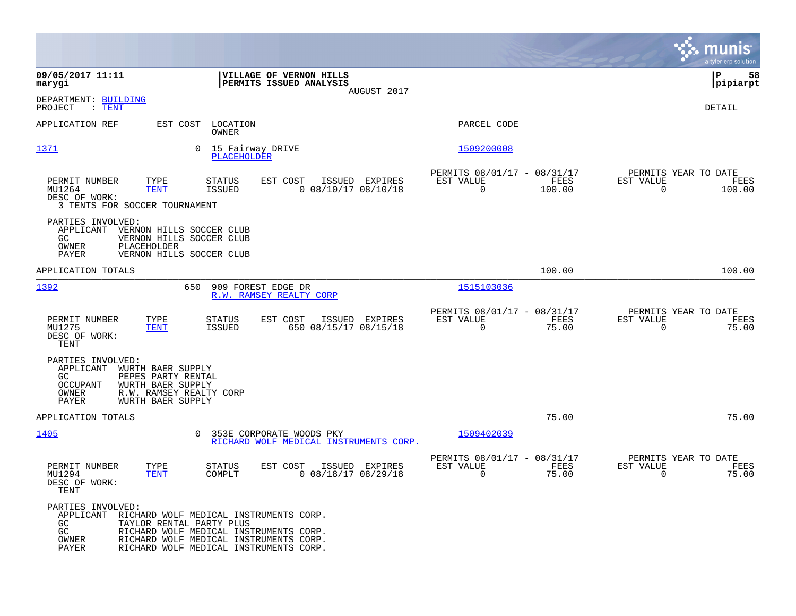|                                                                                                                                                                                                                                                                   |                                                                          | munis<br>a tyler erp solution                                   |
|-------------------------------------------------------------------------------------------------------------------------------------------------------------------------------------------------------------------------------------------------------------------|--------------------------------------------------------------------------|-----------------------------------------------------------------|
| 09/05/2017 11:11<br>VILLAGE OF VERNON HILLS<br>PERMITS ISSUED ANALYSIS<br>marygi<br>AUGUST 2017                                                                                                                                                                   |                                                                          | lР<br>58<br> pipiarpt                                           |
| DEPARTMENT: BUILDING<br>PROJECT<br>$:$ TENT                                                                                                                                                                                                                       |                                                                          | DETAIL                                                          |
| LOCATION<br>APPLICATION REF<br>EST COST<br>OWNER                                                                                                                                                                                                                  | PARCEL CODE                                                              |                                                                 |
| 1371<br>15 Fairway DRIVE<br>$\mathbf{0}$<br>PLACEHOLDER                                                                                                                                                                                                           | 1509200008                                                               |                                                                 |
| PERMIT NUMBER<br>TYPE<br><b>STATUS</b><br>EST COST<br>ISSUED EXPIRES<br>$0$ 08/10/17 08/10/18<br>MU1264<br>TENT<br>ISSUED<br>DESC OF WORK:<br>3 TENTS FOR SOCCER TOURNAMENT                                                                                       | PERMITS 08/01/17 - 08/31/17<br>FEES<br>EST VALUE<br>$\Omega$<br>100.00   | PERMITS YEAR TO DATE<br>EST VALUE<br>FEES<br>$\Omega$<br>100.00 |
| PARTIES INVOLVED:<br>APPLICANT<br>VERNON HILLS SOCCER CLUB<br>VERNON HILLS SOCCER CLUB<br>GC.<br>PLACEHOLDER<br>OWNER<br><b>PAYER</b><br>VERNON HILLS SOCCER CLUB                                                                                                 |                                                                          |                                                                 |
| APPLICATION TOTALS                                                                                                                                                                                                                                                | 100.00                                                                   | 100.00                                                          |
| 1392<br>650<br>909 FOREST EDGE DR<br>R.W. RAMSEY REALTY CORP                                                                                                                                                                                                      | 1515103036                                                               |                                                                 |
| PERMIT NUMBER<br>TYPE<br><b>STATUS</b><br>EST COST<br>ISSUED EXPIRES<br><b>ISSUED</b><br>650 08/15/17 08/15/18<br>MU1275<br><b>TENT</b><br>DESC OF WORK:<br>TENT                                                                                                  | PERMITS 08/01/17 - 08/31/17<br>EST VALUE<br>FEES<br>0<br>75.00           | PERMITS YEAR TO DATE<br>EST VALUE<br>FEES<br>0<br>75.00         |
| PARTIES INVOLVED:<br>APPLICANT<br>WURTH BAER SUPPLY<br>PEPES PARTY RENTAL<br>GC<br><b>OCCUPANT</b><br>WURTH BAER SUPPLY<br>OWNER<br>R.W. RAMSEY REALTY CORP<br>WURTH BAER SUPPLY<br>PAYER                                                                         |                                                                          |                                                                 |
| APPLICATION TOTALS                                                                                                                                                                                                                                                | 75.00                                                                    | 75.00                                                           |
| 1405<br>$\Omega$<br>353E CORPORATE WOODS PKY<br>RICHARD WOLF MEDICAL INSTRUMENTS CORP.                                                                                                                                                                            | 1509402039                                                               |                                                                 |
| PERMIT NUMBER<br>TYPE<br><b>STATUS</b><br>EST COST<br>ISSUED EXPIRES<br>MU1294<br>COMPLT<br>$0$ 08/18/17 08/29/18<br><b>TENT</b><br>DESC OF WORK:<br>TENT                                                                                                         | PERMITS 08/01/17 - 08/31/17<br>EST VALUE<br>FEES<br>$\mathbf 0$<br>75.00 | PERMITS YEAR TO DATE<br>EST VALUE<br>FEES<br>0<br>75.00         |
| PARTIES INVOLVED:<br>APPLICANT<br>RICHARD WOLF MEDICAL INSTRUMENTS CORP.<br>GC.<br>TAYLOR RENTAL PARTY PLUS<br>GC<br>RICHARD WOLF MEDICAL INSTRUMENTS CORP.<br>OWNER<br>RICHARD WOLF MEDICAL INSTRUMENTS CORP.<br>RICHARD WOLF MEDICAL INSTRUMENTS CORP.<br>PAYER |                                                                          |                                                                 |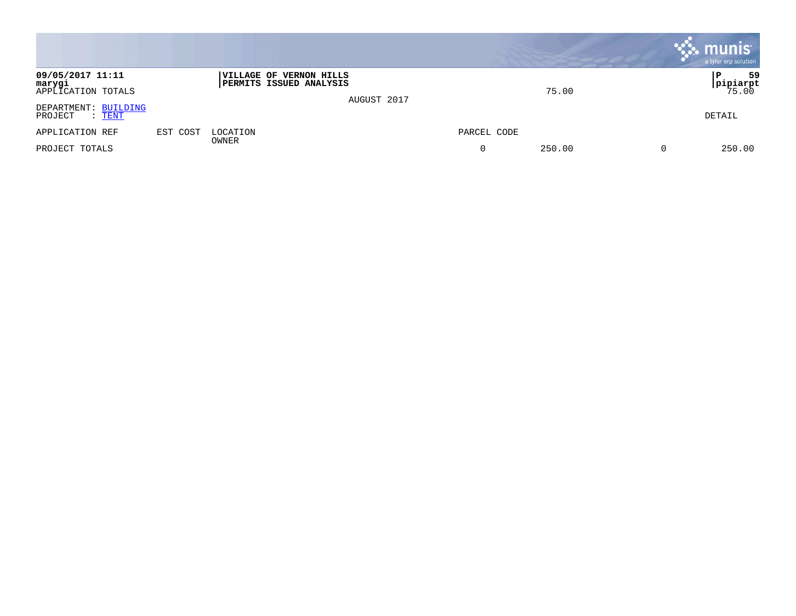|                                                  |          |                                                           |             |             |        | $\mathbf{\ddot{.}}\mathbf{.}$ munis<br>a tyler erp solution |
|--------------------------------------------------|----------|-----------------------------------------------------------|-------------|-------------|--------|-------------------------------------------------------------|
| 09/05/2017 11:11<br>marygi<br>APPLICATION TOTALS |          | VILLAGE OF VERNON HILLS<br><b>PERMITS ISSUED ANALYSIS</b> | AUGUST 2017 |             | 75.00  | 59<br>l P<br><b>pipiarpt</b><br>75.00                       |
| DEPARTMENT: BUILDING<br>PROJECT<br>$:$ TENT      |          |                                                           |             |             |        | DETAIL                                                      |
| APPLICATION REF                                  | EST COST | LOCATION<br>OWNER                                         |             | PARCEL CODE |        |                                                             |
| PROJECT TOTALS                                   |          |                                                           |             |             | 250.00 | 250.00                                                      |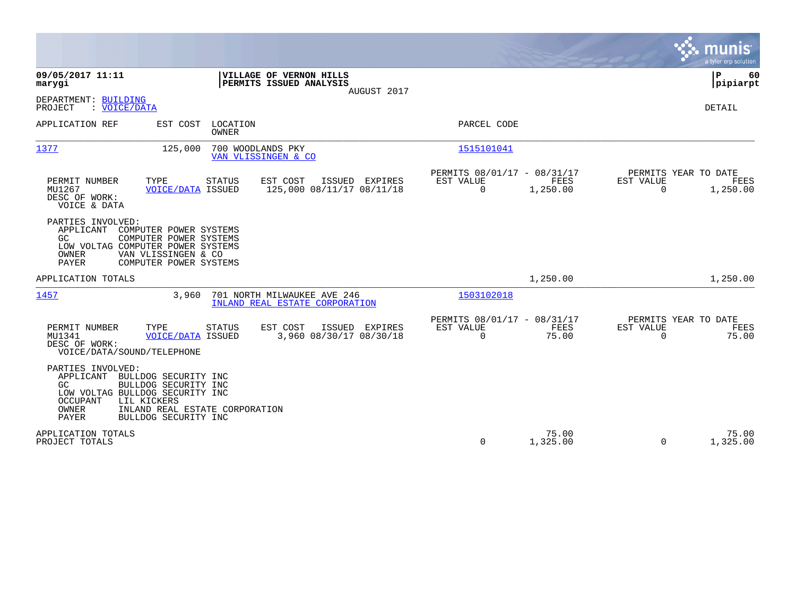|                                                                                                                                                                                                                                                   |                                                                          | munis<br>a tyler erp solution                                     |
|---------------------------------------------------------------------------------------------------------------------------------------------------------------------------------------------------------------------------------------------------|--------------------------------------------------------------------------|-------------------------------------------------------------------|
| 09/05/2017 11:11<br>VILLAGE OF VERNON HILLS<br>PERMITS ISSUED ANALYSIS<br>marygi                                                                                                                                                                  |                                                                          | Þ<br>60<br> pipiarpt                                              |
| AUGUST 2017<br>DEPARTMENT: BUILDING<br>: VOICE/DATA<br>PROJECT                                                                                                                                                                                    |                                                                          | <b>DETAIL</b>                                                     |
| APPLICATION REF<br>EST COST<br>LOCATION<br>OWNER                                                                                                                                                                                                  | PARCEL CODE                                                              |                                                                   |
| 700 WOODLANDS PKY<br>1377<br>125,000<br>VAN VLISSINGEN & CO                                                                                                                                                                                       | 1515101041                                                               |                                                                   |
| PERMIT NUMBER<br>TYPE<br>STATUS<br>EST COST<br>ISSUED EXPIRES<br>125,000 08/11/17 08/11/18<br>MU1267<br><b>VOICE/DATA ISSUED</b><br>DESC OF WORK:<br>VOICE & DATA                                                                                 | PERMITS 08/01/17 - 08/31/17<br>EST VALUE<br>FEES<br>$\Omega$<br>1,250.00 | PERMITS YEAR TO DATE<br>EST VALUE<br>FEES<br>$\Omega$<br>1,250.00 |
| PARTIES INVOLVED:<br>APPLICANT<br>COMPUTER POWER SYSTEMS<br>COMPUTER POWER SYSTEMS<br>GC.<br>LOW VOLTAG COMPUTER POWER SYSTEMS<br>OWNER<br>VAN VLISSINGEN & CO<br><b>PAYER</b><br>COMPUTER POWER SYSTEMS                                          |                                                                          |                                                                   |
| APPLICATION TOTALS                                                                                                                                                                                                                                | 1,250.00                                                                 | 1,250.00                                                          |
| 701 NORTH MILWAUKEE AVE 246<br>1457<br>3,960<br>INLAND REAL ESTATE CORPORATION                                                                                                                                                                    | 1503102018                                                               |                                                                   |
| PERMIT NUMBER<br>STATUS<br>EST COST<br>ISSUED EXPIRES<br>TYPE<br>MU1341<br><b>VOICE/DATA ISSUED</b><br>3,960 08/30/17 08/30/18<br>DESC OF WORK:<br>VOICE/DATA/SOUND/TELEPHONE                                                                     | PERMITS 08/01/17 - 08/31/17<br>EST VALUE<br>FEES<br>$\mathbf 0$<br>75.00 | PERMITS YEAR TO DATE<br>EST VALUE<br>FEES<br>$\Omega$<br>75.00    |
| PARTIES INVOLVED:<br>APPLICANT BULLDOG SECURITY INC<br>BULLDOG SECURITY INC<br>GC.<br>LOW VOLTAG BULLDOG SECURITY INC<br>LIL KICKERS<br><b>OCCUPANT</b><br><b>OWNER</b><br>INLAND REAL ESTATE CORPORATION<br><b>PAYER</b><br>BULLDOG SECURITY INC |                                                                          |                                                                   |
| APPLICATION TOTALS<br>PROJECT TOTALS                                                                                                                                                                                                              | 75.00<br>0<br>1,325.00                                                   | 75.00<br>$\Omega$<br>1,325.00                                     |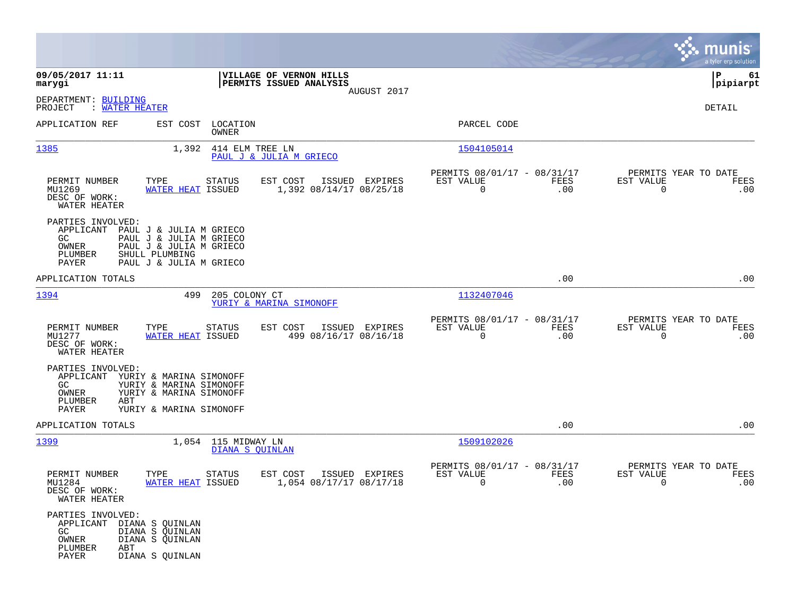|                                                                                           |                                                                                                                            |                                                       |                                                         |                    | munis<br>a tyler erp solution                    |             |
|-------------------------------------------------------------------------------------------|----------------------------------------------------------------------------------------------------------------------------|-------------------------------------------------------|---------------------------------------------------------|--------------------|--------------------------------------------------|-------------|
| 09/05/2017 11:11<br>marygi                                                                |                                                                                                                            | VILLAGE OF VERNON HILLS<br>PERMITS ISSUED ANALYSIS    |                                                         |                    | P<br> pipiarpt                                   | 61          |
| DEPARTMENT: BUILDING<br>PROJECT<br>: WATER HEATER                                         |                                                                                                                            | AUGUST 2017                                           |                                                         |                    | DETAIL                                           |             |
| APPLICATION REF                                                                           | EST COST<br>LOCATION<br>OWNER                                                                                              |                                                       | PARCEL CODE                                             |                    |                                                  |             |
| 1385                                                                                      | 414 ELM TREE LN<br>1,392                                                                                                   | PAUL J & JULIA M GRIECO                               | 1504105014                                              |                    |                                                  |             |
| PERMIT NUMBER<br>MU1269<br>DESC OF WORK:<br>WATER HEATER                                  | TYPE<br>STATUS<br>WATER HEAT ISSUED                                                                                        | EST COST<br>ISSUED EXPIRES<br>1,392 08/14/17 08/25/18 | PERMITS 08/01/17 - 08/31/17<br>EST VALUE<br>$\mathbf 0$ | FEES<br>.00        | PERMITS YEAR TO DATE<br>EST VALUE<br>$\mathbf 0$ | FEES<br>.00 |
| PARTIES INVOLVED:<br>APPLICANT<br>GC.<br>OWNER<br>PLUMBER<br>PAYER                        | PAUL J & JULIA M GRIECO<br>PAUL J & JULIA M GRIECO<br>PAUL J & JULIA M GRIECO<br>SHULL PLUMBING<br>PAUL J & JULIA M GRIECO |                                                       |                                                         |                    |                                                  |             |
| APPLICATION TOTALS                                                                        |                                                                                                                            |                                                       |                                                         | .00                |                                                  | .00         |
| 1394                                                                                      | 499<br>205 COLONY CT                                                                                                       | YURIY & MARINA SIMONOFF                               | 1132407046                                              |                    |                                                  |             |
| PERMIT NUMBER<br>MU1277<br>DESC OF WORK:<br>WATER HEATER                                  | TYPE<br>STATUS<br>WATER HEAT ISSUED                                                                                        | ISSUED EXPIRES<br>EST COST<br>499 08/16/17 08/16/18   | PERMITS 08/01/17 - 08/31/17<br>EST VALUE<br>$\mathbf 0$ | FEES<br>.00        | PERMITS YEAR TO DATE<br>EST VALUE<br>$\mathbf 0$ | FEES<br>.00 |
| PARTIES INVOLVED:<br>APPLICANT<br>GC.<br>OWNER<br>PLUMBER<br>ABT<br>PAYER                 | YURIY & MARINA SIMONOFF<br>YURIY & MARINA SIMONOFF<br>YURIY & MARINA SIMONOFF<br>YURIY & MARINA SIMONOFF                   |                                                       |                                                         |                    |                                                  |             |
| APPLICATION TOTALS                                                                        |                                                                                                                            |                                                       |                                                         | .00                |                                                  | .00         |
| 1399                                                                                      | 1,054 115 MIDWAY LN<br>DIANA S OUINLAN                                                                                     |                                                       | 1509102026                                              |                    |                                                  |             |
| PERMIT NUMBER<br>MU1284<br>DESC OF WORK:<br>WATER HEATER                                  | TYPE<br><b>STATUS</b><br>WATER HEAT ISSUED                                                                                 | EST COST<br>ISSUED EXPIRES<br>1,054 08/17/17 08/17/18 | PERMITS 08/01/17 - 08/31/17<br>EST VALUE<br>0           | <b>FEES</b><br>.00 | PERMITS YEAR TO DATE<br>EST VALUE<br>0           | FEES<br>.00 |
| PARTIES INVOLVED:<br>APPLICANT DIANA S QUINLAN<br>GC.<br>OWNER<br>PLUMBER<br>ABT<br>PAYER | DIANA S QUINLAN<br>DIANA S QUINLAN<br>DIANA S QUINLAN                                                                      |                                                       |                                                         |                    |                                                  |             |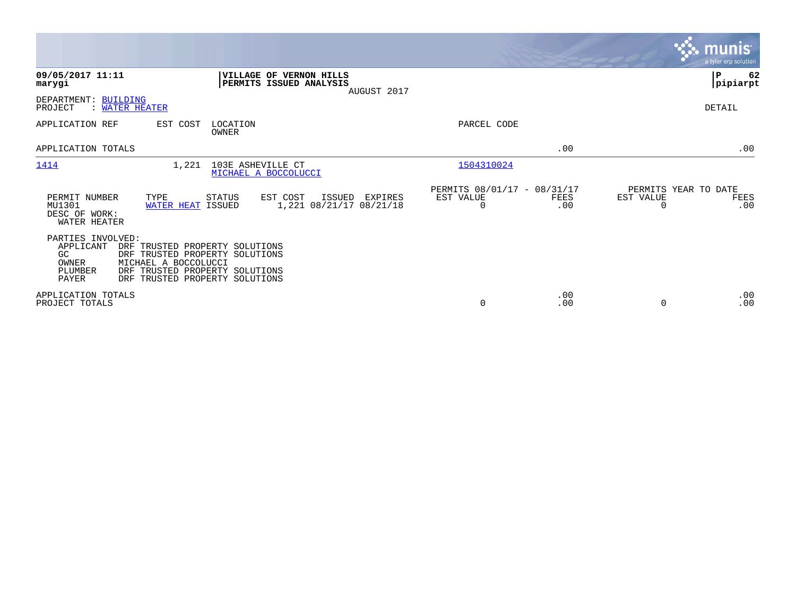|                                                                                                                                                                                                                                             |                                                      |             |                                   | munis<br>a tyler erp solution |
|---------------------------------------------------------------------------------------------------------------------------------------------------------------------------------------------------------------------------------------------|------------------------------------------------------|-------------|-----------------------------------|-------------------------------|
| 09/05/2017 11:11<br>VILLAGE OF VERNON HILLS<br>PERMITS ISSUED ANALYSIS<br>marygi<br>AUGUST 2017                                                                                                                                             |                                                      |             |                                   | P<br>62<br> pipiarpt          |
| DEPARTMENT: BUILDING<br>PROJECT<br>: WATER HEATER                                                                                                                                                                                           |                                                      |             |                                   | DETAIL                        |
| APPLICATION REF<br>EST COST<br>LOCATION<br>OWNER                                                                                                                                                                                            | PARCEL CODE                                          |             |                                   |                               |
| APPLICATION TOTALS                                                                                                                                                                                                                          |                                                      | .00         |                                   | .00                           |
| 1414<br>1,221<br>103E ASHEVILLE CT<br>MICHAEL A BOCCOLUCCI                                                                                                                                                                                  | 1504310024                                           |             |                                   |                               |
| STATUS<br>PERMIT NUMBER<br>TYPE<br>EST COST<br>ISSUED<br>EXPIRES<br>1,221 08/21/17 08/21/18<br>MU1301<br>WATER HEAT ISSUED<br>DESC OF WORK:<br>WATER HEATER                                                                                 | PERMITS 08/01/17 - 08/31/17<br>EST VALUE<br>$\Omega$ | FEES<br>.00 | PERMITS YEAR TO DATE<br>EST VALUE | FEES<br>.00                   |
| PARTIES INVOLVED:<br>APPLICANT<br>DRF TRUSTED PROPERTY SOLUTIONS<br>GC<br>DRF TRUSTED PROPERTY SOLUTIONS<br>OWNER<br>MICHAEL A BOCCOLUCCI<br>PLUMBER<br>DRF TRUSTED PROPERTY SOLUTIONS<br>PAYER<br>TRUSTED PROPERTY SOLUTIONS<br><b>DRF</b> |                                                      |             |                                   |                               |
| APPLICATION TOTALS<br>PROJECT TOTALS                                                                                                                                                                                                        | $\Omega$                                             | .00<br>.00  | $\Omega$                          | .00<br>.00                    |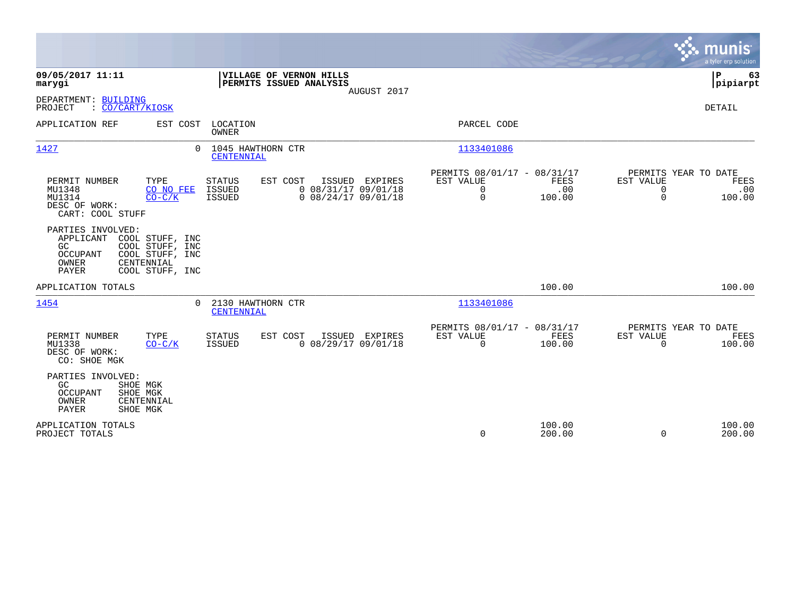|                                                                                                                                                                            |                                                                                                                          |                                                                                    | <b>munis</b><br>a tyler erp solution                                                  |
|----------------------------------------------------------------------------------------------------------------------------------------------------------------------------|--------------------------------------------------------------------------------------------------------------------------|------------------------------------------------------------------------------------|---------------------------------------------------------------------------------------|
| 09/05/2017 11:11<br>marygi                                                                                                                                                 | VILLAGE OF VERNON HILLS<br>PERMITS ISSUED ANALYSIS<br>AUGUST 2017                                                        |                                                                                    | P<br>63<br> pipiarpt                                                                  |
| DEPARTMENT: BUILDING<br>: CO/CART/KIOSK<br>PROJECT                                                                                                                         |                                                                                                                          |                                                                                    | DETAIL                                                                                |
| EST COST<br>APPLICATION REF                                                                                                                                                | LOCATION<br>OWNER                                                                                                        | PARCEL CODE                                                                        |                                                                                       |
| 1427<br>$\Omega$                                                                                                                                                           | 1045 HAWTHORN CTR<br>CENTENNIAL                                                                                          | 1133401086                                                                         |                                                                                       |
| PERMIT NUMBER<br>TYPE<br>MU1348<br>CO NO FEE<br>MU1314<br>$CO-C/K$<br>DESC OF WORK:<br>CART: COOL STUFF                                                                    | <b>STATUS</b><br>EST COST<br>ISSUED EXPIRES<br>ISSUED<br>$0$ 08/31/17 09/01/18<br>$0$ 08/24/17 09/01/18<br><b>ISSUED</b> | PERMITS 08/01/17 - 08/31/17<br>EST VALUE<br>FEES<br>.00<br>0<br>$\Omega$<br>100.00 | PERMITS YEAR TO DATE<br>EST VALUE<br>FEES<br>$\mathbf 0$<br>.00<br>$\Omega$<br>100.00 |
| PARTIES INVOLVED:<br>APPLICANT<br>COOL STUFF, INC<br>GC<br>COOL STUFF, INC<br><b>OCCUPANT</b><br>COOL STUFF, INC<br>OWNER<br>CENTENNIAL<br><b>PAYER</b><br>COOL STUFF, INC |                                                                                                                          |                                                                                    |                                                                                       |
| APPLICATION TOTALS                                                                                                                                                         |                                                                                                                          | 100.00                                                                             | 100.00                                                                                |
| 1454<br>$\Omega$                                                                                                                                                           | 2130 HAWTHORN CTR<br>CENTENNIAL                                                                                          | 1133401086                                                                         |                                                                                       |
| PERMIT NUMBER<br>TYPE<br>MU1338<br>$CO-C/K$<br>DESC OF WORK:<br>CO: SHOE MGK                                                                                               | EST COST<br>ISSUED EXPIRES<br>STATUS<br>$0$ 08/29/17 09/01/18<br><b>ISSUED</b>                                           | PERMITS 08/01/17 - 08/31/17<br>EST VALUE<br>FEES<br>$\mathbf 0$<br>100.00          | PERMITS YEAR TO DATE<br>EST VALUE<br>FEES<br>$\Omega$<br>100.00                       |
| PARTIES INVOLVED:<br>GC<br>SHOE MGK<br><b>OCCUPANT</b><br>SHOE MGK<br>OWNER<br>CENTENNIAL<br>PAYER<br>SHOE MGK                                                             |                                                                                                                          |                                                                                    |                                                                                       |
| APPLICATION TOTALS<br>PROJECT TOTALS                                                                                                                                       |                                                                                                                          | 100.00<br>$\Omega$<br>200.00                                                       | 100.00<br>$\Omega$<br>200.00                                                          |